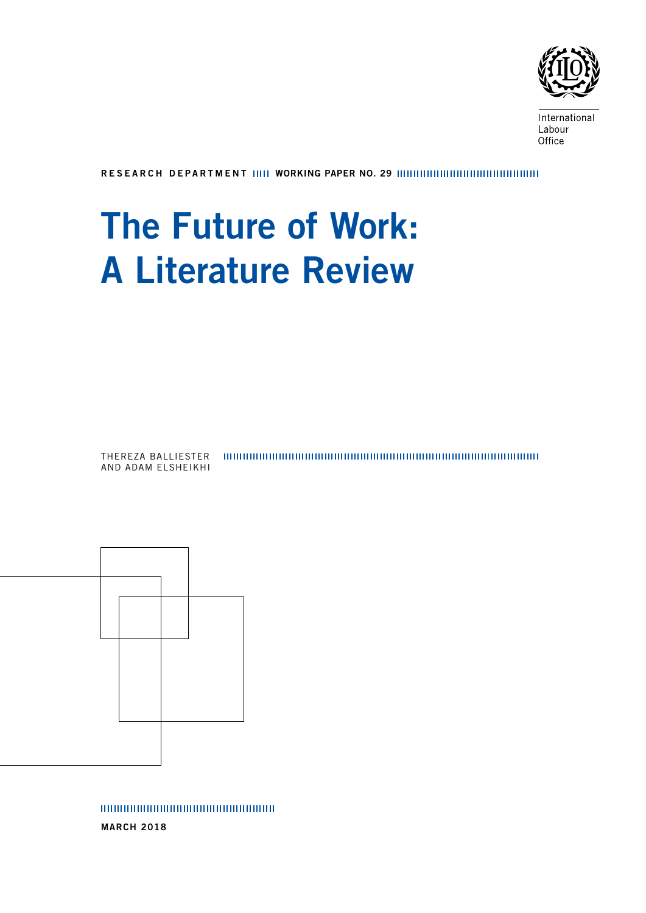

International Labour Office

RESEARCH DEPARTMENT WORKING PAPER NO. 29

# The Future of Work: A Literature Review

THEREZA BALLIESTER AND ADAM ELSHEIKHI



00000000000000000000000000000

MARCH 2018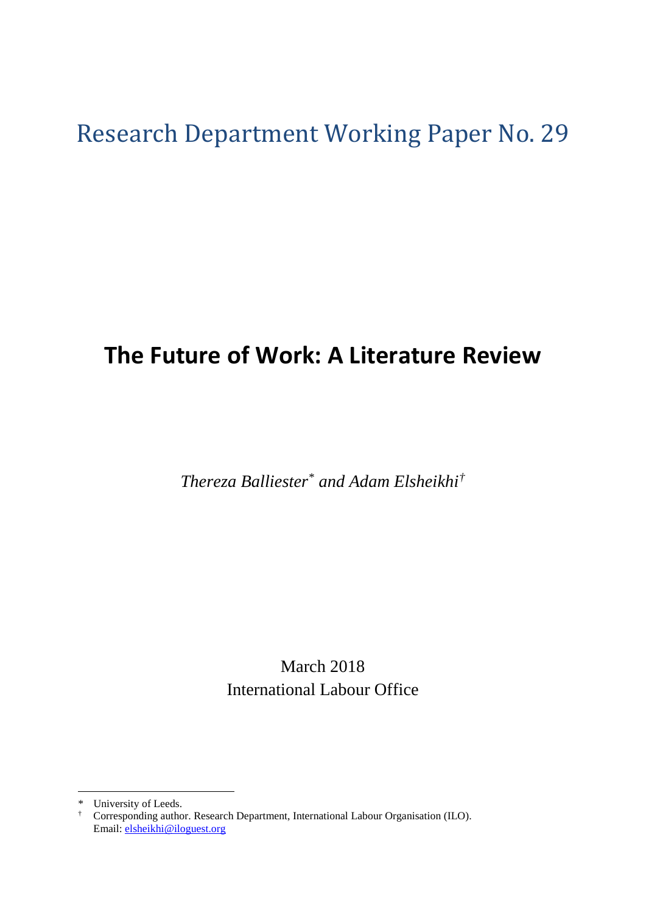# Research Department Working Paper No. 29

# **The Future of Work: A Literature Review**

*Thereza Balliester*[\\*](#page-2-0) *and Adam Elsheikhi[†](#page-2-1)*

March 2018 International Labour Office

<sup>\*</sup> University of Leeds.

<span id="page-2-1"></span><span id="page-2-0"></span><sup>†</sup> Corresponding author. Research Department, International Labour Organisation (ILO). Email: [elsheikhi@iloguest.org](mailto:elsheikhi@iloguest.org)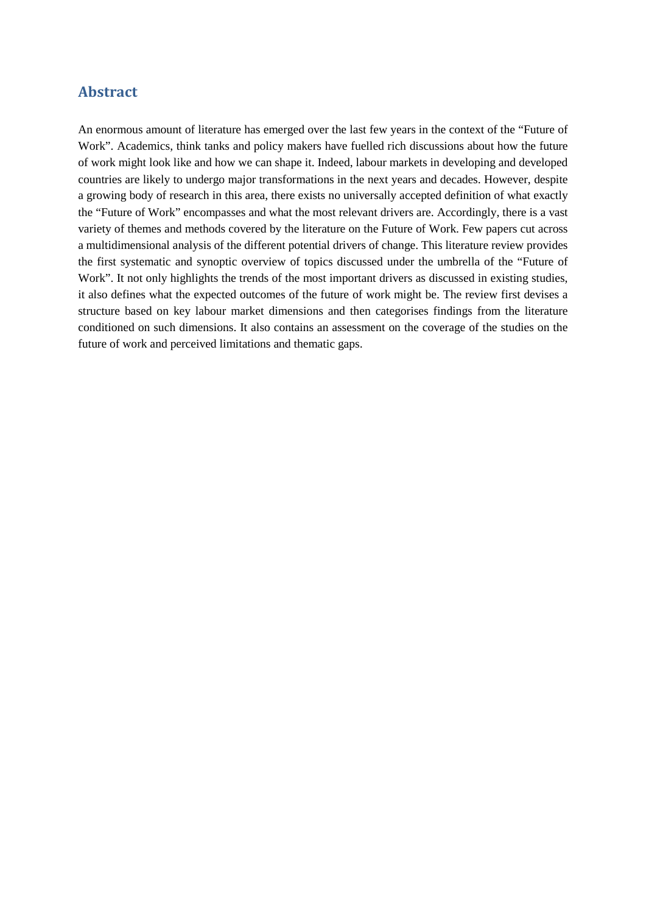#### <span id="page-4-0"></span>**Abstract**

An enormous amount of literature has emerged over the last few years in the context of the "Future of Work". Academics, think tanks and policy makers have fuelled rich discussions about how the future of work might look like and how we can shape it. Indeed, labour markets in developing and developed countries are likely to undergo major transformations in the next years and decades. However, despite a growing body of research in this area, there exists no universally accepted definition of what exactly the "Future of Work" encompasses and what the most relevant drivers are. Accordingly, there is a vast variety of themes and methods covered by the literature on the Future of Work. Few papers cut across a multidimensional analysis of the different potential drivers of change. This literature review provides the first systematic and synoptic overview of topics discussed under the umbrella of the "Future of Work". It not only highlights the trends of the most important drivers as discussed in existing studies, it also defines what the expected outcomes of the future of work might be. The review first devises a structure based on key labour market dimensions and then categorises findings from the literature conditioned on such dimensions. It also contains an assessment on the coverage of the studies on the future of work and perceived limitations and thematic gaps.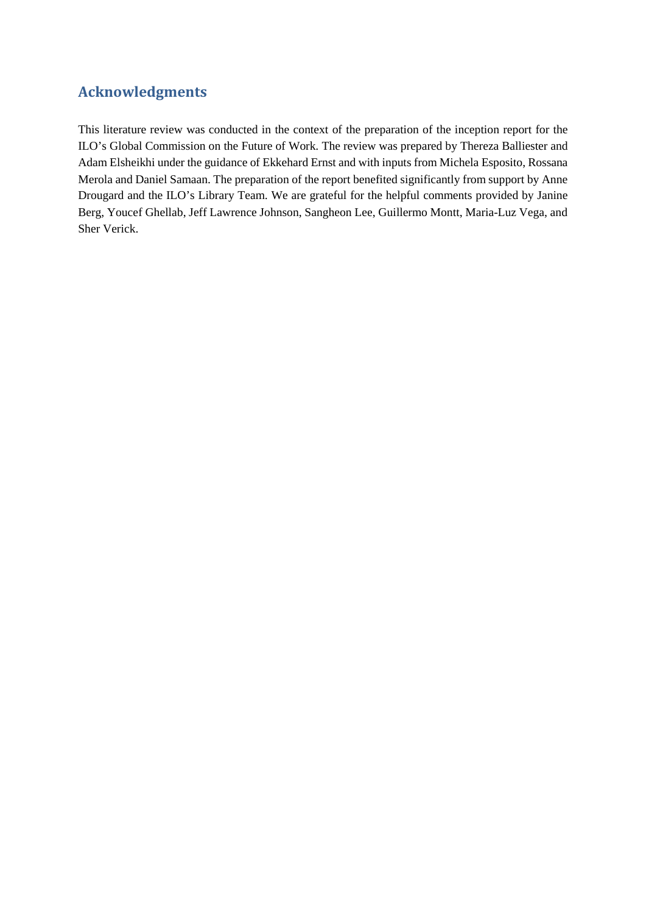### <span id="page-5-0"></span>**Acknowledgments**

This literature review was conducted in the context of the preparation of the inception report for the ILO's Global Commission on the Future of Work. The review was prepared by Thereza Balliester and Adam Elsheikhi under the guidance of Ekkehard Ernst and with inputs from Michela Esposito, Rossana Merola and Daniel Samaan. The preparation of the report benefited significantly from support by Anne Drougard and the ILO's Library Team. We are grateful for the helpful comments provided by Janine Berg, Youcef Ghellab, Jeff Lawrence Johnson, Sangheon Lee, Guillermo Montt, Maria-Luz Vega, and Sher Verick.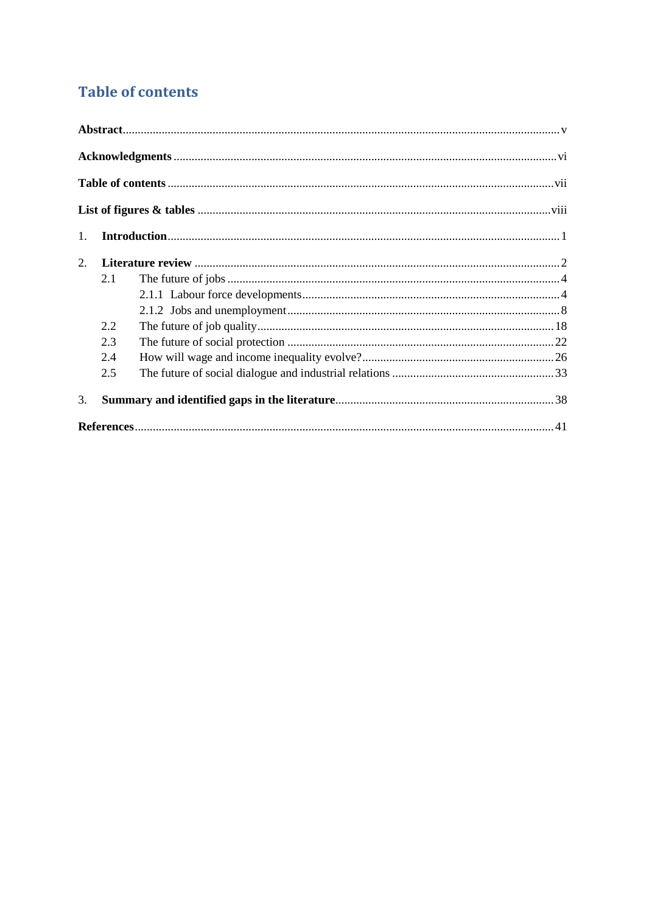# <span id="page-6-0"></span>**Table of contents**

<span id="page-6-1"></span>

| 1. |     |  |
|----|-----|--|
| 2. |     |  |
|    | 2.1 |  |
|    |     |  |
|    |     |  |
|    | 2.2 |  |
|    | 2.3 |  |
|    | 2.4 |  |
|    | 2.5 |  |
| 3. |     |  |
|    |     |  |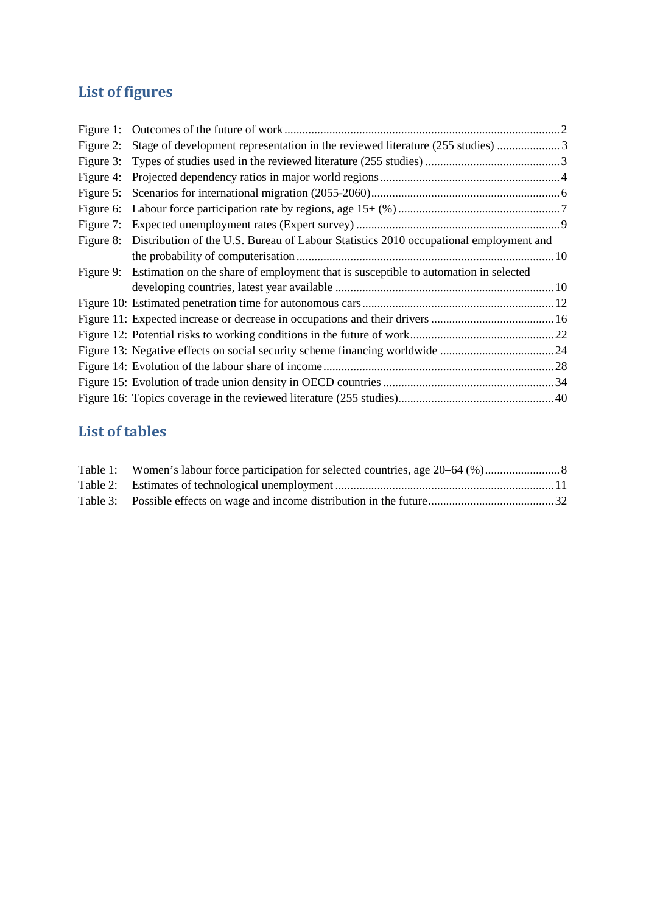# **List of figures**

| Figure 2: |                                                                                               |  |
|-----------|-----------------------------------------------------------------------------------------------|--|
|           |                                                                                               |  |
| Figure 4: |                                                                                               |  |
|           |                                                                                               |  |
|           |                                                                                               |  |
| Figure 7: |                                                                                               |  |
| Figure 8: | Distribution of the U.S. Bureau of Labour Statistics 2010 occupational employment and         |  |
|           |                                                                                               |  |
|           | Figure 9: Estimation on the share of employment that is susceptible to automation in selected |  |
|           |                                                                                               |  |
|           |                                                                                               |  |
|           |                                                                                               |  |
|           |                                                                                               |  |
|           |                                                                                               |  |
|           |                                                                                               |  |
|           |                                                                                               |  |
|           |                                                                                               |  |

### **List of tables**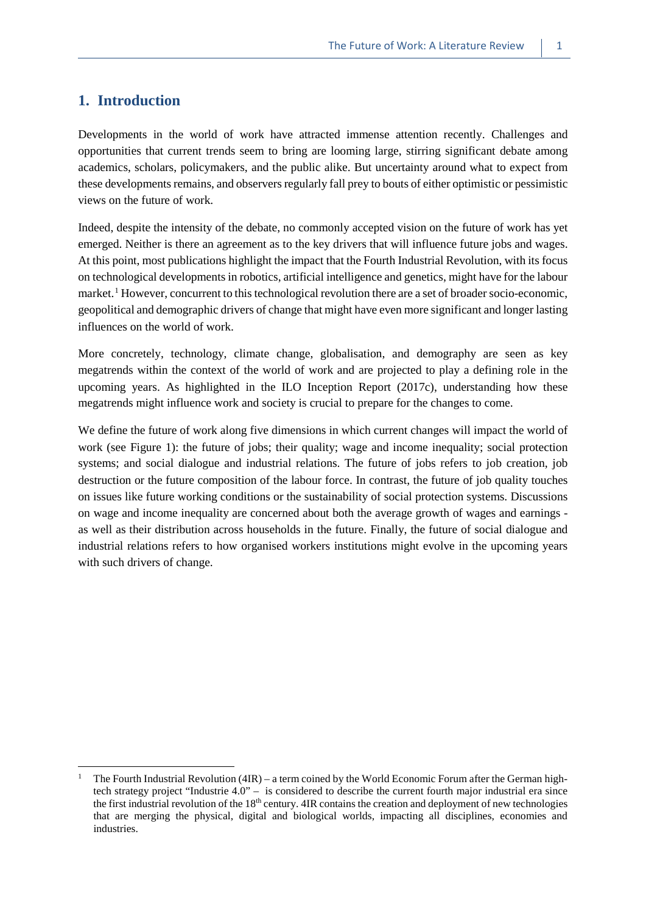#### <span id="page-8-0"></span>**1. Introduction**

 $\overline{a}$ 

Developments in the world of work have attracted immense attention recently. Challenges and opportunities that current trends seem to bring are looming large, stirring significant debate among academics, scholars, policymakers, and the public alike. But uncertainty around what to expect from these developments remains, and observers regularly fall prey to bouts of either optimistic or pessimistic views on the future of work.

Indeed, despite the intensity of the debate, no commonly accepted vision on the future of work has yet emerged. Neither is there an agreement as to the key drivers that will influence future jobs and wages. At this point, most publications highlight the impact that the Fourth Industrial Revolution, with its focus on technological developments in robotics, artificial intelligence and genetics, might have for the labour market.<sup>[1](#page-8-1)</sup> However, concurrent to this technological revolution there are a set of broader socio-economic, geopolitical and demographic drivers of change that might have even more significant and longer lasting influences on the world of work.

More concretely, technology, climate change, globalisation, and demography are seen as key megatrends within the context of the world of work and are projected to play a defining role in the upcoming years. As highlighted in the ILO Inception Report (2017c), understanding how these megatrends might influence work and society is crucial to prepare for the changes to come.

We define the future of work along five dimensions in which current changes will impact the world of work (see Figure 1): the future of jobs; their quality; wage and income inequality; social protection systems; and social dialogue and industrial relations. The future of jobs refers to job creation, job destruction or the future composition of the labour force. In contrast, the future of job quality touches on issues like future working conditions or the sustainability of social protection systems. Discussions on wage and income inequality are concerned about both the average growth of wages and earnings as well as their distribution across households in the future. Finally, the future of social dialogue and industrial relations refers to how organised workers institutions might evolve in the upcoming years with such drivers of change.

<span id="page-8-1"></span>The Fourth Industrial Revolution  $(4IR)$  – a term coined by the World Economic Forum after the German hightech strategy project "Industrie 4.0" – is considered to describe the current fourth major industrial era since the first industrial revolution of the 18<sup>th</sup> century. 4IR contains the creation and deployment of new technologies that are merging the physical, digital and biological worlds, impacting all disciplines, economies and industries.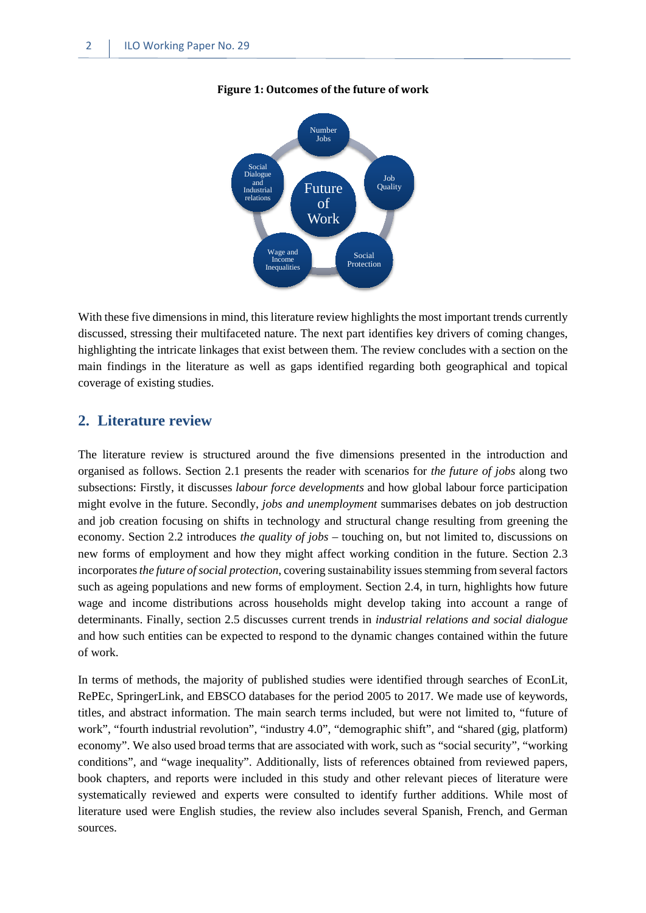

#### <span id="page-9-1"></span>**Figure 1: Outcomes of the future of work**

With these five dimensions in mind, this literature review highlights the most important trends currently discussed, stressing their multifaceted nature. The next part identifies key drivers of coming changes, highlighting the intricate linkages that exist between them. The review concludes with a section on the main findings in the literature as well as gaps identified regarding both geographical and topical coverage of existing studies.

#### <span id="page-9-0"></span>**2. Literature review**

The literature review is structured around the five dimensions presented in the introduction and organised as follows. Section 2.1 presents the reader with scenarios for *the future of jobs* along two subsections: Firstly, it discusses *labour force developments* and how global labour force participation might evolve in the future. Secondly, *jobs and unemployment* summarises debates on job destruction and job creation focusing on shifts in technology and structural change resulting from greening the economy. Section 2.2 introduces *the quality of jobs* – touching on, but not limited to, discussions on new forms of employment and how they might affect working condition in the future. Section 2.3 incorporates *the future of social protection*, covering sustainability issues stemming from several factors such as ageing populations and new forms of employment. Section 2.4, in turn, highlights how future wage and income distributions across households might develop taking into account a range of determinants. Finally, section 2.5 discusses current trends in *industrial relations and social dialogue*  and how such entities can be expected to respond to the dynamic changes contained within the future of work.

In terms of methods, the majority of published studies were identified through searches of EconLit, RePEc, SpringerLink, and EBSCO databases for the period 2005 to 2017. We made use of keywords, titles, and abstract information. The main search terms included, but were not limited to, "future of work", "fourth industrial revolution", "industry 4.0", "demographic shift", and "shared (gig, platform) economy". We also used broad terms that are associated with work, such as "social security", "working conditions", and "wage inequality". Additionally, lists of references obtained from reviewed papers, book chapters, and reports were included in this study and other relevant pieces of literature were systematically reviewed and experts were consulted to identify further additions. While most of literature used were English studies, the review also includes several Spanish, French, and German sources.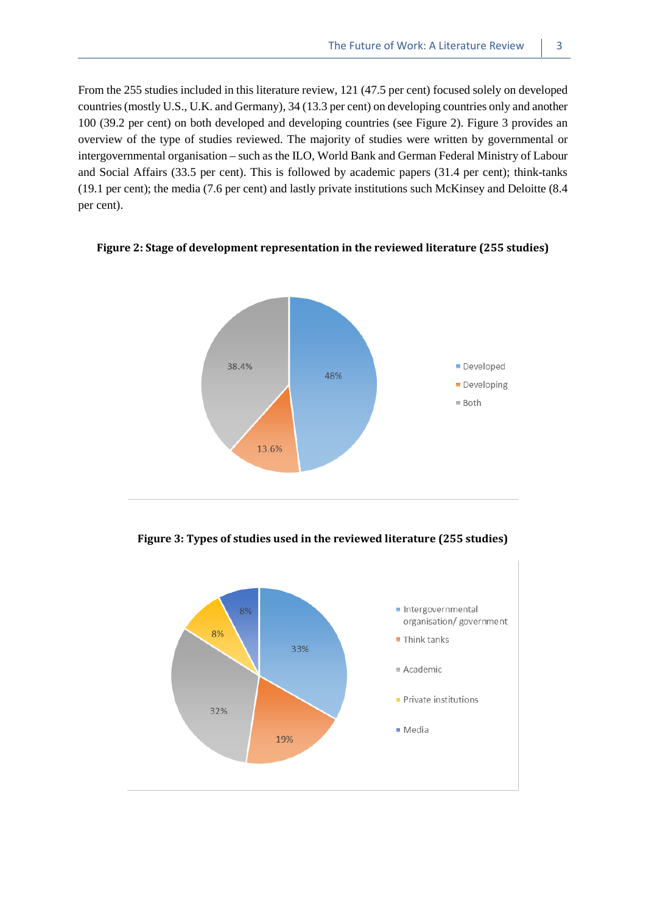From the 255 studies included in this literature review, 121 (47.5 per cent) focused solely on developed countries (mostly U.S., U.K. and Germany), 34 (13.3 per cent) on developing countries only and another 100 (39.2 per cent) on both developed and developing countries (see Figure 2). Figure 3 provides an overview of the type of studies reviewed. The majority of studies were written by governmental or intergovernmental organisation – such as the ILO, World Bank and German Federal Ministry of Labour and Social Affairs (33.5 per cent). This is followed by academic papers (31.4 per cent); think-tanks (19.1 per cent); the media (7.6 per cent) and lastly private institutions such McKinsey and Deloitte (8.4 per cent).



<span id="page-10-0"></span>**Figure 2: Stage of development representation in the reviewed literature (255 studies)**

<span id="page-10-1"></span>**Figure 3: Types of studies used in the reviewed literature (255 studies)**

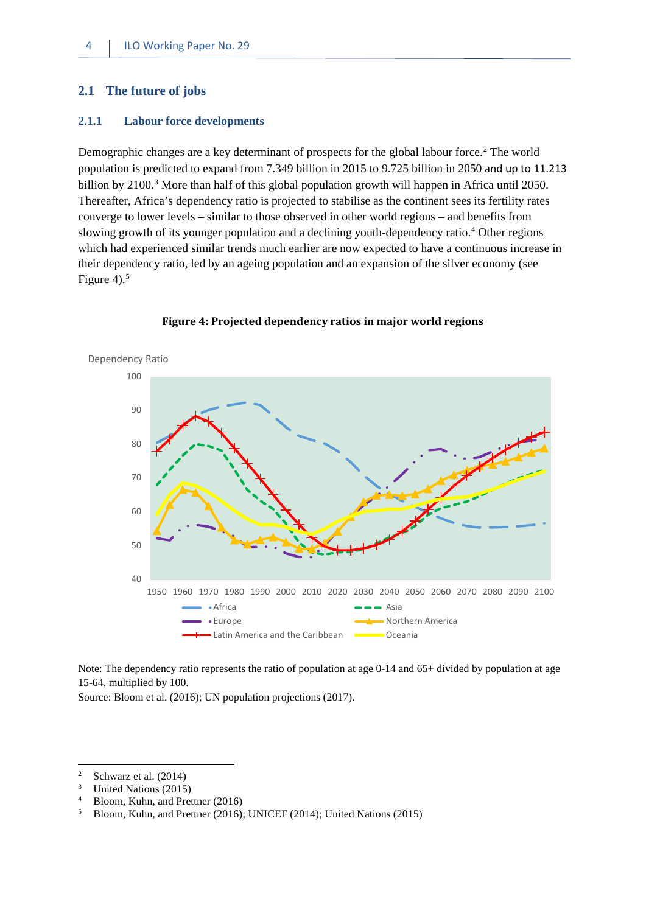#### <span id="page-11-0"></span>**2.1 The future of jobs**

#### <span id="page-11-1"></span>**2.1.1 Labour force developments**

Demographic changes are a key determinant of prospects for the global labour force.<sup>[2](#page-11-3)</sup> The world population is predicted to expand from 7.349 billion in 2015 to 9.725 billion in 2050 and up to 11.213 billion by  $2100<sup>3</sup>$  More than half of this global population growth will happen in Africa until 2050. Thereafter, Africa's dependency ratio is projected to stabilise as the continent sees its fertility rates converge to lower levels – similar to those observed in other world regions – and benefits from slowing growth of its younger population and a declining youth-dependency ratio.[4](#page-11-5) Other regions which had experienced similar trends much earlier are now expected to have a continuous increase in their dependency ratio, led by an ageing population and an expansion of the silver economy (see Figure 4). $5$ 

<span id="page-11-2"></span>

**Figure 4: Projected dependency ratios in major world regions** 

Note: The dependency ratio represents the ratio of population at age 0-14 and 65+ divided by population at age 15-64, multiplied by 100.

Source: Bloom et al. (2016); UN population projections (2017).

<span id="page-11-3"></span><sup>&</sup>lt;sup>2</sup> Schwarz et al.  $(2014)$ <br><sup>3</sup> United Nations  $(2015)$ 

<span id="page-11-4"></span> $\frac{3}{4}$  United Nations (2015)<br> $\frac{4}{4}$  Bloom Kuhn and Pres

<span id="page-11-5"></span><sup>&</sup>lt;sup>4</sup> Bloom, Kuhn, and Prettner (2016)<sup>5</sup> Bloom, Kuhn, and Prettner (2016)<sup>4</sup>

<span id="page-11-6"></span><sup>5</sup> Bloom, Kuhn, and Prettner (2016); UNICEF (2014); United Nations (2015)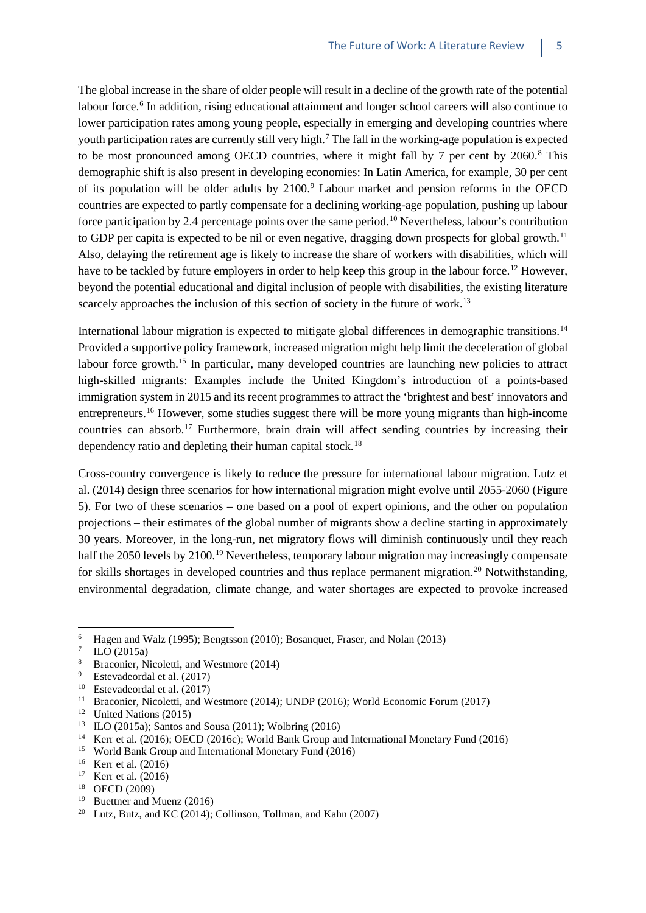The global increase in the share of older people will result in a decline of the growth rate of the potential labour force.<sup>[6](#page-12-0)</sup> In addition, rising educational attainment and longer school careers will also continue to lower participation rates among young people, especially in emerging and developing countries where youth participation rates are currently still very high.[7](#page-12-1) The fall in the working-age population is expected to be most pronounced among OECD countries, where it might fall by 7 per cent by  $2060$ .<sup>[8](#page-12-2)</sup> This demographic shift is also present in developing economies: In Latin America, for example, 30 per cent of its population will be older adults by 2100.<sup>[9](#page-12-3)</sup> Labour market and pension reforms in the OECD countries are expected to partly compensate for a declining working-age population, pushing up labour force participation by 2.4 percentage points over the same period.[10](#page-12-4) Nevertheless, labour's contribution to GDP per capita is expected to be nil or even negative, dragging down prospects for global growth.[11](#page-12-5) Also, delaying the retirement age is likely to increase the share of workers with disabilities, which will have to be tackled by future employers in order to help keep this group in the labour force.<sup>[12](#page-12-6)</sup> However, beyond the potential educational and digital inclusion of people with disabilities, the existing literature scarcely approaches the inclusion of this section of society in the future of work.<sup>[13](#page-12-7)</sup>

International labour migration is expected to mitigate global differences in demographic transitions.<sup>[14](#page-12-8)</sup> Provided a supportive policy framework, increased migration might help limit the deceleration of global labour force growth.<sup>[15](#page-12-9)</sup> In particular, many developed countries are launching new policies to attract high-skilled migrants: Examples include the United Kingdom's introduction of a points-based immigration system in 2015 and its recent programmes to attract the 'brightest and best' innovators and entrepreneurs.[16](#page-12-10) However, some studies suggest there will be more young migrants than high-income countries can absorb.<sup>[17](#page-12-11)</sup> Furthermore, brain drain will affect sending countries by increasing their dependency ratio and depleting their human capital stock.<sup>[18](#page-12-12)</sup>

Cross-country convergence is likely to reduce the pressure for international labour migration. Lutz et al. (2014) design three scenarios for how international migration might evolve until 2055-2060 (Figure 5). For two of these scenarios – one based on a pool of expert opinions, and the other on population projections – their estimates of the global number of migrants show a decline starting in approximately 30 years. Moreover, in the long-run, net migratory flows will diminish continuously until they reach half the 2050 levels by 2100.<sup>[19](#page-12-13)</sup> Nevertheless, temporary labour migration may increasingly compensate for skills shortages in developed countries and thus replace permanent migration.<sup>[20](#page-12-14)</sup> Notwithstanding, environmental degradation, climate change, and water shortages are expected to provoke increased

<span id="page-12-0"></span><sup>&</sup>lt;sup>6</sup> Hagen and Walz (1995); Bengtsson (2010); Bosanquet, Fraser, and Nolan (2013)<br> $\frac{7}{2}$  H O (2015s)

<span id="page-12-1"></span> $\frac{7}{8}$  ILO (2015a)

<span id="page-12-2"></span><sup>&</sup>lt;sup>8</sup> Braconier, Nicoletti, and Westmore (2014)

<span id="page-12-3"></span><sup>&</sup>lt;sup>9</sup> Estevadeordal et al. (2017)<sup>10</sup> Estevadeordal et al. (2017)

<span id="page-12-4"></span><sup>&</sup>lt;sup>10</sup> Estevadeordal et al. (2017)<sup>11</sup> Processive Nicolatti and W

<span id="page-12-5"></span><sup>&</sup>lt;sup>11</sup> Braconier, Nicoletti, and Westmore (2014); UNDP (2016); World Economic Forum (2017)<br><sup>12</sup> United Nations (2015)

<span id="page-12-6"></span><sup>&</sup>lt;sup>12</sup> United Nations (2015)

<span id="page-12-8"></span><span id="page-12-7"></span><sup>&</sup>lt;sup>13</sup> ILO (2015a); Santos and Sousa (2011); Wolbring (2016)<sup>14</sup> Korr at al. (2016): OECD (2016a): World Bank Group an

<sup>14</sup> Kerr et al. (2016); OECD (2016c); World Bank Group and International Monetary Fund (2016)

<span id="page-12-9"></span><sup>15</sup> World Bank Group and International Monetary Fund (2016)

<span id="page-12-10"></span> $16$  Kerr et al. (2016)

<span id="page-12-11"></span><sup>17</sup> Kerr et al. (2016)

<span id="page-12-12"></span><sup>18</sup> OECD (2009)

<span id="page-12-13"></span><sup>19</sup> Buettner and Muenz (2016)

<span id="page-12-14"></span><sup>&</sup>lt;sup>20</sup> Lutz, Butz, and KC (2014); Collinson, Tollman, and Kahn (2007)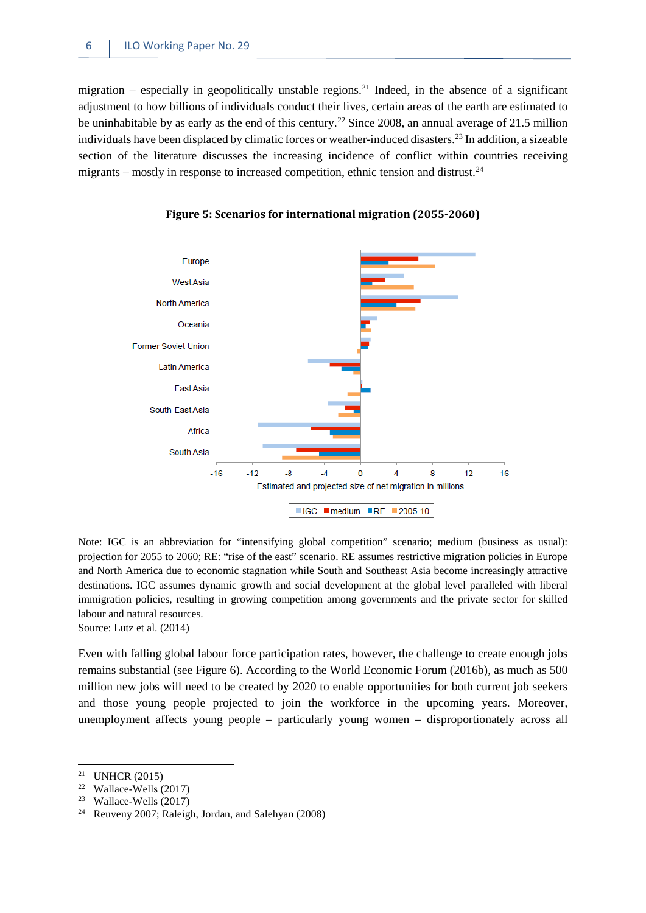migration – especially in geopolitically unstable regions.<sup>[21](#page-13-1)</sup> Indeed, in the absence of a significant adjustment to how billions of individuals conduct their lives, certain areas of the earth are estimated to be uninhabitable by as early as the end of this century.<sup>[22](#page-13-2)</sup> Since 2008, an annual average of 21.5 million individuals have been displaced by climatic forces or weather-induced disasters.[23](#page-13-3) In addition, a sizeable section of the literature discusses the increasing incidence of conflict within countries receiving migrants – mostly in response to increased competition, ethnic tension and distrust.<sup>[24](#page-13-4)</sup>

<span id="page-13-0"></span>

**Figure 5: Scenarios for international migration (2055-2060)**

Note: IGC is an abbreviation for "intensifying global competition" scenario; medium (business as usual): projection for 2055 to 2060; RE: "rise of the east" scenario. RE assumes restrictive migration policies in Europe and North America due to economic stagnation while South and Southeast Asia become increasingly attractive destinations. IGC assumes dynamic growth and social development at the global level paralleled with liberal immigration policies, resulting in growing competition among governments and the private sector for skilled labour and natural resources.

Source: Lutz et al. (2014)

Even with falling global labour force participation rates, however, the challenge to create enough jobs remains substantial (see Figure 6). According to the World Economic Forum (2016b), as much as 500 million new jobs will need to be created by 2020 to enable opportunities for both current job seekers and those young people projected to join the workforce in the upcoming years. Moreover, unemployment affects young people – particularly young women – disproportionately across all

<span id="page-13-1"></span><sup>&</sup>lt;sup>21</sup> UNHCR (2015)<br><sup>22</sup> Welless Wells (

Wallace-Wells (2017)

<span id="page-13-3"></span><span id="page-13-2"></span><sup>&</sup>lt;sup>23</sup> Wallace-Wells  $(2017)$ 

<span id="page-13-4"></span><sup>24</sup> Reuveny 2007; Raleigh, Jordan, and Salehyan (2008)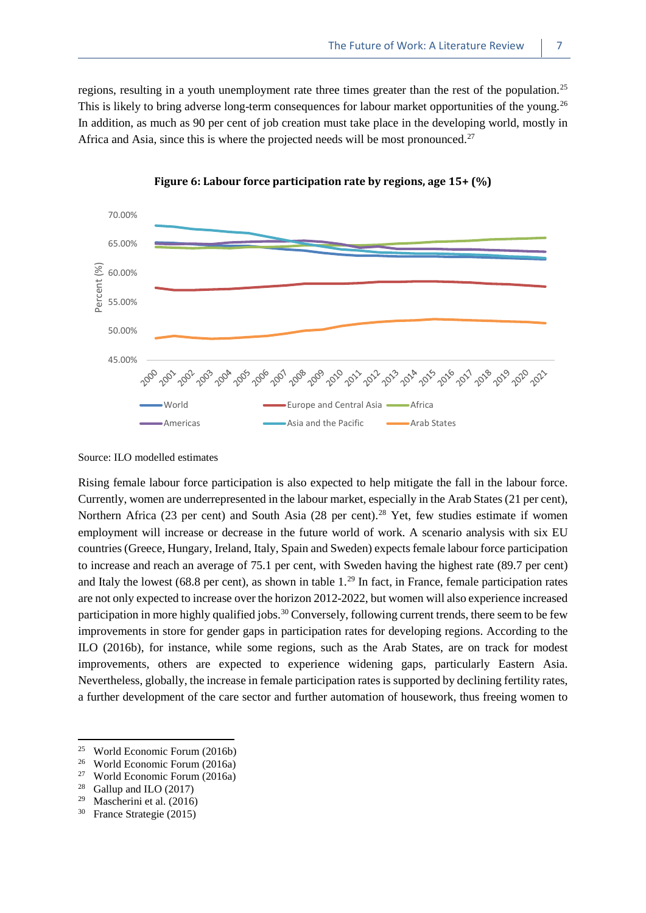regions, resulting in a youth unemployment rate three times greater than the rest of the population.<sup>[25](#page-14-1)</sup> This is likely to bring adverse long-term consequences for labour market opportunities of the young.<sup>[26](#page-14-2)</sup> In addition, as much as 90 per cent of job creation must take place in the developing world, mostly in Africa and Asia, since this is where the projected needs will be most pronounced.<sup>[27](#page-14-3)</sup>

<span id="page-14-0"></span>



Source: ILO modelled estimates

Rising female labour force participation is also expected to help mitigate the fall in the labour force. Currently, women are underrepresented in the labour market, especially in the Arab States (21 per cent), Northern Africa (23 per cent) and South Asia ([28](#page-14-4) per cent).<sup>28</sup> Yet, few studies estimate if women employment will increase or decrease in the future world of work. A scenario analysis with six EU countries (Greece, Hungary, Ireland, Italy, Spain and Sweden) expects female labour force participation to increase and reach an average of 75.1 per cent, with Sweden having the highest rate (89.7 per cent) and Italy the lowest (68.8 per cent), as shown in table  $1.^{29}$  $1.^{29}$  $1.^{29}$  In fact, in France, female participation rates are not only expected to increase over the horizon 2012-2022, but women will also experience increased participation in more highly qualified jobs.<sup>[30](#page-14-6)</sup> Conversely, following current trends, there seem to be few improvements in store for gender gaps in participation rates for developing regions. According to the ILO (2016b), for instance, while some regions, such as the Arab States, are on track for modest improvements, others are expected to experience widening gaps, particularly Eastern Asia. Nevertheless, globally, the increase in female participation rates is supported by declining fertility rates, a further development of the care sector and further automation of housework, thus freeing women to

<span id="page-14-1"></span><sup>&</sup>lt;sup>25</sup> World Economic Forum (2016b)<br><sup>26</sup> World Economic Forum (2016a)

<span id="page-14-2"></span><sup>&</sup>lt;sup>26</sup> World Economic Forum (2016a)

<span id="page-14-3"></span><sup>&</sup>lt;sup>27</sup> World Economic Forum (2016a)<br><sup>28</sup> Gallup and H O (2017)

Gallup and ILO (2017)

<span id="page-14-5"></span><span id="page-14-4"></span><sup>&</sup>lt;sup>29</sup> Mascherini et al.  $(2016)$ 

<span id="page-14-6"></span><sup>30</sup> France Strategie (2015)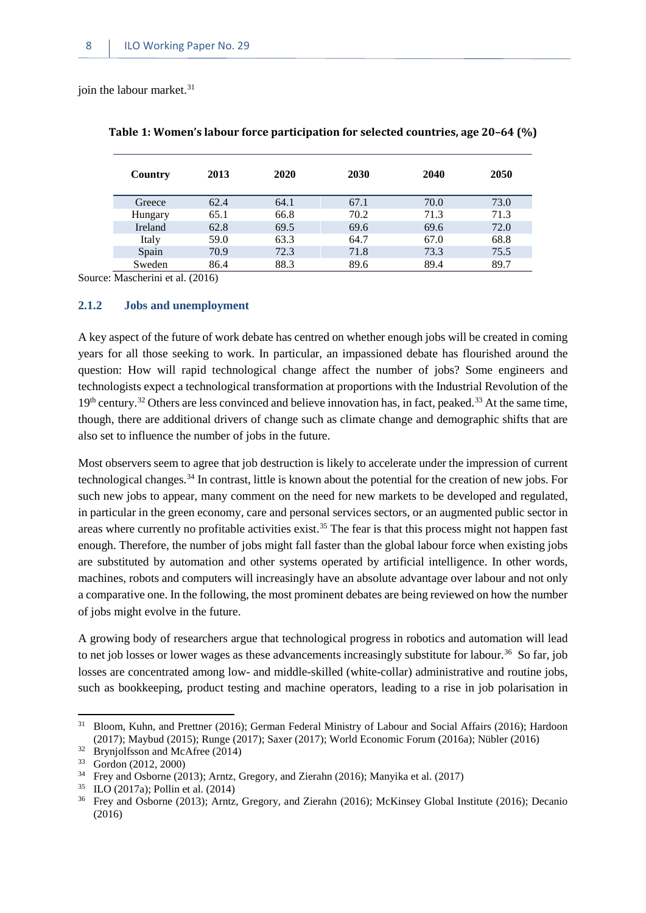<span id="page-15-1"></span>ioin the labour market. $31$ 

| Country        | 2013 | 2020 | 2030 | 2040 | 2050 |
|----------------|------|------|------|------|------|
| Greece         | 62.4 | 64.1 | 67.1 | 70.0 | 73.0 |
| Hungary        | 65.1 | 66.8 | 70.2 | 71.3 | 71.3 |
| <b>Ireland</b> | 62.8 | 69.5 | 69.6 | 69.6 | 72.0 |
| Italy          | 59.0 | 63.3 | 64.7 | 67.0 | 68.8 |
| Spain          | 70.9 | 72.3 | 71.8 | 73.3 | 75.5 |
| Sweden         | 86.4 | 88.3 | 89.6 | 89.4 | 89.7 |

| Table 1: Women's labour force participation for selected countries, age 20–64 (%) |  |  |
|-----------------------------------------------------------------------------------|--|--|
|-----------------------------------------------------------------------------------|--|--|

Source: Mascherini et al. (2016)

#### <span id="page-15-0"></span>**2.1.2 Jobs and unemployment**

A key aspect of the future of work debate has centred on whether enough jobs will be created in coming years for all those seeking to work. In particular, an impassioned debate has flourished around the question: How will rapid technological change affect the number of jobs? Some engineers and technologists expect a technological transformation at proportions with the Industrial Revolution of the 19<sup>th</sup> century.<sup>[32](#page-15-3)</sup> Others are less convinced and believe innovation has, in fact, peaked.<sup>[33](#page-15-4)</sup> At the same time, though, there are additional drivers of change such as climate change and demographic shifts that are also set to influence the number of jobs in the future.

Most observers seem to agree that job destruction is likely to accelerate under the impression of current technological changes[.34](#page-15-5) In contrast, little is known about the potential for the creation of new jobs. For such new jobs to appear, many comment on the need for new markets to be developed and regulated, in particular in the green economy, care and personal services sectors, or an augmented public sector in areas where currently no profitable activities exist.<sup>[35](#page-15-6)</sup> The fear is that this process might not happen fast enough. Therefore, the number of jobs might fall faster than the global labour force when existing jobs are substituted by automation and other systems operated by artificial intelligence. In other words, machines, robots and computers will increasingly have an absolute advantage over labour and not only a comparative one. In the following, the most prominent debates are being reviewed on how the number of jobs might evolve in the future.

A growing body of researchers argue that technological progress in robotics and automation will lead to net job losses or lower wages as these advancements increasingly substitute for labour.<sup>36</sup> So far, job losses are concentrated among low- and middle-skilled (white-collar) administrative and routine jobs, such as bookkeeping, product testing and machine operators, leading to a rise in job polarisation in

<span id="page-15-2"></span><sup>&</sup>lt;sup>31</sup> Bloom, Kuhn, and Prettner (2016); German Federal Ministry of Labour and Social Affairs (2016); Hardoon (2017); Maybud (2015); Runge (2017); Saxer (2017); World Economic Forum (2016a); Nübler (2016)

<span id="page-15-3"></span> $32$  Brynjolfsson and McAfree (2014)

<span id="page-15-4"></span> $33 \text{ Gordon} (2012, 2000)$ <br> $34 \text{From and Oborne} (201)$ 

<sup>34</sup> Frey and Osborne (2013); Arntz, Gregory, and Zierahn (2016); Manyika et al. (2017)

<span id="page-15-6"></span><span id="page-15-5"></span><sup>35</sup> ILO (2017a); Pollin et al. (2014)

<span id="page-15-7"></span><sup>36</sup> Frey and Osborne (2013); Arntz, Gregory, and Zierahn (2016); McKinsey Global Institute (2016); Decanio (2016)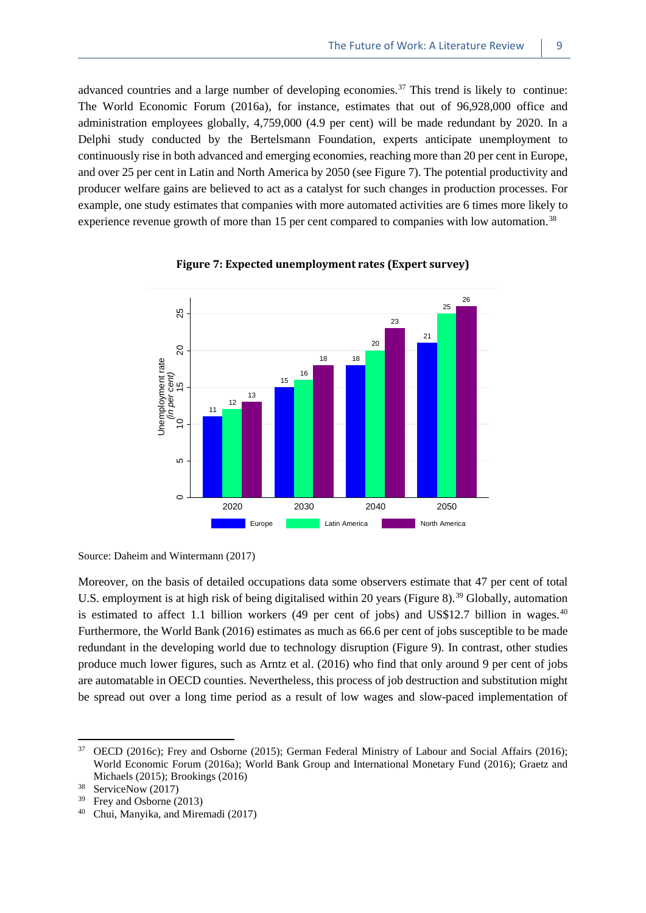advanced countries and a large number of developing economies.<sup>[37](#page-16-1)</sup> This trend is likely to continue: The World Economic Forum (2016a), for instance, estimates that out of 96,928,000 office and administration employees globally, 4,759,000 (4.9 per cent) will be made redundant by 2020. In a Delphi study conducted by the Bertelsmann Foundation, experts anticipate unemployment to continuously rise in both advanced and emerging economies, reaching more than 20 per cent in Europe, and over 25 per cent in Latin and North America by 2050 (see Figure 7). The potential productivity and producer welfare gains are believed to act as a catalyst for such changes in production processes. For example, one study estimates that companies with more automated activities are 6 times more likely to experience revenue growth of more than 15 per cent compared to companies with low automation.<sup>[38](#page-16-2)</sup>

<span id="page-16-0"></span>

#### **Figure 7: Expected unemployment rates (Expert survey)**

Source: Daheim and Wintermann (2017)

Moreover, on the basis of detailed occupations data some observers estimate that 47 per cent of total U.S. employment is at high risk of being digitalised within 20 years (Figure 8).<sup>[39](#page-16-3)</sup> Globally, automation is estimated to affect 1.1 billion workers (49 per cent of jobs) and US\$12.7 billion in wages.<sup>[40](#page-16-4)</sup> Furthermore, the World Bank (2016) estimates as much as 66.6 per cent of jobs susceptible to be made redundant in the developing world due to technology disruption (Figure 9). In contrast, other studies produce much lower figures, such as Arntz et al. (2016) who find that only around 9 per cent of jobs are automatable in OECD counties. Nevertheless, this process of job destruction and substitution might be spread out over a long time period as a result of low wages and slow-paced implementation of

<span id="page-16-1"></span><sup>&</sup>lt;sup>37</sup> OECD (2016c); Frey and Osborne (2015); German Federal Ministry of Labour and Social Affairs (2016); World Economic Forum (2016a); World Bank Group and International Monetary Fund (2016); Graetz and Michaels (2015); Brookings (2016)

<span id="page-16-2"></span><sup>&</sup>lt;sup>38</sup> ServiceNow (2017)

<span id="page-16-3"></span><sup>39</sup> Frey and Osborne (2013)

<span id="page-16-4"></span><sup>40</sup> Chui, Manyika, and Miremadi (2017)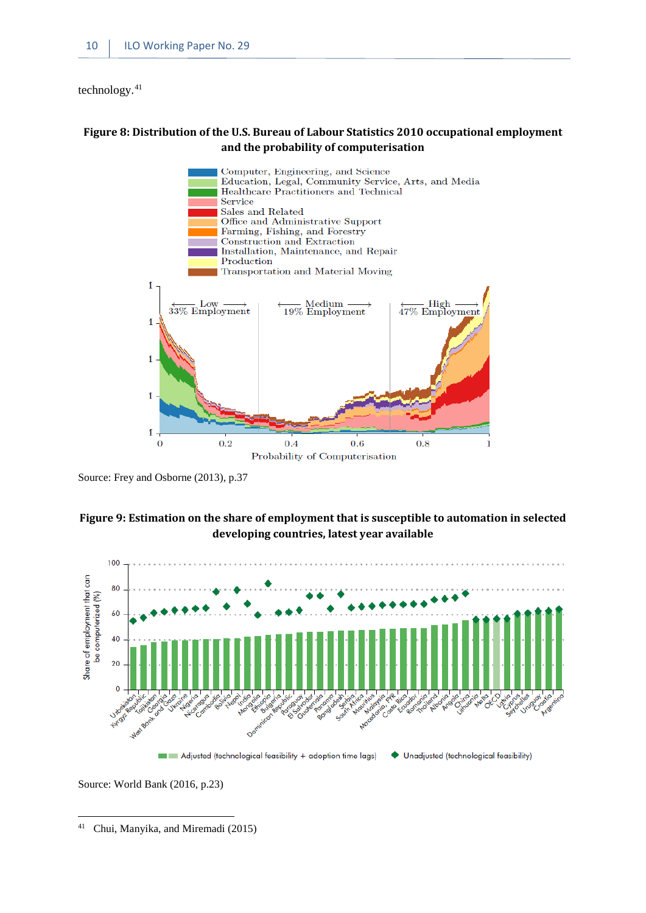technology.[41](#page-17-2)

#### <span id="page-17-0"></span>**Figure 8: Distribution of the U.S. Bureau of Labour Statistics 2010 occupational employment and the probability of computerisation**



Source: Frey and Osborne (2013), p.37

#### <span id="page-17-1"></span>**Figure 9: Estimation on the share of employment that is susceptible to automation in selected developing countries, latest year available**



Source: World Bank (2016, p.23)

<span id="page-17-2"></span><sup>41</sup> Chui, Manyika, and Miremadi (2015) 1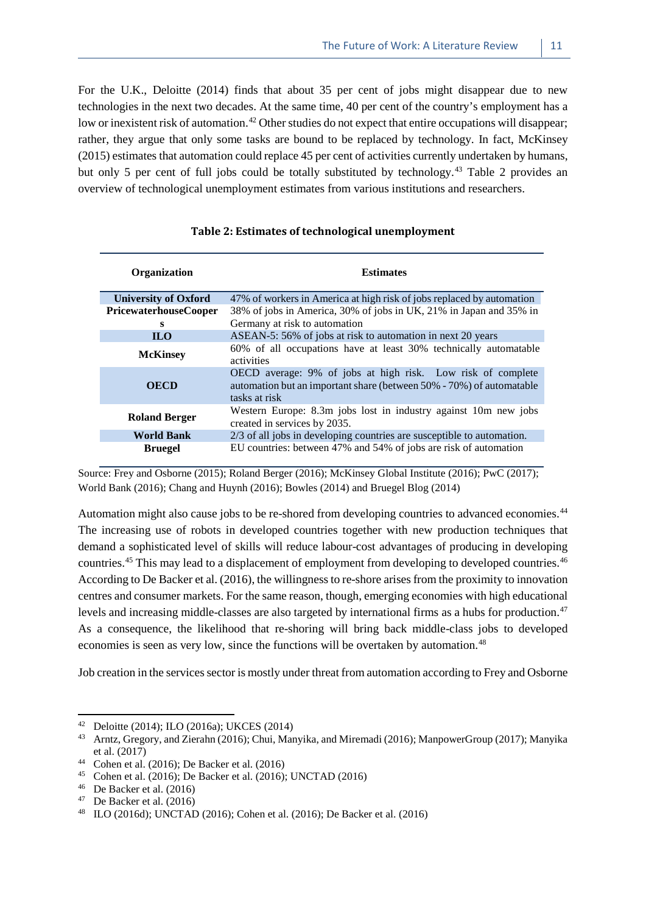For the U.K., Deloitte (2014) finds that about 35 per cent of jobs might disappear due to new technologies in the next two decades. At the same time, 40 per cent of the country's employment has a low or inexistent risk of automation.<sup>[42](#page-18-1)</sup> Other studies do not expect that entire occupations will disappear; rather, they argue that only some tasks are bound to be replaced by technology. In fact, McKinsey (2015) estimates that automation could replace 45 per cent of activities currently undertaken by humans, but only 5 per cent of full jobs could be totally substituted by technology.<sup>[43](#page-18-2)</sup> Table 2 provides an overview of technological unemployment estimates from various institutions and researchers.

<span id="page-18-0"></span>

| Organization                 | <b>Estimates</b>                                                                                                                                     |  |  |
|------------------------------|------------------------------------------------------------------------------------------------------------------------------------------------------|--|--|
| <b>University of Oxford</b>  | 47% of workers in America at high risk of jobs replaced by automation                                                                                |  |  |
| <b>PricewaterhouseCooper</b> | 38% of jobs in America, 30% of jobs in UK, 21% in Japan and 35% in                                                                                   |  |  |
| s                            | Germany at risk to automation                                                                                                                        |  |  |
| <b>ILO</b>                   | ASEAN-5: 56% of jobs at risk to automation in next 20 years                                                                                          |  |  |
| <b>McKinsey</b>              | 60% of all occupations have at least 30% technically automatable<br>activities                                                                       |  |  |
| <b>OECD</b>                  | OECD average: 9% of jobs at high risk. Low risk of complete<br>automation but an important share (between 50% - 70%) of automatable<br>tasks at risk |  |  |
| <b>Roland Berger</b>         | Western Europe: 8.3m jobs lost in industry against 10m new jobs<br>created in services by 2035.                                                      |  |  |
| <b>World Bank</b>            | $2/3$ of all jobs in developing countries are susceptible to automation.                                                                             |  |  |
| <b>Bruegel</b>               | EU countries: between 47% and 54% of jobs are risk of automation                                                                                     |  |  |

#### **Table 2: Estimates of technological unemployment**

Source: Frey and Osborne (2015); Roland Berger (2016); McKinsey Global Institute (2016); PwC (2017); World Bank (2016); Chang and Huynh (2016); Bowles (2014) and Bruegel Blog (2014)

Automation might also cause jobs to be re-shored from developing countries to advanced economies.[44](#page-18-3) The increasing use of robots in developed countries together with new production techniques that demand a sophisticated level of skills will reduce labour-cost advantages of producing in developing countries.<sup>[45](#page-18-4)</sup> This may lead to a displacement of employment from developing to developed countries.<sup>[46](#page-18-5)</sup> According to De Backer et al. (2016), the willingness to re-shore arises from the proximity to innovation centres and consumer markets. For the same reason, though, emerging economies with high educational levels and increasing middle-classes are also targeted by international firms as a hubs for production.<sup>[47](#page-18-6)</sup> As a consequence, the likelihood that re-shoring will bring back middle-class jobs to developed economies is seen as very low, since the functions will be overtaken by automation.[48](#page-18-7)

Job creation in the services sector is mostly under threat from automation according to Frey and Osborne

<span id="page-18-1"></span><sup>42</sup> Deloitte (2014); ILO (2016a); UKCES (2014)

<span id="page-18-2"></span><sup>&</sup>lt;sup>43</sup> Arntz, Gregory, and Zierahn (2016); Chui, Manyika, and Miremadi (2016); ManpowerGroup (2017); Manyika et al. (2017)

<span id="page-18-3"></span><sup>&</sup>lt;sup>44</sup> Cohen et al.  $(2016)$ ; De Backer et al.  $(2016)$ 

<span id="page-18-4"></span><sup>45</sup> Cohen et al. (2016); De Backer et al. (2016); UNCTAD (2016)

<span id="page-18-5"></span><sup>46</sup> De Backer et al. (2016)

<span id="page-18-6"></span> $47$  De Backer et al. (2016)

<span id="page-18-7"></span><sup>48</sup> ILO (2016d); UNCTAD (2016); Cohen et al. (2016); De Backer et al. (2016)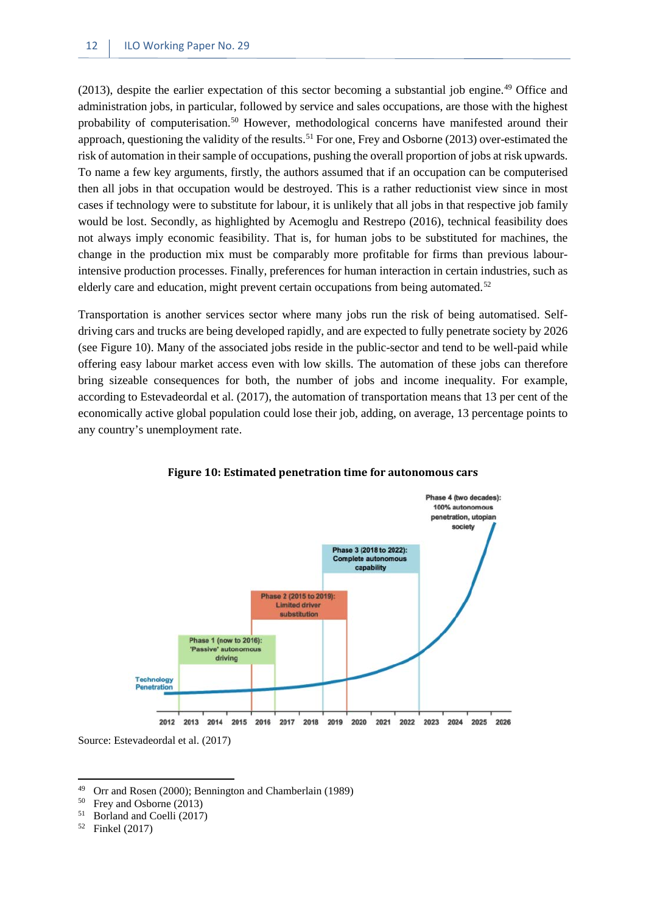(2013), despite the earlier expectation of this sector becoming a substantial job engine.[49](#page-19-1) Office and administration jobs, in particular, followed by service and sales occupations, are those with the highest probability of computerisation.<sup>[50](#page-19-2)</sup> However, methodological concerns have manifested around their approach, questioning the validity of the results.<sup>[51](#page-19-3)</sup> For one, Frey and Osborne (2013) over-estimated the risk of automation in their sample of occupations, pushing the overall proportion of jobs at risk upwards. To name a few key arguments, firstly, the authors assumed that if an occupation can be computerised then all jobs in that occupation would be destroyed. This is a rather reductionist view since in most cases if technology were to substitute for labour, it is unlikely that all jobs in that respective job family would be lost. Secondly, as highlighted by Acemoglu and Restrepo (2016), technical feasibility does not always imply economic feasibility. That is, for human jobs to be substituted for machines, the change in the production mix must be comparably more profitable for firms than previous labourintensive production processes. Finally, preferences for human interaction in certain industries, such as elderly care and education, might prevent certain occupations from being automated.<sup>[52](#page-19-4)</sup>

Transportation is another services sector where many jobs run the risk of being automatised. Selfdriving cars and trucks are being developed rapidly, and are expected to fully penetrate society by 2026 (see Figure 10). Many of the associated jobs reside in the public-sector and tend to be well-paid while offering easy labour market access even with low skills. The automation of these jobs can therefore bring sizeable consequences for both, the number of jobs and income inequality. For example, according to Estevadeordal et al. (2017), the automation of transportation means that 13 per cent of the economically active global population could lose their job, adding, on average, 13 percentage points to any country's unemployment rate.

<span id="page-19-0"></span>

**Figure 10: Estimated penetration time for autonomous cars**

Source: Estevadeordal et al. (2017)

- Frey and Osborne (2013)
- <span id="page-19-3"></span><span id="page-19-2"></span><sup>51</sup> Borland and Coelli (2017)
- <span id="page-19-4"></span><sup>52</sup> Finkel (2017)

<span id="page-19-1"></span><sup>&</sup>lt;sup>49</sup> Orr and Rosen (2000); Bennington and Chamberlain (1989)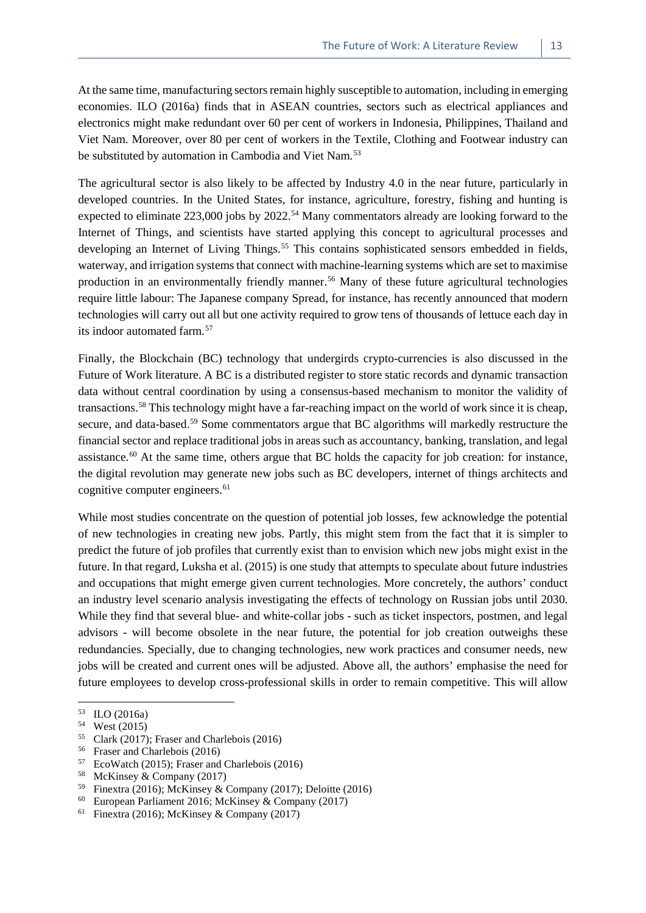At the same time, manufacturing sectors remain highly susceptible to automation, including in emerging economies. ILO (2016a) finds that in ASEAN countries, sectors such as electrical appliances and electronics might make redundant over 60 per cent of workers in Indonesia, Philippines, Thailand and Viet Nam. Moreover, over 80 per cent of workers in the Textile, Clothing and Footwear industry can be substituted by automation in Cambodia and Viet Nam.<sup>[53](#page-20-0)</sup>

The agricultural sector is also likely to be affected by Industry 4.0 in the near future, particularly in developed countries. In the United States, for instance, agriculture, forestry, fishing and hunting is expected to eliminate  $223,000$  jobs by  $2022$ .<sup>[54](#page-20-1)</sup> Many commentators already are looking forward to the Internet of Things, and scientists have started applying this concept to agricultural processes and developing an Internet of Living Things.<sup>[55](#page-20-2)</sup> This contains sophisticated sensors embedded in fields, waterway, and irrigation systems that connect with machine-learning systems which are set to maximise production in an environmentally friendly manner.<sup>[56](#page-20-3)</sup> Many of these future agricultural technologies require little labour: The Japanese company Spread, for instance, has recently announced that modern technologies will carry out all but one activity required to grow tens of thousands of lettuce each day in its indoor automated farm.[57](#page-20-4)

Finally, the Blockchain (BC) technology that undergirds crypto-currencies is also discussed in the Future of Work literature. A BC is a distributed register to store static records and dynamic transaction data without central coordination by using a consensus-based mechanism to monitor the validity of transactions.[58](#page-20-5) This technology might have a far-reaching impact on the world of work since it is cheap, secure, and data-based.<sup>[59](#page-20-6)</sup> Some commentators argue that BC algorithms will markedly restructure the financial sector and replace traditional jobs in areas such as accountancy, banking, translation, and legal assistance.<sup>[60](#page-20-7)</sup> At the same time, others argue that BC holds the capacity for job creation: for instance, the digital revolution may generate new jobs such as BC developers, internet of things architects and cognitive computer engineers.<sup>[61](#page-20-8)</sup>

While most studies concentrate on the question of potential job losses, few acknowledge the potential of new technologies in creating new jobs. Partly, this might stem from the fact that it is simpler to predict the future of job profiles that currently exist than to envision which new jobs might exist in the future. In that regard, Luksha et al. (2015) is one study that attempts to speculate about future industries and occupations that might emerge given current technologies. More concretely, the authors' conduct an industry level scenario analysis investigating the effects of technology on Russian jobs until 2030. While they find that several blue- and white-collar jobs - such as ticket inspectors, postmen, and legal advisors - will become obsolete in the near future, the potential for job creation outweighs these redundancies. Specially, due to changing technologies, new work practices and consumer needs, new jobs will be created and current ones will be adjusted. Above all, the authors' emphasise the need for future employees to develop cross-professional skills in order to remain competitive. This will allow

**.** 

<span id="page-20-8"></span><span id="page-20-7"></span><sup>60</sup> European Parliament 2016; McKinsey & Company (2017)<br><sup>61</sup> Finextra (2016): McKinsey & Company (2017)

<span id="page-20-0"></span><sup>53</sup> ILO (2016a)

<span id="page-20-1"></span> $54$  West (2015)<br> $55$  Clark (2017)

<span id="page-20-2"></span><sup>&</sup>lt;sup>55</sup> Clark (2017); Fraser and Charlebois (2016)<br><sup>56</sup> Erger and Charlebois (2016)

<span id="page-20-4"></span><span id="page-20-3"></span><sup>&</sup>lt;sup>56</sup> Fraser and Charlebois (2016)<sup>57</sup> EcoWatch (2015): Fraser and

EcoWatch (2015); Fraser and Charlebois (2016)

<span id="page-20-5"></span><sup>58</sup> McKinsey & Company (2017)

<span id="page-20-6"></span><sup>&</sup>lt;sup>59</sup> Finextra (2016); McKinsey & Company (2017); Deloitte (2016)

Finextra (2016); McKinsey & Company (2017)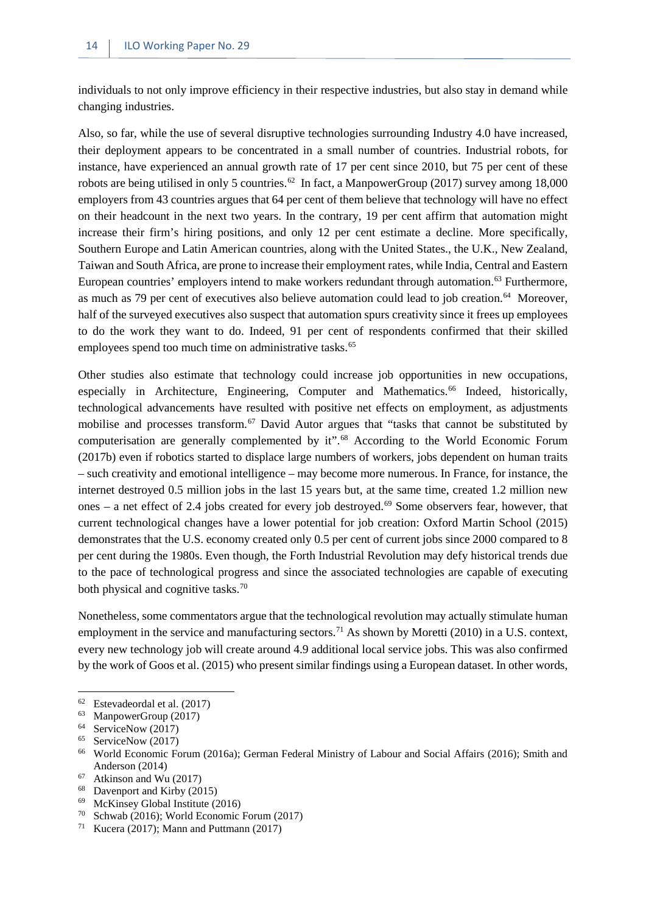individuals to not only improve efficiency in their respective industries, but also stay in demand while changing industries.

Also, so far, while the use of several disruptive technologies surrounding Industry 4.0 have increased, their deployment appears to be concentrated in a small number of countries. Industrial robots, for instance, have experienced an annual growth rate of 17 per cent since 2010, but 75 per cent of these robots are being utilised in only 5 countries.<sup>[62](#page-21-0)</sup> In fact, a ManpowerGroup (2017) survey among 18,000 employers from 43 countries argues that 64 per cent of them believe that technology will have no effect on their headcount in the next two years. In the contrary, 19 per cent affirm that automation might increase their firm's hiring positions, and only 12 per cent estimate a decline. More specifically, Southern Europe and Latin American countries, along with the United States., the U.K., New Zealand, Taiwan and South Africa, are prone to increase their employment rates, while India, Central and Eastern European countries' employers intend to make workers redundant through automation.<sup>[63](#page-21-1)</sup> Furthermore, as much as 79 per cent of executives also believe automation could lead to job creation.<sup>64</sup> Moreover, half of the surveyed executives also suspect that automation spurs creativity since it frees up employees to do the work they want to do. Indeed, 91 per cent of respondents confirmed that their skilled employees spend too much time on administrative tasks.<sup>[65](#page-21-3)</sup>

Other studies also estimate that technology could increase job opportunities in new occupations, especially in Architecture, Engineering, Computer and Mathematics.<sup>[66](#page-21-4)</sup> Indeed, historically, technological advancements have resulted with positive net effects on employment, as adjustments mobilise and processes transform.<sup>[67](#page-21-5)</sup> David Autor argues that "tasks that cannot be substituted by computerisation are generally complemented by it".<sup>[68](#page-21-6)</sup> According to the World Economic Forum (2017b) even if robotics started to displace large numbers of workers, jobs dependent on human traits – such creativity and emotional intelligence – may become more numerous. In France, for instance, the internet destroyed 0.5 million jobs in the last 15 years but, at the same time, created 1.2 million new ones – a net effect of 2.4 jobs created for every job destroyed.<sup>[69](#page-21-7)</sup> Some observers fear, however, that current technological changes have a lower potential for job creation: Oxford Martin School (2015) demonstrates that the U.S. economy created only 0.5 per cent of current jobs since 2000 compared to 8 per cent during the 1980s. Even though, the Forth Industrial Revolution may defy historical trends due to the pace of technological progress and since the associated technologies are capable of executing both physical and cognitive tasks.<sup>[70](#page-21-8)</sup>

Nonetheless, some commentators argue that the technological revolution may actually stimulate human employment in the service and manufacturing sectors.<sup>[71](#page-21-9)</sup> As shown by Moretti (2010) in a U.S. context, every new technology job will create around 4.9 additional local service jobs. This was also confirmed by the work of Goos et al. (2015) who present similar findings using a European dataset. In other words,

- <span id="page-21-5"></span> $67$  Atkinson and Wu (2017)<br> $68$  Devenport and Kirby (20
- <span id="page-21-6"></span> $^{68}$  Davenport and Kirby (2015)
- McKinsey Global Institute (2016)
- <span id="page-21-9"></span><span id="page-21-8"></span><span id="page-21-7"></span><sup>70</sup> Schwab (2016); World Economic Forum (2017)<br><sup>71</sup> Kucera (2017): Mann and Puttmann (2017)

<span id="page-21-0"></span><sup>62</sup> Estevadeordal et al. (2017)

<span id="page-21-1"></span><sup>63</sup> ManpowerGroup (2017)

<span id="page-21-2"></span><sup>&</sup>lt;sup>64</sup> ServiceNow (2017)

<span id="page-21-3"></span><sup>65</sup> ServiceNow (2017)

<span id="page-21-4"></span><sup>66</sup> World Economic Forum (2016a); German Federal Ministry of Labour and Social Affairs (2016); Smith and Anderson (2014)

Kucera (2017); Mann and Puttmann (2017)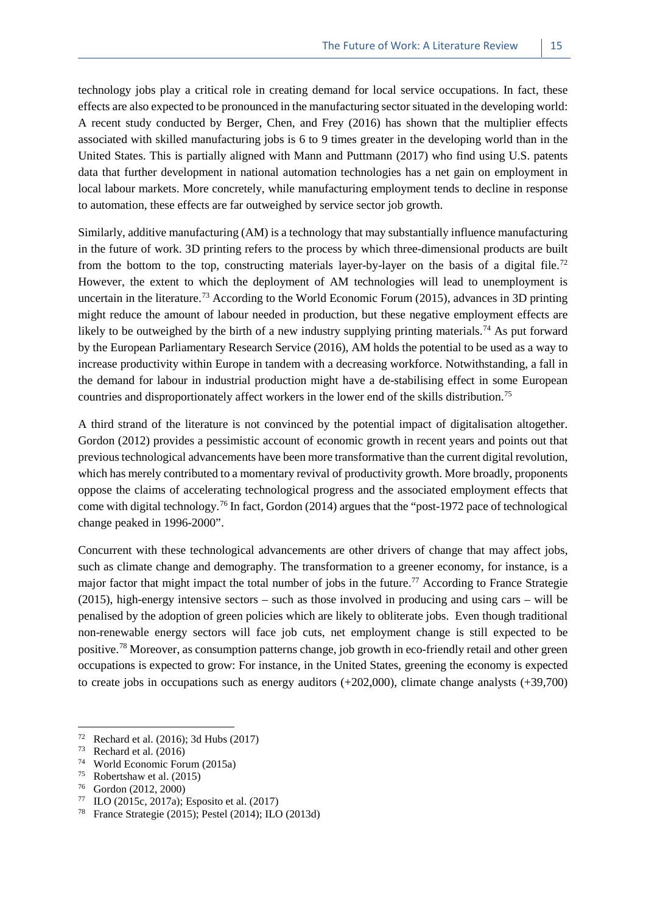technology jobs play a critical role in creating demand for local service occupations. In fact, these effects are also expected to be pronounced in the manufacturing sector situated in the developing world: A recent study conducted by Berger, Chen, and Frey (2016) has shown that the multiplier effects associated with skilled manufacturing jobs is 6 to 9 times greater in the developing world than in the United States. This is partially aligned with Mann and Puttmann (2017) who find using U.S. patents data that further development in national automation technologies has a net gain on employment in local labour markets. More concretely, while manufacturing employment tends to decline in response to automation, these effects are far outweighed by service sector job growth.

Similarly, additive manufacturing (AM) is a technology that may substantially influence manufacturing in the future of work. 3D printing refers to the process by which three-dimensional products are built from the bottom to the top, constructing materials layer-by-layer on the basis of a digital file.<sup>[72](#page-22-0)</sup> However, the extent to which the deployment of AM technologies will lead to unemployment is uncertain in the literature.<sup>[73](#page-22-1)</sup> According to the World Economic Forum (2015), advances in 3D printing might reduce the amount of labour needed in production, but these negative employment effects are likely to be outweighed by the birth of a new industry supplying printing materials.<sup>[74](#page-22-2)</sup> As put forward by the European Parliamentary Research Service (2016), AM holds the potential to be used as a way to increase productivity within Europe in tandem with a decreasing workforce. Notwithstanding, a fall in the demand for labour in industrial production might have a de-stabilising effect in some European countries and disproportionately affect workers in the lower end of the skills distribution.[75](#page-22-3) 

A third strand of the literature is not convinced by the potential impact of digitalisation altogether. Gordon (2012) provides a pessimistic account of economic growth in recent years and points out that previous technological advancements have been more transformative than the current digital revolution, which has merely contributed to a momentary revival of productivity growth. More broadly, proponents oppose the claims of accelerating technological progress and the associated employment effects that come with digital technology.<sup>[76](#page-22-4)</sup> In fact, Gordon (2014) argues that the "post-1972 pace of technological change peaked in 1996-2000".

Concurrent with these technological advancements are other drivers of change that may affect jobs, such as climate change and demography. The transformation to a greener economy, for instance, is a major factor that might impact the total number of jobs in the future.<sup>[77](#page-22-5)</sup> According to France Strategie (2015), high-energy intensive sectors – such as those involved in producing and using cars – will be penalised by the adoption of green policies which are likely to obliterate jobs. Even though traditional non-renewable energy sectors will face job cuts, net employment change is still expected to be positive.[78](#page-22-6) Moreover, as consumption patterns change, job growth in eco-friendly retail and other green occupations is expected to grow: For instance, in the United States, greening the economy is expected to create jobs in occupations such as energy auditors  $(+202,000)$ , climate change analysts  $(+39,700)$ 

 $\overline{a}$ 

<span id="page-22-3"></span><sup>75</sup> Robertshaw et al. (2015)<br> $^{76}$  Gordon (2012, 2000)

<span id="page-22-0"></span><sup>&</sup>lt;sup>72</sup> Rechard et al. (2016); 3d Hubs (2017)<br><sup>73</sup> Rechard et al. (2016)

<span id="page-22-1"></span> $^{73}$  Rechard et al. (2016)

<span id="page-22-2"></span><sup>&</sup>lt;sup>74</sup> World Economic Forum (2015a)<br><sup>75</sup> Pohortshaw at al. (2015)

<span id="page-22-5"></span><span id="page-22-4"></span> $^{76}$  Gordon (2012, 2000)<br> $^{77}$  II O (2015e 2017a)

<sup>77</sup> ILO (2015c, 2017a); Esposito et al. (2017)

<span id="page-22-6"></span>France Strategie (2015); Pestel (2014); ILO (2013d)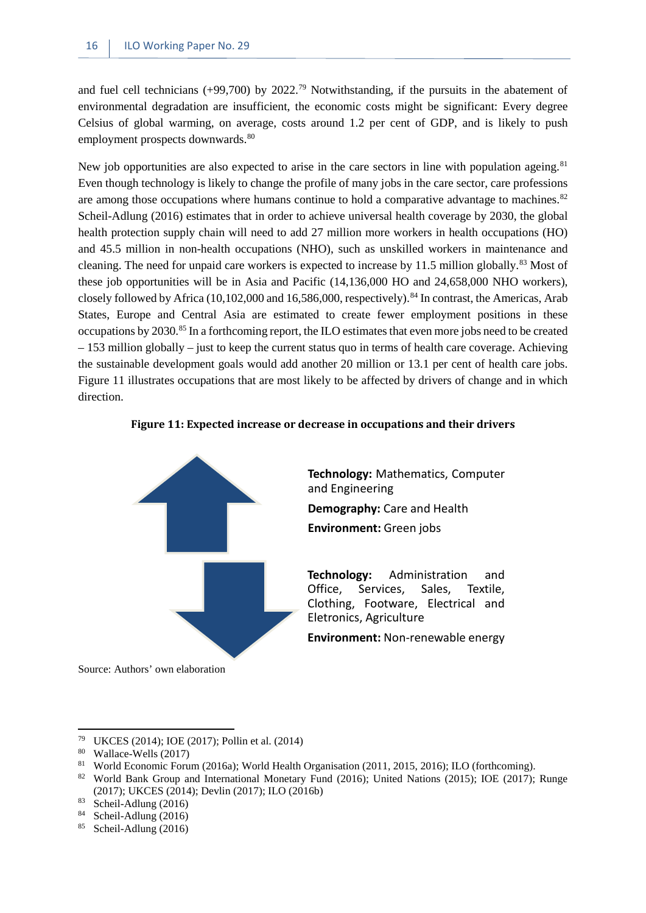and fuel cell technicians (+99,700) by 2022.<sup>79</sup> Notwithstanding, if the pursuits in the abatement of environmental degradation are insufficient, the economic costs might be significant: Every degree Celsius of global warming, on average, costs around 1.2 per cent of GDP, and is likely to push employment prospects downwards.<sup>80</sup>

New job opportunities are also expected to arise in the care sectors in line with population ageing.<sup>[81](#page-23-3)</sup> Even though technology is likely to change the profile of many jobs in the care sector, care professions are among those occupations where humans continue to hold a comparative advantage to machines. $82$ Scheil-Adlung (2016) estimates that in order to achieve universal health coverage by 2030, the global health protection supply chain will need to add 27 million more workers in health occupations (HO) and 45.5 million in non-health occupations (NHO), such as unskilled workers in maintenance and cleaning. The need for unpaid care workers is expected to increase by 11.5 million globally.<sup>[83](#page-23-5)</sup> Most of these job opportunities will be in Asia and Pacific (14,136,000 HO and 24,658,000 NHO workers), closely followed by Africa (10,102,000 and 16,586,000, respectively).<sup>[84](#page-23-6)</sup> In contrast, the Americas, Arab States, Europe and Central Asia are estimated to create fewer employment positions in these occupations by 2030.[85](#page-23-7) In a forthcoming report, the ILO estimates that even more jobs need to be created – 153 million globally – just to keep the current status quo in terms of health care coverage. Achieving the sustainable development goals would add another 20 million or 13.1 per cent of health care jobs. Figure 11 illustrates occupations that are most likely to be affected by drivers of change and in which direction.

<span id="page-23-0"></span>



**Technology:** Mathematics, Computer and Engineering **Demography:** Care and Health **Environment:** Green jobs

**Technology:** Administration and Office, Services, Sales, Textile, Clothing, Footware, Electrical and Eletronics, Agriculture

**Environment:** Non-renewable energy

Source: Authors' own elaboration

<span id="page-23-1"></span><sup>&</sup>lt;sup>79</sup> UKCES (2014); IOE (2017); Pollin et al. (2014)<br><sup>80</sup> Wallace Walls (2017)

<span id="page-23-2"></span> $\frac{80}{81}$  Wallace-Wells (2017)

<sup>81</sup> World Economic Forum (2016a); World Health Organisation (2011, 2015, 2016); ILO (forthcoming).

<span id="page-23-4"></span><span id="page-23-3"></span><sup>&</sup>lt;sup>82</sup> World Bank Group and International Monetary Fund (2016); United Nations (2015); IOE (2017); Runge (2017); UKCES (2014); Devlin (2017); ILO (2016b)

<span id="page-23-5"></span> $83$  Scheil-Adlung (2016)

<span id="page-23-6"></span><sup>84</sup> Scheil-Adlung (2016)

<span id="page-23-7"></span><sup>85</sup> Scheil-Adlung (2016)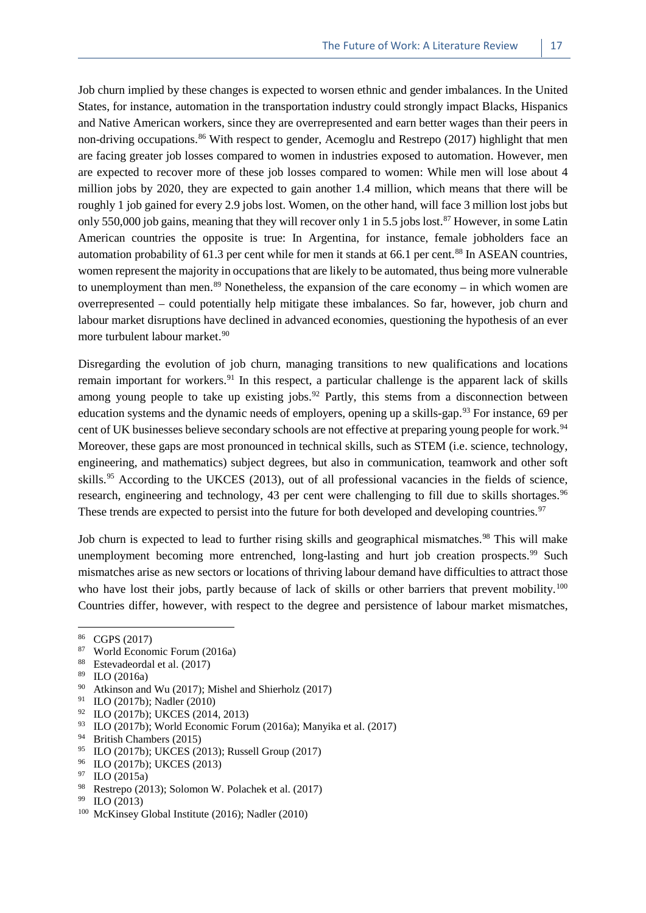Job churn implied by these changes is expected to worsen ethnic and gender imbalances. In the United States, for instance, automation in the transportation industry could strongly impact Blacks, Hispanics and Native American workers, since they are overrepresented and earn better wages than their peers in non-driving occupations.<sup>[86](#page-24-0)</sup> With respect to gender, Acemoglu and Restrepo (2017) highlight that men are facing greater job losses compared to women in industries exposed to automation. However, men are expected to recover more of these job losses compared to women: While men will lose about 4 million jobs by 2020, they are expected to gain another 1.4 million, which means that there will be roughly 1 job gained for every 2.9 jobs lost. Women, on the other hand, will face 3 million lost jobs but only 550,000 job gains, meaning that they will recover only 1 in 5.5 jobs lost.<sup>[87](#page-24-1)</sup> However, in some Latin American countries the opposite is true: In Argentina, for instance, female jobholders face an automation probability of 61.3 per cent while for men it stands at 66.1 per cent.<sup>[88](#page-24-2)</sup> In ASEAN countries, women represent the majority in occupations that are likely to be automated, thus being more vulnerable to unemployment than men.<sup>[89](#page-24-3)</sup> Nonetheless, the expansion of the care economy – in which women are overrepresented – could potentially help mitigate these imbalances. So far, however, job churn and labour market disruptions have declined in advanced economies, questioning the hypothesis of an ever more turbulent labour market.<sup>90</sup>

Disregarding the evolution of job churn, managing transitions to new qualifications and locations remain important for workers.<sup>[91](#page-24-5)</sup> In this respect, a particular challenge is the apparent lack of skills among young people to take up existing jobs.<sup>[92](#page-24-6)</sup> Partly, this stems from a disconnection between education systems and the dynamic needs of employers, opening up a skills-gap.<sup>[93](#page-24-7)</sup> For instance, 69 per cent of UK businesses believe secondary schools are not effective at preparing young people for work.<sup>[94](#page-24-8)</sup> Moreover, these gaps are most pronounced in technical skills, such as STEM (i.e. science, technology, engineering, and mathematics) subject degrees, but also in communication, teamwork and other soft skills.<sup>[95](#page-24-9)</sup> According to the UKCES (2013), out of all professional vacancies in the fields of science, research, engineering and technology, 43 per cent were challenging to fill due to skills shortages.<sup>[96](#page-24-10)</sup> These trends are expected to persist into the future for both developed and developing countries.<sup>[97](#page-24-11)</sup>

Job churn is expected to lead to further rising skills and geographical mismatches.<sup>[98](#page-24-12)</sup> This will make unemployment becoming more entrenched, long-lasting and hurt job creation prospects.<sup>[99](#page-24-13)</sup> Such mismatches arise as new sectors or locations of thriving labour demand have difficulties to attract those who have lost their jobs, partly because of lack of skills or other barriers that prevent mobility.<sup>[100](#page-24-14)</sup> Countries differ, however, with respect to the degree and persistence of labour market mismatches,

- World Economic Forum (2016a)
- <span id="page-24-2"></span><span id="page-24-1"></span><sup>88</sup> Estevadeordal et al. (2017)<br><sup>89</sup> H O (2016)
- <span id="page-24-3"></span> $rac{89}{90}$  ILO (2016a)
- <span id="page-24-4"></span><sup>90</sup> Atkinson and Wu (2017); Mishel and Shierholz (2017)<br><sup>91</sup> II O (2017b): Nodler (2010)
- <span id="page-24-5"></span><sup>91</sup> ILO (2017b); Nadler (2010)<br><sup>92</sup> ILO (2017b); LIKCES (2014
- <span id="page-24-6"></span><sup>92</sup> ILO (2017b); UKCES (2014, 2013)
- <span id="page-24-7"></span><sup>93</sup> ILO (2017b); World Economic Forum (2016a); Manyika et al. (2017)<br><sup>94</sup> Pritish Chambers (2015)
- <span id="page-24-8"></span><sup>94</sup> British Chambers (2015)<br><sup>95</sup> II O (2017b): UKCES (20
- <sup>95</sup> ILO (2017b); UKCES (2013); Russell Group (2017)
- <span id="page-24-10"></span><span id="page-24-9"></span> $^{96}$  ILO (2017b); UKCES (2013)
- <span id="page-24-11"></span> $\text{ILO}$  (2015a)
- <span id="page-24-12"></span><sup>98</sup> Restrepo (2013); Solomon W. Polachek et al. (2017)
- <span id="page-24-13"></span><sup>99</sup> ILO (2013)
- <span id="page-24-14"></span><sup>100</sup> McKinsey Global Institute (2016); Nadler (2010)

<span id="page-24-0"></span> $^{86}$  CGPS (2017)<br> $^{87}$  World Econom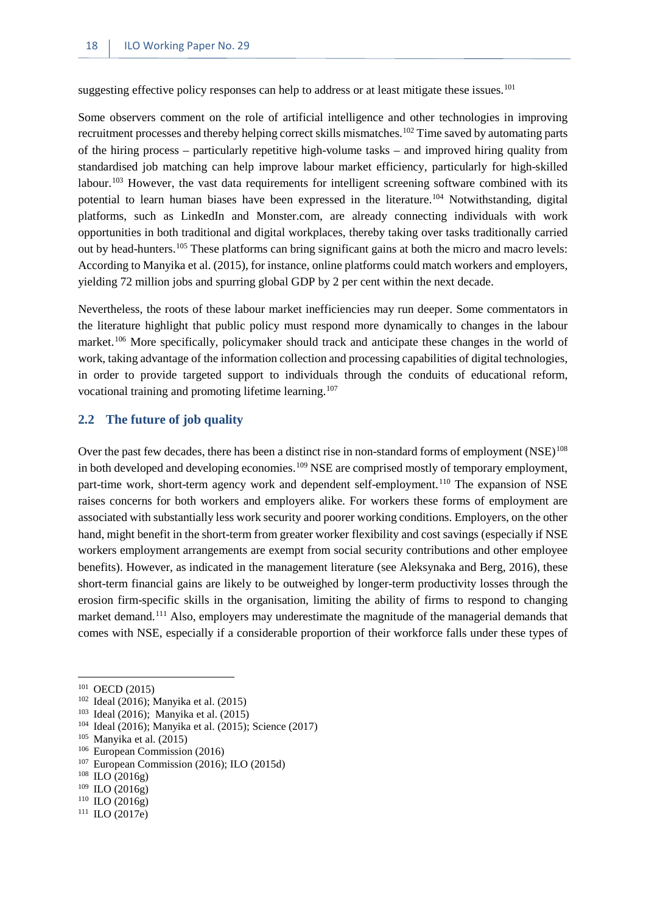suggesting effective policy responses can help to address or at least mitigate these issues.<sup>[101](#page-25-1)</sup>

Some observers comment on the role of artificial intelligence and other technologies in improving recruitment processes and thereby helping correct skills mismatches.<sup>102</sup> Time saved by automating parts of the hiring process – particularly repetitive high-volume tasks – and improved hiring quality from standardised job matching can help improve labour market efficiency, particularly for high-skilled labour.<sup>[103](#page-25-3)</sup> However, the vast data requirements for intelligent screening software combined with its potential to learn human biases have been expressed in the literature.[104](#page-25-4) Notwithstanding, digital platforms, such as LinkedIn and Monster.com, are already connecting individuals with work opportunities in both traditional and digital workplaces, thereby taking over tasks traditionally carried out by head-hunters[.105](#page-25-5) These platforms can bring significant gains at both the micro and macro levels: According to Manyika et al. (2015), for instance, online platforms could match workers and employers, yielding 72 million jobs and spurring global GDP by 2 per cent within the next decade.

Nevertheless, the roots of these labour market inefficiencies may run deeper. Some commentators in the literature highlight that public policy must respond more dynamically to changes in the labour market.<sup>[106](#page-25-6)</sup> More specifically, policymaker should track and anticipate these changes in the world of work, taking advantage of the information collection and processing capabilities of digital technologies, in order to provide targeted support to individuals through the conduits of educational reform, vocational training and promoting lifetime learning.<sup>[107](#page-25-7)</sup>

#### <span id="page-25-0"></span>**2.2 The future of job quality**

Over the past few decades, there has been a distinct rise in non-standard forms of employment (NSE)<sup>[108](#page-25-8)</sup> in both developed and developing economies.<sup>[109](#page-25-9)</sup> NSE are comprised mostly of temporary employment, part-time work, short-term agency work and dependent self-employment.<sup>[110](#page-25-10)</sup> The expansion of NSE raises concerns for both workers and employers alike. For workers these forms of employment are associated with substantially less work security and poorer working conditions. Employers, on the other hand, might benefit in the short-term from greater worker flexibility and cost savings (especially if NSE workers employment arrangements are exempt from social security contributions and other employee benefits). However, as indicated in the management literature (see Aleksynaka and Berg, 2016), these short-term financial gains are likely to be outweighed by longer-term productivity losses through the erosion firm-specific skills in the organisation, limiting the ability of firms to respond to changing market demand.<sup>[111](#page-25-11)</sup> Also, employers may underestimate the magnitude of the managerial demands that comes with NSE, especially if a considerable proportion of their workforce falls under these types of

**.** 

<span id="page-25-11"></span> $111$  ILO (2017e)

<span id="page-25-1"></span><sup>&</sup>lt;sup>101</sup> OECD (2015)

<span id="page-25-2"></span><sup>102</sup> Ideal (2016); Manyika et al. (2015)

<span id="page-25-3"></span><sup>103</sup> Ideal (2016); Manyika et al. (2015)

<span id="page-25-4"></span><sup>104</sup> Ideal (2016); Manyika et al. (2015); Science (2017)

<span id="page-25-5"></span> $105$  Manyika et al. (2015)

<span id="page-25-6"></span><sup>106</sup> European Commission (2016)

<span id="page-25-7"></span> $107$  European Commission (2016); ILO (2015d)

<span id="page-25-8"></span><sup>108</sup> ILO (2016g)

<span id="page-25-9"></span><sup>109</sup> ILO (2016g)

<span id="page-25-10"></span> $110$  ILO (2016g)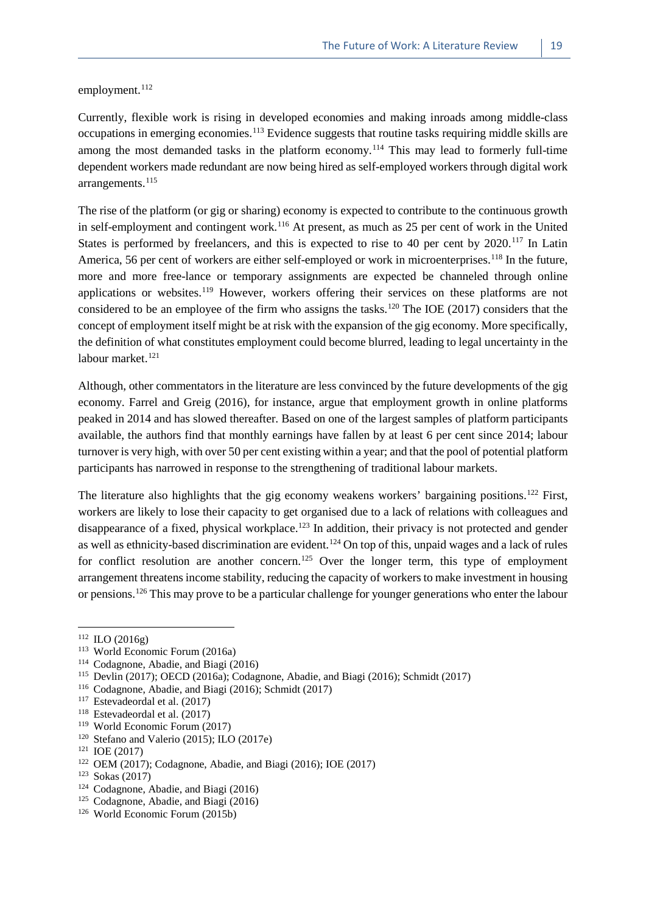employment.<sup>[112](#page-26-0)</sup>

Currently, flexible work is rising in developed economies and making inroads among middle-class occupations in emerging economies.[113](#page-26-1) Evidence suggests that routine tasks requiring middle skills are among the most demanded tasks in the platform economy.<sup>[114](#page-26-2)</sup> This may lead to formerly full-time dependent workers made redundant are now being hired as self-employed workers through digital work arrangements.<sup>[115](#page-26-3)</sup>

The rise of the platform (or gig or sharing) economy is expected to contribute to the continuous growth in self-employment and contingent work.<sup>[116](#page-26-4)</sup> At present, as much as 25 per cent of work in the United States is performed by freelancers, and this is expected to rise to 40 per cent by 2020.<sup>[117](#page-26-5)</sup> In Latin America, 56 per cent of workers are either self-employed or work in microenterprises.<sup>[118](#page-26-6)</sup> In the future, more and more free-lance or temporary assignments are expected be channeled through online applications or websites.<sup>[119](#page-26-7)</sup> However, workers offering their services on these platforms are not considered to be an employee of the firm who assigns the tasks.<sup>[120](#page-26-8)</sup> The IOE (2017) considers that the concept of employment itself might be at risk with the expansion of the gig economy. More specifically, the definition of what constitutes employment could become blurred, leading to legal uncertainty in the labour market.<sup>[121](#page-26-9)</sup>

Although, other commentators in the literature are less convinced by the future developments of the gig economy. Farrel and Greig (2016), for instance, argue that employment growth in online platforms peaked in 2014 and has slowed thereafter. Based on one of the largest samples of platform participants available, the authors find that monthly earnings have fallen by at least 6 per cent since 2014; labour turnover is very high, with over 50 per cent existing within a year; and that the pool of potential platform participants has narrowed in response to the strengthening of traditional labour markets.

The literature also highlights that the gig economy weakens workers' bargaining positions.<sup>[122](#page-26-10)</sup> First, workers are likely to lose their capacity to get organised due to a lack of relations with colleagues and disappearance of a fixed, physical workplace.<sup>[123](#page-26-11)</sup> In addition, their privacy is not protected and gender as well as ethnicity-based discrimination are evident.<sup>[124](#page-26-12)</sup> On top of this, unpaid wages and a lack of rules for conflict resolution are another concern.<sup>[125](#page-26-13)</sup> Over the longer term, this type of employment arrangement threatens income stability, reducing the capacity of workers to make investment in housing or pensions.[126](#page-26-14) This may prove to be a particular challenge for younger generations who enter the labour

**.** 

<span id="page-26-7"></span><sup>119</sup> World Economic Forum (2017)

<span id="page-26-0"></span><sup>112</sup> ILO (2016g)

<span id="page-26-1"></span><sup>113</sup> World Economic Forum (2016a)

<span id="page-26-2"></span><sup>&</sup>lt;sup>114</sup> Codagnone, Abadie, and Biagi (2016)<sup>115</sup> Devlin (2017): OECD (2016a): Codag

Devlin (2017); OECD (2016a); Codagnone, Abadie, and Biagi (2016); Schmidt (2017)

<span id="page-26-4"></span><span id="page-26-3"></span><sup>&</sup>lt;sup>116</sup> Codagnone, Abadie, and Biagi (2016); Schmidt (2017)<sup>117</sup> Estevadeordal et al. (2017)

Estevadeordal et al. (2017)

<span id="page-26-6"></span><span id="page-26-5"></span><sup>118</sup> Estevadeordal et al. (2017)

<span id="page-26-8"></span><sup>120</sup> Stefano and Valerio (2015); ILO (2017e)

<span id="page-26-9"></span><sup>121</sup> IOE (2017)

<span id="page-26-10"></span><sup>122</sup> OEM (2017); Codagnone, Abadie, and Biagi (2016); IOE (2017)

<span id="page-26-11"></span><sup>123</sup> Sokas (2017)

<span id="page-26-12"></span><sup>124</sup> Codagnone, Abadie, and Biagi (2016)

<span id="page-26-13"></span><sup>&</sup>lt;sup>125</sup> Codagnone, Abadie, and Biagi (2016)

<span id="page-26-14"></span><sup>126</sup> World Economic Forum (2015b)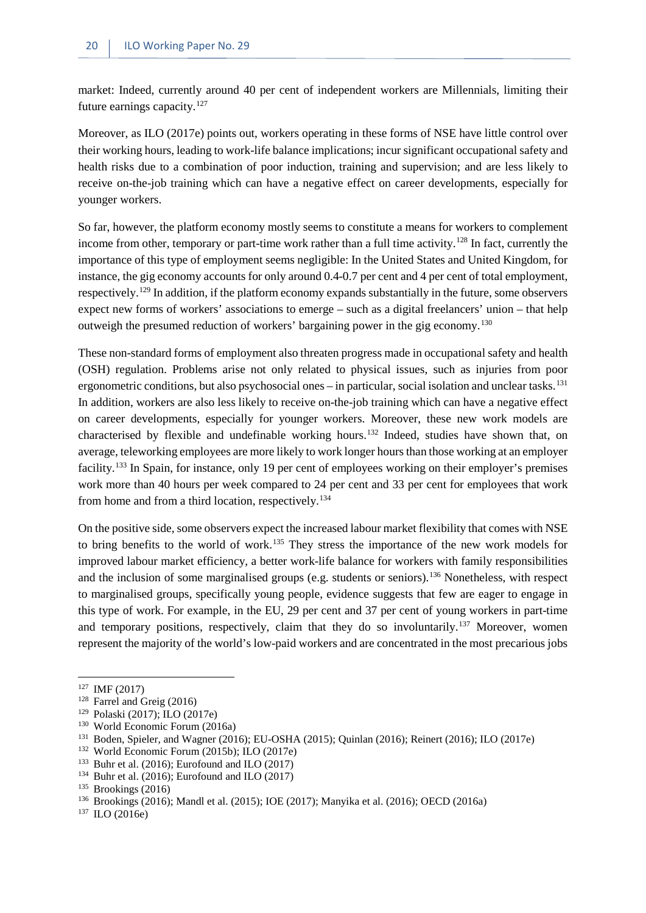market: Indeed, currently around 40 per cent of independent workers are Millennials, limiting their future earnings capacity.[127](#page-27-0)

Moreover, as ILO (2017e) points out, workers operating in these forms of NSE have little control over their working hours, leading to work-life balance implications; incur significant occupational safety and health risks due to a combination of poor induction, training and supervision; and are less likely to receive on-the-job training which can have a negative effect on career developments, especially for younger workers.

So far, however, the platform economy mostly seems to constitute a means for workers to complement income from other, temporary or part-time work rather than a full time activity.<sup>[128](#page-27-1)</sup> In fact, currently the importance of this type of employment seems negligible: In the United States and United Kingdom, for instance, the gig economy accounts for only around 0.4-0.7 per cent and 4 per cent of total employment, respectively.<sup>[129](#page-27-2)</sup> In addition, if the platform economy expands substantially in the future, some observers expect new forms of workers' associations to emerge – such as a digital freelancers' union – that help outweigh the presumed reduction of workers' bargaining power in the gig economy.[130](#page-27-3)

These non-standard forms of employment also threaten progress made in occupational safety and health (OSH) regulation. Problems arise not only related to physical issues, such as injuries from poor ergonometric conditions, but also psychosocial ones – in particular, social isolation and unclear tasks.<sup>[131](#page-27-4)</sup> In addition, workers are also less likely to receive on-the-job training which can have a negative effect on career developments, especially for younger workers. Moreover, these new work models are characterised by flexible and undefinable working hours[.132](#page-27-5) Indeed, studies have shown that, on average, teleworking employees are more likely to work longer hours than those working at an employer facility.[133](#page-27-6) In Spain, for instance, only 19 per cent of employees working on their employer's premises work more than 40 hours per week compared to 24 per cent and 33 per cent for employees that work from home and from a third location, respectively.<sup>[134](#page-27-7)</sup>

On the positive side, some observers expect the increased labour market flexibility that comes with NSE to bring benefits to the world of work.[135](#page-27-8) They stress the importance of the new work models for improved labour market efficiency, a better work-life balance for workers with family responsibilities and the inclusion of some marginalised groups (e.g. students or seniors).<sup>[136](#page-27-9)</sup> Nonetheless, with respect to marginalised groups, specifically young people, evidence suggests that few are eager to engage in this type of work. For example, in the EU, 29 per cent and 37 per cent of young workers in part-time and temporary positions, respectively, claim that they do so involuntarily.<sup>[137](#page-27-10)</sup> Moreover, women represent the majority of the world's low-paid workers and are concentrated in the most precarious jobs

<span id="page-27-0"></span> $127$  IMF (2017)

<span id="page-27-1"></span><sup>128</sup> Farrel and Greig (2016)

<span id="page-27-2"></span><sup>129</sup> Polaski (2017); ILO (2017e)

<span id="page-27-3"></span><sup>130</sup> World Economic Forum (2016a)

<span id="page-27-4"></span><sup>131</sup> Boden, Spieler, and Wagner (2016); EU-OSHA (2015); Quinlan (2016); Reinert (2016); ILO (2017e)

<span id="page-27-5"></span><sup>132</sup> World Economic Forum (2015b); ILO (2017e)

<span id="page-27-6"></span><sup>133</sup> Buhr et al. (2016); Eurofound and ILO (2017)

<span id="page-27-7"></span><sup>134</sup> Buhr et al. (2016); Eurofound and ILO (2017)

<span id="page-27-8"></span><sup>135</sup> Brookings (2016)

<span id="page-27-9"></span><sup>136</sup> Brookings (2016); Mandl et al. (2015); IOE (2017); Manyika et al. (2016); OECD (2016a)

<span id="page-27-10"></span><sup>137</sup> ILO (2016e)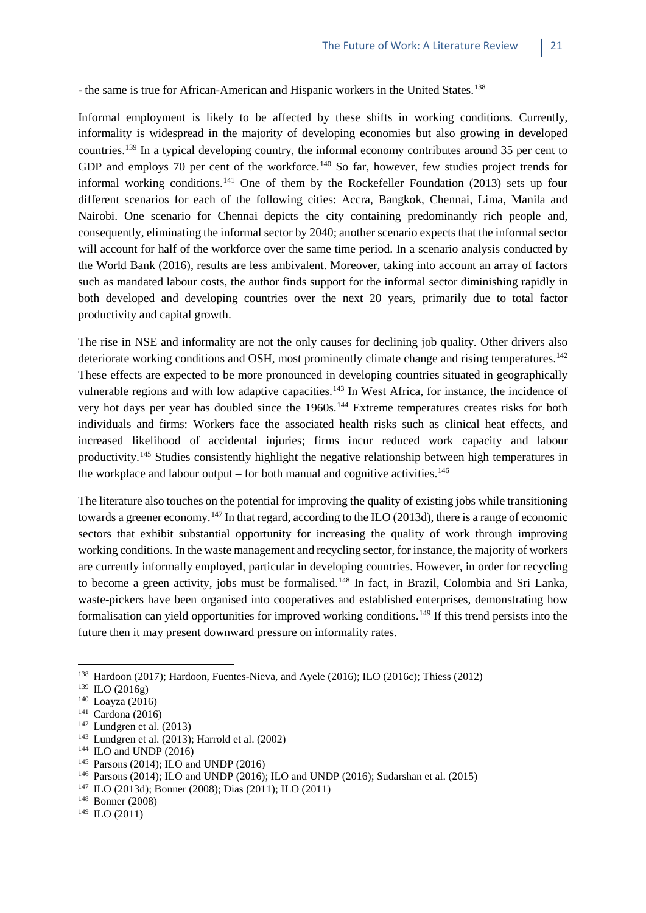- the same is true for African-American and Hispanic workers in the United States.<sup>[138](#page-28-0)</sup>

Informal employment is likely to be affected by these shifts in working conditions. Currently, informality is widespread in the majority of developing economies but also growing in developed countries.[139](#page-28-1) In a typical developing country, the informal economy contributes around 35 per cent to GDP and employs 70 per cent of the workforce.<sup>[140](#page-28-2)</sup> So far, however, few studies project trends for informal working conditions.<sup>[141](#page-28-3)</sup> One of them by the Rockefeller Foundation (2013) sets up four different scenarios for each of the following cities: Accra, Bangkok, Chennai, Lima, Manila and Nairobi. One scenario for Chennai depicts the city containing predominantly rich people and, consequently, eliminating the informal sector by 2040; another scenario expects that the informal sector will account for half of the workforce over the same time period. In a scenario analysis conducted by the World Bank (2016), results are less ambivalent. Moreover, taking into account an array of factors such as mandated labour costs, the author finds support for the informal sector diminishing rapidly in both developed and developing countries over the next 20 years, primarily due to total factor productivity and capital growth.

The rise in NSE and informality are not the only causes for declining job quality. Other drivers also deteriorate working conditions and OSH, most prominently climate change and rising temperatures.<sup>[142](#page-28-4)</sup> These effects are expected to be more pronounced in developing countries situated in geographically vulnerable regions and with low adaptive capacities.<sup>[143](#page-28-5)</sup> In West Africa, for instance, the incidence of very hot days per year has doubled since the 1960s.<sup>[144](#page-28-6)</sup> Extreme temperatures creates risks for both individuals and firms: Workers face the associated health risks such as clinical heat effects, and increased likelihood of accidental injuries; firms incur reduced work capacity and labour productivity.[145](#page-28-7) Studies consistently highlight the negative relationship between high temperatures in the workplace and labour output – for both manual and cognitive activities.<sup>[146](#page-28-8)</sup>

The literature also touches on the potential for improving the quality of existing jobs while transitioning towards a greener economy.<sup>[147](#page-28-9)</sup> In that regard, according to the ILO (2013d), there is a range of economic sectors that exhibit substantial opportunity for increasing the quality of work through improving working conditions. In the waste management and recycling sector, for instance, the majority of workers are currently informally employed, particular in developing countries. However, in order for recycling to become a green activity, jobs must be formalised.[148](#page-28-10) In fact, in Brazil, Colombia and Sri Lanka, waste-pickers have been organised into cooperatives and established enterprises, demonstrating how formalisation can yield opportunities for improved working conditions.[149](#page-28-11) If this trend persists into the future then it may present downward pressure on informality rates.

<span id="page-28-0"></span><sup>138</sup> Hardoon (2017); Hardoon, Fuentes-Nieva, and Ayele (2016); ILO (2016c); Thiess (2012)

<span id="page-28-1"></span><sup>139</sup> ILO (2016g)

<span id="page-28-2"></span><sup>140</sup> Loayza (2016)

<span id="page-28-3"></span><sup>141</sup> Cardona (2016)

<span id="page-28-4"></span> $142$  Lundgren et al. (2013)

<span id="page-28-5"></span><sup>143</sup> Lundgren et al. (2013); Harrold et al. (2002)

<span id="page-28-6"></span> $144$  ILO and UNDP (2016)

<span id="page-28-7"></span><sup>145</sup> Parsons (2014); ILO and UNDP (2016)

<span id="page-28-8"></span><sup>146</sup> Parsons (2014); ILO and UNDP (2016); ILO and UNDP (2016); Sudarshan et al. (2015)

<span id="page-28-9"></span><sup>147</sup> ILO (2013d); Bonner (2008); Dias (2011); ILO (2011)

<span id="page-28-10"></span><sup>148</sup> Bonner (2008)

<span id="page-28-11"></span> $149$  ILO (2011)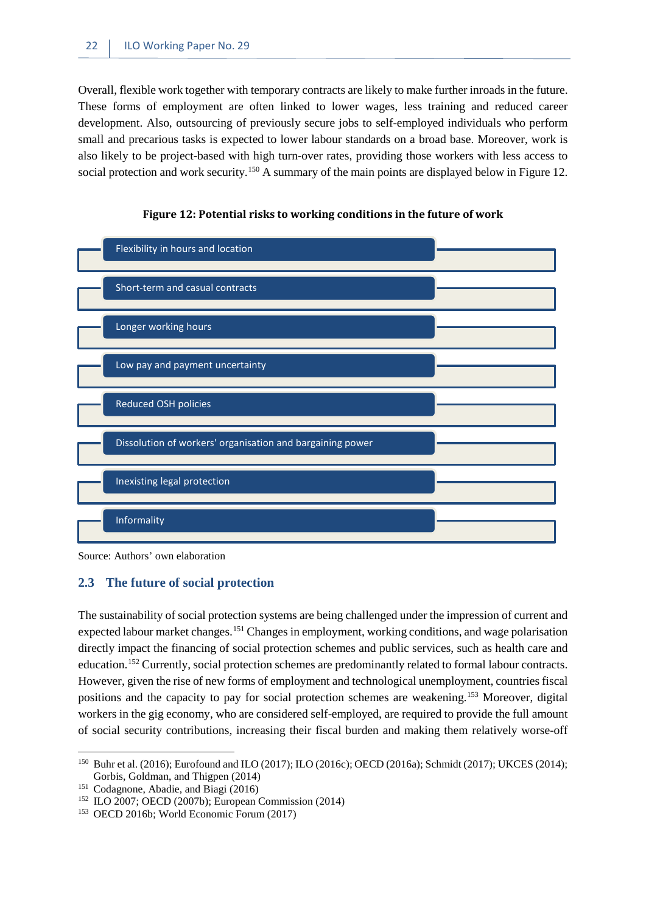Overall, flexible work together with temporary contracts are likely to make further inroads in the future. These forms of employment are often linked to lower wages, less training and reduced career development. Also, outsourcing of previously secure jobs to self-employed individuals who perform small and precarious tasks is expected to lower labour standards on a broad base. Moreover, work is also likely to be project-based with high turn-over rates, providing those workers with less access to social protection and work security.<sup>[150](#page-29-2)</sup> A summary of the main points are displayed below in Figure 12.

<span id="page-29-1"></span>



Source: Authors' own elaboration

#### <span id="page-29-0"></span>**2.3 The future of social protection**

The sustainability of social protection systems are being challenged under the impression of current and expected labour market changes.<sup>[151](#page-29-3)</sup> Changes in employment, working conditions, and wage polarisation directly impact the financing of social protection schemes and public services, such as health care and education.[152](#page-29-4) Currently, social protection schemes are predominantly related to formal labour contracts. However, given the rise of new forms of employment and technological unemployment, countries fiscal positions and the capacity to pay for social protection schemes are weakening.[153](#page-29-5) Moreover, digital workers in the gig economy, who are considered self-employed, are required to provide the full amount of social security contributions, increasing their fiscal burden and making them relatively worse-off

<span id="page-29-2"></span><sup>150</sup> Buhr et al. (2016); Eurofound and ILO (2017); ILO (2016c); OECD (2016a); Schmidt (2017); UKCES (2014); Gorbis, Goldman, and Thigpen (2014) **.** 

<span id="page-29-3"></span><sup>151</sup> Codagnone, Abadie, and Biagi (2016)

<span id="page-29-4"></span><sup>152</sup> ILO 2007; OECD (2007b); European Commission (2014)

<span id="page-29-5"></span><sup>153</sup> OECD 2016b; World Economic Forum (2017)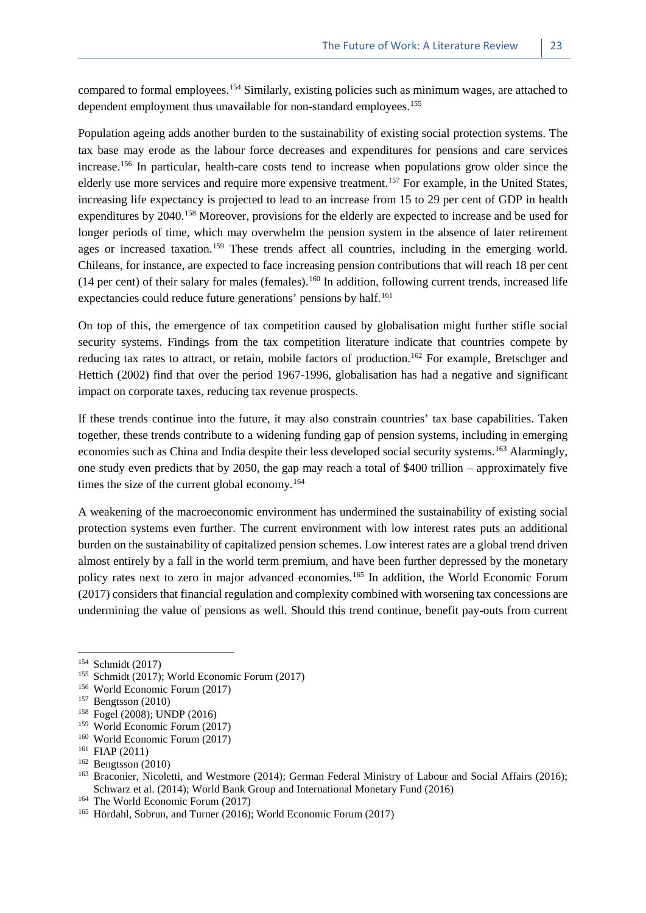compared to formal employees.[154](#page-30-0) Similarly, existing policies such as minimum wages, are attached to dependent employment thus unavailable for non-standard employees.<sup>[155](#page-30-1)</sup>

Population ageing adds another burden to the sustainability of existing social protection systems. The tax base may erode as the labour force decreases and expenditures for pensions and care services increase.[156](#page-30-2) In particular, health-care costs tend to increase when populations grow older since the elderly use more services and require more expensive treatment.<sup>[157](#page-30-3)</sup> For example, in the United States, increasing life expectancy is projected to lead to an increase from 15 to 29 per cent of GDP in health expenditures by 2040.<sup>[158](#page-30-4)</sup> Moreover, provisions for the elderly are expected to increase and be used for longer periods of time, which may overwhelm the pension system in the absence of later retirement ages or increased taxation.<sup>[159](#page-30-5)</sup> These trends affect all countries, including in the emerging world. Chileans, for instance, are expected to face increasing pension contributions that will reach 18 per cent  $(14 \text{ per cent})$  of their salary for males (females).<sup>[160](#page-30-6)</sup> In addition, following current trends, increased life expectancies could reduce future generations' pensions by half.<sup>[161](#page-30-7)</sup>

On top of this, the emergence of tax competition caused by globalisation might further stifle social security systems. Findings from the tax competition literature indicate that countries compete by reducing tax rates to attract, or retain, mobile factors of production.<sup>[162](#page-30-8)</sup> For example, Bretschger and Hettich (2002) find that over the period 1967-1996, globalisation has had a negative and significant impact on corporate taxes, reducing tax revenue prospects.

If these trends continue into the future, it may also constrain countries' tax base capabilities. Taken together, these trends contribute to a widening funding gap of pension systems, including in emerging economies such as China and India despite their less developed social security systems.<sup>[163](#page-30-9)</sup> Alarmingly, one study even predicts that by 2050, the gap may reach a total of \$400 trillion – approximately five times the size of the current global economy.<sup>[164](#page-30-10)</sup>

A weakening of the macroeconomic environment has undermined the sustainability of existing social protection systems even further. The current environment with low interest rates puts an additional burden on the sustainability of capitalized pension schemes. Low interest rates are a global trend driven almost entirely by a fall in the world term premium, and have been further depressed by the monetary policy rates next to zero in major advanced economies.<sup>[165](#page-30-11)</sup> In addition, the World Economic Forum (2017) considers that financial regulation and complexity combined with worsening tax concessions are undermining the value of pensions as well. Should this trend continue, benefit pay-outs from current

1

<span id="page-30-5"></span><sup>159</sup> World Economic Forum (2017)

- <span id="page-30-9"></span><sup>163</sup> Braconier, Nicoletti, and Westmore (2014); German Federal Ministry of Labour and Social Affairs (2016); Schwarz et al. (2014); World Bank Group and International Monetary Fund (2016)
- <span id="page-30-10"></span><sup>164</sup> The World Economic Forum (2017)

<span id="page-30-0"></span><sup>154</sup> Schmidt (2017)

<span id="page-30-1"></span><sup>155</sup> Schmidt (2017); World Economic Forum (2017)

<sup>156</sup> World Economic Forum (2017)

<span id="page-30-3"></span><span id="page-30-2"></span><sup>157</sup> Bengtsson (2010)

<span id="page-30-4"></span><sup>158</sup> Fogel (2008); UNDP (2016)

<span id="page-30-6"></span><sup>160</sup> World Economic Forum (2017)

<span id="page-30-7"></span><sup>161</sup> FIAP (2011)

<span id="page-30-8"></span> $162$  Bengtsson (2010)

<span id="page-30-11"></span><sup>165</sup> Hördahl, Sobrun, and Turner (2016); World Economic Forum (2017)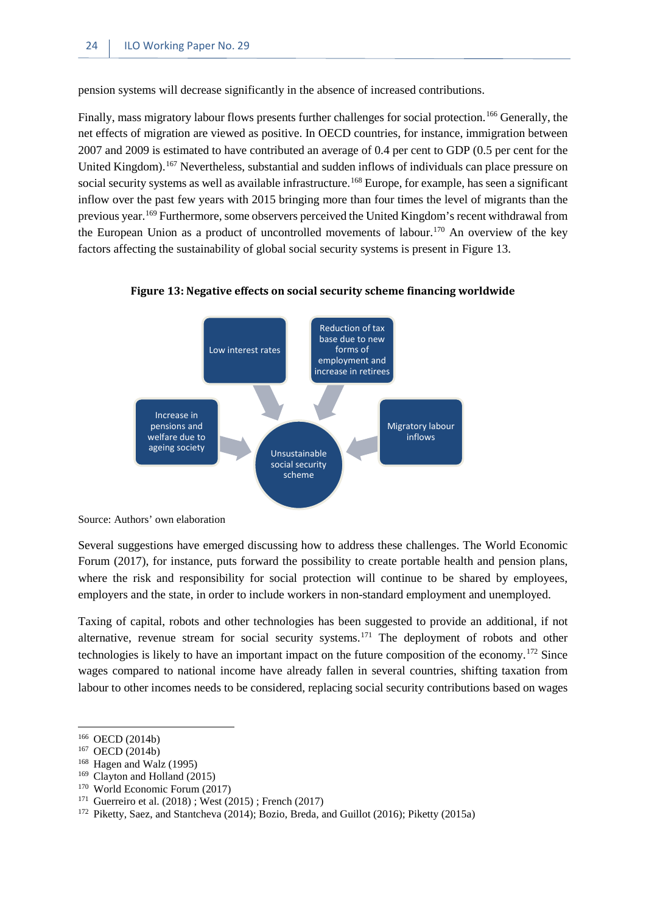pension systems will decrease significantly in the absence of increased contributions.

Finally, mass migratory labour flows presents further challenges for social protection.<sup>[166](#page-31-1)</sup> Generally, the net effects of migration are viewed as positive. In OECD countries, for instance, immigration between 2007 and 2009 is estimated to have contributed an average of 0.4 per cent to GDP (0.5 per cent for the United Kingdom).<sup>[167](#page-31-2)</sup> Nevertheless, substantial and sudden inflows of individuals can place pressure on social security systems as well as available infrastructure.<sup>[168](#page-31-3)</sup> Europe, for example, has seen a significant inflow over the past few years with 2015 bringing more than four times the level of migrants than the previous year.<sup>[169](#page-31-4)</sup> Furthermore, some observers perceived the United Kingdom's recent withdrawal from the European Union as a product of uncontrolled movements of labour.[170](#page-31-5) An overview of the key factors affecting the sustainability of global social security systems is present in Figure 13.



<span id="page-31-0"></span>**Figure 13: Negative effects on social security scheme financing worldwide**

Source: Authors' own elaboration

Several suggestions have emerged discussing how to address these challenges. The World Economic Forum (2017), for instance, puts forward the possibility to create portable health and pension plans, where the risk and responsibility for social protection will continue to be shared by employees, employers and the state, in order to include workers in non-standard employment and unemployed.

Taxing of capital, robots and other technologies has been suggested to provide an additional, if not alternative, revenue stream for social security systems.<sup>[171](#page-31-6)</sup> The deployment of robots and other technologies is likely to have an important impact on the future composition of the economy.[172](#page-31-7) Since wages compared to national income have already fallen in several countries, shifting taxation from labour to other incomes needs to be considered, replacing social security contributions based on wages

<span id="page-31-1"></span><sup>166</sup> OECD (2014b)

<span id="page-31-2"></span><sup>167</sup> OECD (2014b)

<span id="page-31-3"></span><sup>168</sup> Hagen and Walz (1995)

<span id="page-31-4"></span><sup>169</sup> Clayton and Holland (2015)

<span id="page-31-5"></span><sup>170</sup> World Economic Forum (2017)

<span id="page-31-6"></span><sup>&</sup>lt;sup>171</sup> Guerreiro et al.  $(2018)$ ; West  $(2015)$ ; French  $(2017)$ 

<span id="page-31-7"></span><sup>172</sup> Piketty, Saez, and Stantcheva (2014); Bozio, Breda, and Guillot (2016); Piketty (2015a)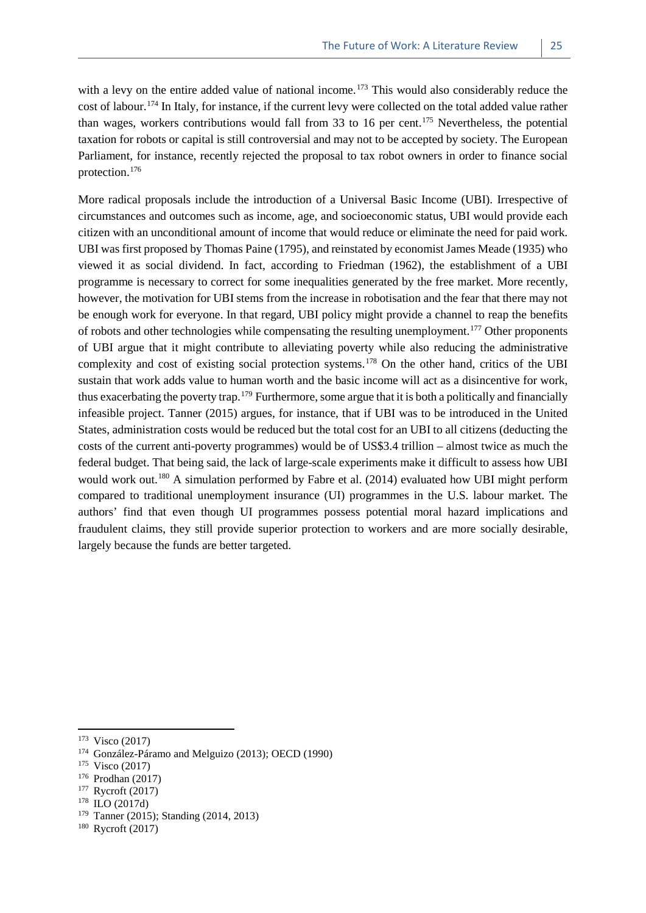with a levy on the entire added value of national income.<sup>[173](#page-32-0)</sup> This would also considerably reduce the cost of labour.[174](#page-32-1) In Italy, for instance, if the current levy were collected on the total added value rather than wages, workers contributions would fall from 33 to 16 per cent.<sup>[175](#page-32-2)</sup> Nevertheless, the potential taxation for robots or capital is still controversial and may not to be accepted by society. The European Parliament, for instance, recently rejected the proposal to tax robot owners in order to finance social protection.[176](#page-32-3)

More radical proposals include the introduction of a Universal Basic Income (UBI). Irrespective of circumstances and outcomes such as income, age, and socioeconomic status, UBI would provide each citizen with an unconditional amount of income that would reduce or eliminate the need for paid work. UBI was first proposed by Thomas Paine (1795), and reinstated by economist James Meade (1935) who viewed it as social dividend. In fact, according to Friedman (1962), the establishment of a UBI programme is necessary to correct for some inequalities generated by the free market. More recently, however, the motivation for UBI stems from the increase in robotisation and the fear that there may not be enough work for everyone. In that regard, UBI policy might provide a channel to reap the benefits of robots and other technologies while compensating the resulting unemployment.<sup>[177](#page-32-4)</sup> Other proponents of UBI argue that it might contribute to alleviating poverty while also reducing the administrative complexity and cost of existing social protection systems.<sup>[178](#page-32-5)</sup> On the other hand, critics of the UBI sustain that work adds value to human worth and the basic income will act as a disincentive for work, thus exacerbating the poverty trap.[179](#page-32-6) Furthermore, some argue that it is both a politically and financially infeasible project. Tanner (2015) argues, for instance, that if UBI was to be introduced in the United States, administration costs would be reduced but the total cost for an UBI to all citizens (deducting the costs of the current anti-poverty programmes) would be of US\$3.4 trillion – almost twice as much the federal budget. That being said, the lack of large-scale experiments make it difficult to assess how UBI would work out.<sup>[180](#page-32-7)</sup> A simulation performed by Fabre et al. (2014) evaluated how UBI might perform compared to traditional unemployment insurance (UI) programmes in the U.S. labour market. The authors' find that even though UI programmes possess potential moral hazard implications and fraudulent claims, they still provide superior protection to workers and are more socially desirable, largely because the funds are better targeted.

<span id="page-32-0"></span><sup>173</sup> Visco (2017)

<span id="page-32-1"></span><sup>174</sup> González-Páramo and Melguizo (2013); OECD (1990)

<span id="page-32-2"></span><sup>175</sup> Visco (2017)

<span id="page-32-3"></span> $^{176}$  Prodhan (2017)

<span id="page-32-4"></span>Rycroft (2017)

<span id="page-32-5"></span><sup>178</sup> ILO (2017d)

<span id="page-32-6"></span><sup>179</sup> Tanner (2015); Standing (2014, 2013)

<span id="page-32-7"></span><sup>180</sup> Rycroft (2017)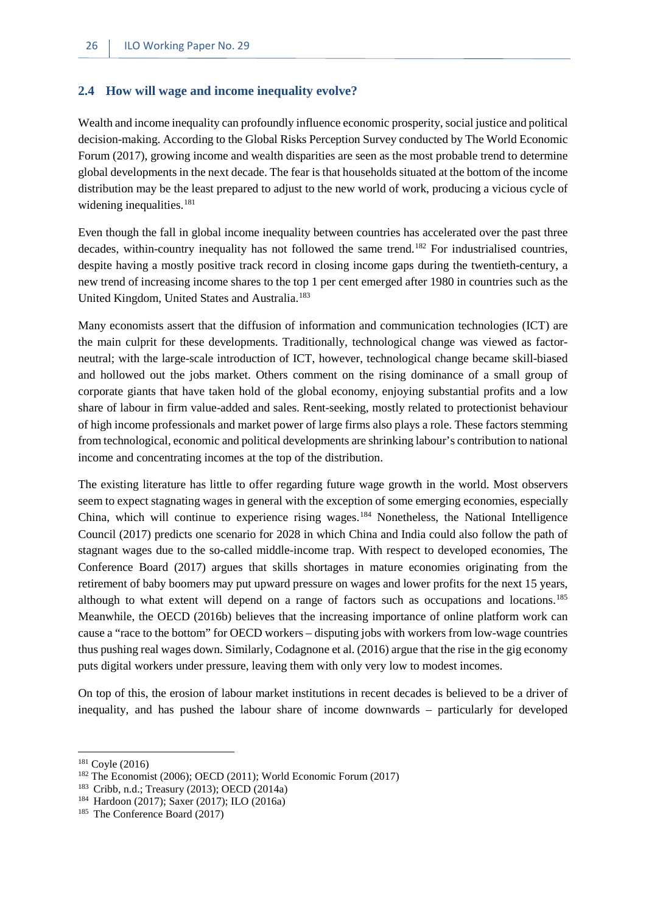#### <span id="page-33-0"></span>**2.4 How will wage and income inequality evolve?**

Wealth and income inequality can profoundly influence economic prosperity, social justice and political decision-making. According to the Global Risks Perception Survey conducted by The World Economic Forum (2017), growing income and wealth disparities are seen as the most probable trend to determine global developments in the next decade. The fear is that households situated at the bottom of the income distribution may be the least prepared to adjust to the new world of work, producing a vicious cycle of widening inequalities.<sup>[181](#page-33-1)</sup>

Even though the fall in global income inequality between countries has accelerated over the past three decades, within-country inequality has not followed the same trend. [182](#page-33-2) For industrialised countries, despite having a mostly positive track record in closing income gaps during the twentieth-century, a new trend of increasing income shares to the top 1 per cent emerged after 1980 in countries such as the United Kingdom, United States and Australia.<sup>[183](#page-33-3)</sup>

Many economists assert that the diffusion of information and communication technologies (ICT) are the main culprit for these developments. Traditionally, technological change was viewed as factorneutral; with the large-scale introduction of ICT, however, technological change became skill-biased and hollowed out the jobs market. Others comment on the rising dominance of a small group of corporate giants that have taken hold of the global economy, enjoying substantial profits and a low share of labour in firm value-added and sales. Rent-seeking, mostly related to protectionist behaviour of high income professionals and market power of large firms also plays a role. These factors stemming from technological, economic and political developments are shrinking labour's contribution to national income and concentrating incomes at the top of the distribution.

The existing literature has little to offer regarding future wage growth in the world. Most observers seem to expect stagnating wages in general with the exception of some emerging economies, especially China, which will continue to experience rising wages.[184](#page-33-4) Nonetheless, the National Intelligence Council (2017) predicts one scenario for 2028 in which China and India could also follow the path of stagnant wages due to the so-called middle-income trap. With respect to developed economies, The Conference Board (2017) argues that skills shortages in mature economies originating from the retirement of baby boomers may put upward pressure on wages and lower profits for the next 15 years, although to what extent will depend on a range of factors such as occupations and locations.<sup>[185](#page-33-5)</sup> Meanwhile, the OECD (2016b) believes that the increasing importance of online platform work can cause a "race to the bottom" for OECD workers – disputing jobs with workers from low-wage countries thus pushing real wages down. Similarly, Codagnone et al. (2016) argue that the rise in the gig economy puts digital workers under pressure, leaving them with only very low to modest incomes.

On top of this, the erosion of labour market institutions in recent decades is believed to be a driver of inequality, and has pushed the labour share of income downwards – particularly for developed

<span id="page-33-1"></span><sup>181</sup> Coyle (2016)

<span id="page-33-2"></span><sup>182</sup> The Economist (2006); OECD (2011); World Economic Forum (2017)

<span id="page-33-3"></span><sup>183</sup> Cribb, n.d.; Treasury (2013); OECD (2014a)

<span id="page-33-4"></span><sup>184</sup> Hardoon (2017); Saxer (2017); ILO (2016a)

<span id="page-33-5"></span><sup>185</sup> The Conference Board (2017)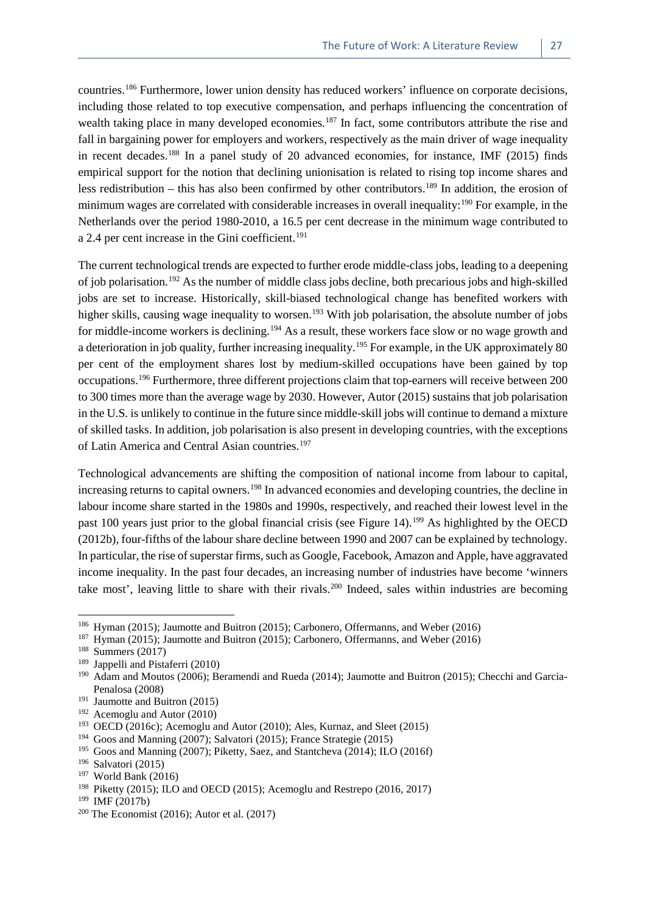countries.[186](#page-34-0) Furthermore, lower union density has reduced workers' influence on corporate decisions, including those related to top executive compensation, and perhaps influencing the concentration of wealth taking place in many developed economies.<sup>[187](#page-34-1)</sup> In fact, some contributors attribute the rise and fall in bargaining power for employers and workers, respectively as the main driver of wage inequality in recent decades.[188](#page-34-2) In a panel study of 20 advanced economies, for instance, IMF (2015) finds empirical support for the notion that declining unionisation is related to rising top income shares and less redistribution – this has also been confirmed by other contributors.<sup>[189](#page-34-3)</sup> In addition, the erosion of minimum wages are correlated with considerable increases in overall inequality:<sup>[190](#page-34-4)</sup> For example, in the Netherlands over the period 1980-2010, a 16.5 per cent decrease in the minimum wage contributed to a 2.4 per cent increase in the Gini coefficient.<sup>[191](#page-34-5)</sup>

The current technological trends are expected to further erode middle-class jobs, leading to a deepening of job polarisation.[192](#page-34-6) As the number of middle class jobs decline, both precarious jobs and high-skilled jobs are set to increase. Historically, skill-biased technological change has benefited workers with higher skills, causing wage inequality to worsen.<sup>[193](#page-34-7)</sup> With job polarisation, the absolute number of jobs for middle-income workers is declining.<sup>[194](#page-34-8)</sup> As a result, these workers face slow or no wage growth and a deterioration in job quality, further increasing inequality.<sup>[195](#page-34-9)</sup> For example, in the UK approximately 80 per cent of the employment shares lost by medium-skilled occupations have been gained by top occupations.[196](#page-34-10) Furthermore, three different projections claim that top-earners will receive between 200 to 300 times more than the average wage by 2030. However, Autor (2015) sustains that job polarisation in the U.S. is unlikely to continue in the future since middle-skill jobs will continue to demand a mixture of skilled tasks. In addition, job polarisation is also present in developing countries, with the exceptions of Latin America and Central Asian countries.<sup>[197](#page-34-11)</sup>

Technological advancements are shifting the composition of national income from labour to capital, increasing returns to capital owners.<sup>[198](#page-34-12)</sup> In advanced economies and developing countries, the decline in labour income share started in the 1980s and 1990s, respectively, and reached their lowest level in the past 100 years just prior to the global financial crisis (see Figure 14).<sup>[199](#page-34-13)</sup> As highlighted by the OECD (2012b), four-fifths of the labour share decline between 1990 and 2007 can be explained by technology. In particular, the rise of superstar firms, such as Google, Facebook, Amazon and Apple, have aggravated income inequality. In the past four decades, an increasing number of industries have become 'winners take most', leaving little to share with their rivals.<sup>[200](#page-34-14)</sup> Indeed, sales within industries are becoming

<span id="page-34-1"></span><span id="page-34-0"></span><sup>&</sup>lt;sup>186</sup> Hyman (2015); Jaumotte and Buitron (2015); Carbonero, Offermanns, and Weber (2016)<sup>187</sup> Hyman (2015); Laumotte and Buitron (2015); Carbonero, Offermanns, and Weber (2016)

Hyman (2015); Jaumotte and Buitron (2015); Carbonero, Offermanns, and Weber (2016)

<span id="page-34-2"></span><sup>188</sup> Summers (2017)

<span id="page-34-3"></span><sup>&</sup>lt;sup>189</sup> Jappelli and Pistaferri (2010)<br><sup>190</sup> Adam and Moutos (2006); **P**.

<span id="page-34-4"></span>Adam and Moutos (2006); Beramendi and Rueda (2014); Jaumotte and Buitron (2015); Checchi and Garcia-Penalosa (2008)

<span id="page-34-5"></span><sup>&</sup>lt;sup>191</sup> Jaumotte and Buitron (2015)

<span id="page-34-6"></span><sup>192</sup> Acemoglu and Autor (2010)

<span id="page-34-7"></span><sup>193</sup> OECD (2016c); Acemoglu and Autor (2010); Ales, Kurnaz, and Sleet (2015)

<span id="page-34-8"></span><sup>194</sup> Goos and Manning (2007); Salvatori (2015); France Strategie (2015)

<span id="page-34-9"></span><sup>195</sup> Goos and Manning (2007); Piketty, Saez, and Stantcheva (2014); ILO (2016f)

<span id="page-34-10"></span><sup>196</sup> Salvatori (2015)

<span id="page-34-11"></span><sup>197</sup> World Bank (2016)

<span id="page-34-12"></span><sup>198</sup> Piketty (2015); ILO and OECD (2015); Acemoglu and Restrepo (2016, 2017)

<span id="page-34-13"></span><sup>199</sup> IMF (2017b)

<span id="page-34-14"></span><sup>&</sup>lt;sup>200</sup> The Economist (2016); Autor et al. (2017)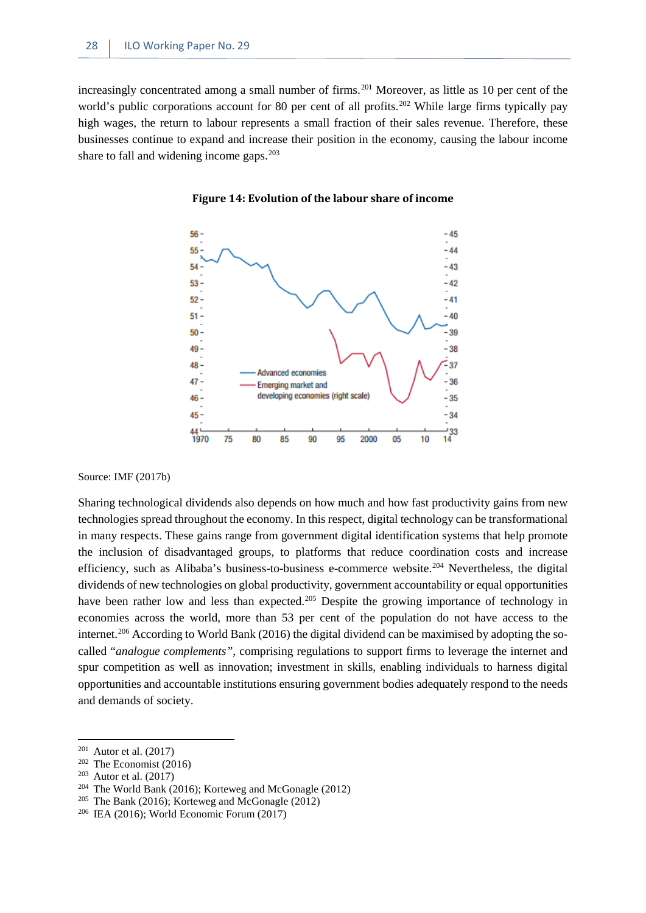<span id="page-35-0"></span>increasingly concentrated among a small number of firms.<sup>[201](#page-35-1)</sup> Moreover, as little as 10 per cent of the world's public corporations account for 80 per cent of all profits.<sup>[202](#page-35-2)</sup> While large firms typically pay high wages, the return to labour represents a small fraction of their sales revenue. Therefore, these businesses continue to expand and increase their position in the economy, causing the labour income share to fall and widening income gaps. $203$ 



**Figure 14: Evolution of the labour share of income**

#### Source: IMF (2017b)

Sharing technological dividends also depends on how much and how fast productivity gains from new technologies spread throughout the economy. In this respect, digital technology can be transformational in many respects. These gains range from government digital identification systems that help promote the inclusion of disadvantaged groups, to platforms that reduce coordination costs and increase efficiency, such as Alibaba's business-to-business e-commerce website.<sup>[204](#page-35-4)</sup> Nevertheless, the digital dividends of new technologies on global productivity, government accountability or equal opportunities have been rather low and less than expected.<sup>[205](#page-35-5)</sup> Despite the growing importance of technology in economies across the world, more than 53 per cent of the population do not have access to the internet.<sup>[206](#page-35-6)</sup> According to World Bank (2016) the digital dividend can be maximised by adopting the socalled "*analogue complements"*, comprising regulations to support firms to leverage the internet and spur competition as well as innovation; investment in skills, enabling individuals to harness digital opportunities and accountable institutions ensuring government bodies adequately respond to the needs and demands of society.

<span id="page-35-1"></span> $201$  Autor et al. (2017)

<span id="page-35-2"></span> $202$  The Economist (2016)

<span id="page-35-3"></span> $203$  Autor et al. (2017)

<span id="page-35-4"></span><sup>204</sup> The World Bank (2016); Korteweg and McGonagle (2012)

<span id="page-35-5"></span><sup>&</sup>lt;sup>205</sup> The Bank (2016); Korteweg and McGonagle (2012)

<span id="page-35-6"></span><sup>206</sup> IEA (2016); World Economic Forum (2017)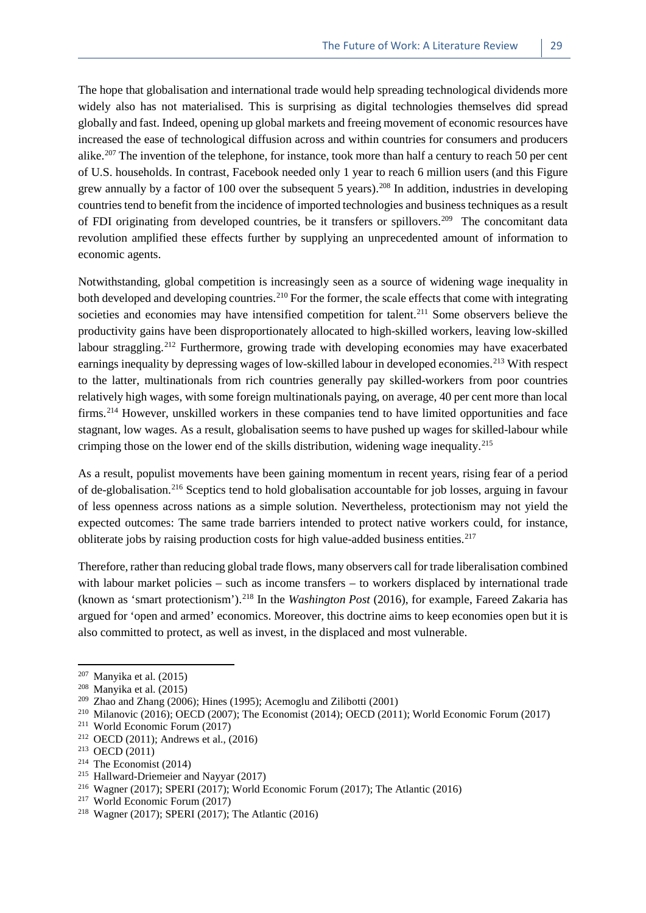The hope that globalisation and international trade would help spreading technological dividends more widely also has not materialised. This is surprising as digital technologies themselves did spread globally and fast. Indeed, opening up global markets and freeing movement of economic resources have increased the ease of technological diffusion across and within countries for consumers and producers alike.<sup>[207](#page-36-0)</sup> The invention of the telephone, for instance, took more than half a century to reach 50 per cent of U.S. households. In contrast, Facebook needed only 1 year to reach 6 million users (and this Figure grew annually by a factor of 100 over the subsequent 5 years).[208](#page-36-1) In addition, industries in developing countries tend to benefit from the incidence of imported technologies and business techniques as a result of FDI originating from developed countries, be it transfers or spillovers.<sup>[209](#page-36-2)</sup> The concomitant data revolution amplified these effects further by supplying an unprecedented amount of information to economic agents.

Notwithstanding, global competition is increasingly seen as a source of widening wage inequality in both developed and developing countries.<sup>[210](#page-36-3)</sup> For the former, the scale effects that come with integrating societies and economies may have intensified competition for talent.<sup>[211](#page-36-4)</sup> Some observers believe the productivity gains have been disproportionately allocated to high-skilled workers, leaving low-skilled labour straggling.<sup>[212](#page-36-5)</sup> Furthermore, growing trade with developing economies may have exacerbated earnings inequality by depressing wages of low-skilled labour in developed economies.<sup>[213](#page-36-6)</sup> With respect to the latter, multinationals from rich countries generally pay skilled-workers from poor countries relatively high wages, with some foreign multinationals paying, on average, 40 per cent more than local firms.[214](#page-36-7) However, unskilled workers in these companies tend to have limited opportunities and face stagnant, low wages. As a result, globalisation seems to have pushed up wages for skilled-labour while crimping those on the lower end of the skills distribution, widening wage inequality.[215](#page-36-8)

As a result, populist movements have been gaining momentum in recent years, rising fear of a period of de-globalisation.[216](#page-36-9) Sceptics tend to hold globalisation accountable for job losses, arguing in favour of less openness across nations as a simple solution. Nevertheless, protectionism may not yield the expected outcomes: The same trade barriers intended to protect native workers could, for instance, obliterate jobs by raising production costs for high value-added business entities.<sup>[217](#page-36-10)</sup>

Therefore, rather than reducing global trade flows, many observers call for trade liberalisation combined with labour market policies – such as income transfers – to workers displaced by international trade (known as 'smart protectionism').[218](#page-36-11) In the *Washington Post* (2016), for example, Fareed Zakaria has argued for 'open and armed' economics. Moreover, this doctrine aims to keep economies open but it is also committed to protect, as well as invest, in the displaced and most vulnerable.

<span id="page-36-0"></span> $207$  Manyika et al. (2015)

<span id="page-36-1"></span><sup>208</sup> Manyika et al. (2015)

<span id="page-36-2"></span><sup>209</sup> Zhao and Zhang (2006); Hines (1995); Acemoglu and Zilibotti (2001)

<span id="page-36-3"></span><sup>210</sup> Milanovic (2016); OECD (2007); The Economist (2014); OECD (2011); World Economic Forum (2017)

<span id="page-36-4"></span><sup>211</sup> World Economic Forum (2017)

<span id="page-36-5"></span><sup>212</sup> OECD (2011); Andrews et al., (2016)

<span id="page-36-6"></span><sup>213</sup> OECD (2011)

<span id="page-36-7"></span> $214$  The Economist (2014)

<span id="page-36-8"></span><sup>215</sup> Hallward-Driemeier and Nayyar (2017)

<span id="page-36-9"></span><sup>&</sup>lt;sup>216</sup> Wagner (2017); SPERI (2017); World Economic Forum (2017); The Atlantic (2016)

<span id="page-36-10"></span><sup>217</sup> World Economic Forum (2017)

<span id="page-36-11"></span><sup>218</sup> Wagner (2017); SPERI (2017); The Atlantic (2016)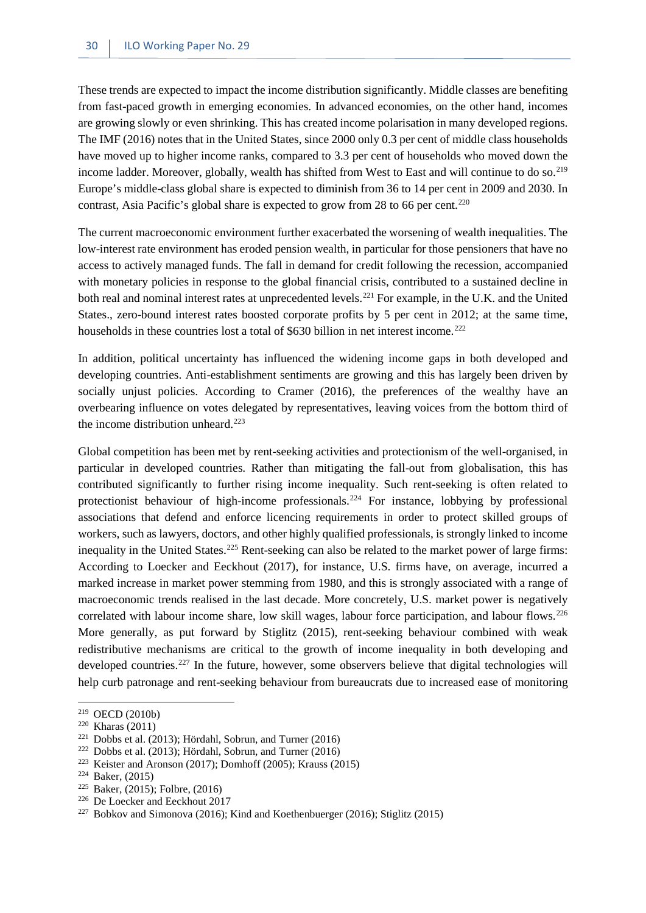These trends are expected to impact the income distribution significantly. Middle classes are benefiting from fast-paced growth in emerging economies. In advanced economies, on the other hand, incomes are growing slowly or even shrinking. This has created income polarisation in many developed regions. The IMF (2016) notes that in the United States, since 2000 only 0.3 per cent of middle class households have moved up to higher income ranks, compared to 3.3 per cent of households who moved down the income ladder. Moreover, globally, wealth has shifted from West to East and will continue to do so.<sup>[219](#page-37-0)</sup> Europe's middle-class global share is expected to diminish from 36 to 14 per cent in 2009 and 2030. In contrast, Asia Pacific's global share is expected to grow from 28 to 66 per cent.<sup>[220](#page-37-1)</sup>

The current macroeconomic environment further exacerbated the worsening of wealth inequalities. The low-interest rate environment has eroded pension wealth, in particular for those pensioners that have no access to actively managed funds. The fall in demand for credit following the recession, accompanied with monetary policies in response to the global financial crisis, contributed to a sustained decline in both real and nominal interest rates at unprecedented levels.<sup>[221](#page-37-2)</sup> For example, in the U.K. and the United States., zero-bound interest rates boosted corporate profits by 5 per cent in 2012; at the same time, households in these countries lost a total of \$630 billion in net interest income.<sup>[222](#page-37-3)</sup>

In addition, political uncertainty has influenced the widening income gaps in both developed and developing countries. Anti-establishment sentiments are growing and this has largely been driven by socially unjust policies. According to Cramer (2016), the preferences of the wealthy have an overbearing influence on votes delegated by representatives, leaving voices from the bottom third of the income distribution unheard.<sup>[223](#page-37-4)</sup>

Global competition has been met by rent-seeking activities and protectionism of the well-organised, in particular in developed countries. Rather than mitigating the fall-out from globalisation, this has contributed significantly to further rising income inequality. Such rent-seeking is often related to protectionist behaviour of high-income professionals.<sup>[224](#page-37-5)</sup> For instance, lobbying by professional associations that defend and enforce licencing requirements in order to protect skilled groups of workers, such as lawyers, doctors, and other highly qualified professionals, is strongly linked to income inequality in the United States.<sup>[225](#page-37-6)</sup> Rent-seeking can also be related to the market power of large firms: According to Loecker and Eeckhout (2017), for instance, U.S. firms have, on average, incurred a marked increase in market power stemming from 1980, and this is strongly associated with a range of macroeconomic trends realised in the last decade. More concretely, U.S. market power is negatively correlated with labour income share, low skill wages, labour force participation, and labour flows.<sup>[226](#page-37-7)</sup> More generally, as put forward by Stiglitz (2015), rent-seeking behaviour combined with weak redistributive mechanisms are critical to the growth of income inequality in both developing and developed countries.<sup>[227](#page-37-8)</sup> In the future, however, some observers believe that digital technologies will help curb patronage and rent-seeking behaviour from bureaucrats due to increased ease of monitoring

<sup>219</sup> OECD (2010b)

<span id="page-37-1"></span><span id="page-37-0"></span><sup>220</sup> Kharas (2011)

<span id="page-37-2"></span><sup>221</sup> Dobbs et al. (2013); Hördahl, Sobrun, and Turner (2016)

<span id="page-37-3"></span><sup>222</sup> Dobbs et al. (2013); Hördahl, Sobrun, and Turner (2016)

<span id="page-37-4"></span><sup>&</sup>lt;sup>223</sup> Keister and Aronson (2017); Domhoff (2005); Krauss (2015)

<span id="page-37-5"></span><sup>224</sup> Baker, (2015)

<span id="page-37-6"></span><sup>225</sup> Baker, (2015); Folbre, (2016)

<span id="page-37-7"></span><sup>226</sup> De Loecker and Eeckhout 2017

<span id="page-37-8"></span><sup>227</sup> Bobkov and Simonova (2016); Kind and Koethenbuerger (2016); Stiglitz (2015)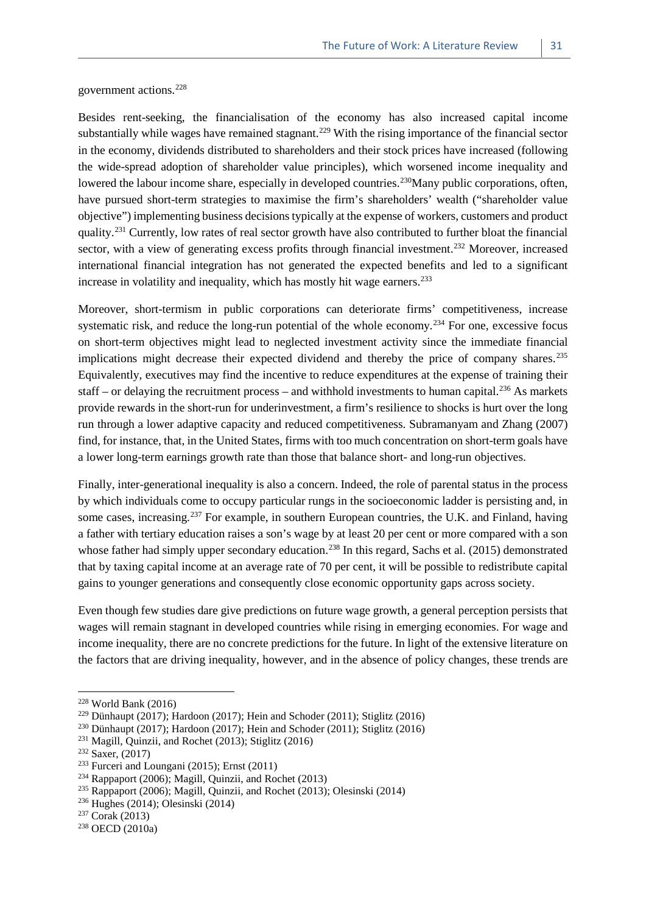government actions.[228](#page-38-0)

Besides rent-seeking, the financialisation of the economy has also increased capital income substantially while wages have remained stagnant.<sup>229</sup> With the rising importance of the financial sector in the economy, dividends distributed to shareholders and their stock prices have increased (following the wide-spread adoption of shareholder value principles), which worsened income inequality and lowered the labour income share, especially in developed countries.<sup>[230](#page-38-2)</sup>Many public corporations, often, have pursued short-term strategies to maximise the firm's shareholders' wealth ("shareholder value objective") implementing business decisions typically at the expense of workers, customers and product quality.[231](#page-38-3) Currently, low rates of real sector growth have also contributed to further bloat the financial sector, with a view of generating excess profits through financial investment.<sup>[232](#page-38-4)</sup> Moreover, increased international financial integration has not generated the expected benefits and led to a significant increase in volatility and inequality, which has mostly hit wage earners.<sup>[233](#page-38-5)</sup>

Moreover, short-termism in public corporations can deteriorate firms' competitiveness, increase systematic risk, and reduce the long-run potential of the whole economy.<sup>[234](#page-38-6)</sup> For one, excessive focus on short-term objectives might lead to neglected investment activity since the immediate financial implications might decrease their expected dividend and thereby the price of company shares.<sup>[235](#page-38-7)</sup> Equivalently, executives may find the incentive to reduce expenditures at the expense of training their staff – or delaying the recruitment process – and withhold investments to human capital.<sup>[236](#page-38-8)</sup> As markets provide rewards in the short-run for underinvestment, a firm's resilience to shocks is hurt over the long run through a lower adaptive capacity and reduced competitiveness. Subramanyam and Zhang (2007) find, for instance, that, in the United States, firms with too much concentration on short-term goals have a lower long-term earnings growth rate than those that balance short- and long-run objectives.

Finally, inter-generational inequality is also a concern. Indeed, the role of parental status in the process by which individuals come to occupy particular rungs in the socioeconomic ladder is persisting and, in some cases, increasing.<sup>[237](#page-38-9)</sup> For example, in southern European countries, the U.K. and Finland, having a father with tertiary education raises a son's wage by at least 20 per cent or more compared with a son whose father had simply upper secondary education.<sup>[238](#page-38-10)</sup> In this regard, Sachs et al. (2015) demonstrated that by taxing capital income at an average rate of 70 per cent, it will be possible to redistribute capital gains to younger generations and consequently close economic opportunity gaps across society.

Even though few studies dare give predictions on future wage growth, a general perception persists that wages will remain stagnant in developed countries while rising in emerging economies. For wage and income inequality, there are no concrete predictions for the future. In light of the extensive literature on the factors that are driving inequality, however, and in the absence of policy changes, these trends are

<span id="page-38-0"></span> $228$  World Bank (2016)

<span id="page-38-1"></span><sup>229</sup> Dünhaupt (2017); Hardoon (2017); Hein and Schoder (2011); Stiglitz (2016)

<span id="page-38-2"></span><sup>230</sup> Dünhaupt (2017); Hardoon (2017); Hein and Schoder (2011); Stiglitz (2016)

<span id="page-38-3"></span><sup>231</sup> Magill, Quinzii, and Rochet (2013); Stiglitz (2016)

<span id="page-38-4"></span><sup>232</sup> Saxer, (2017)

<span id="page-38-5"></span> $233$  Furceri and Loungani (2015); Ernst (2011)

<span id="page-38-6"></span> $234$  Rappaport (2006); Magill, Quinzii, and Rochet (2013)

<span id="page-38-7"></span><sup>235</sup> Rappaport (2006); Magill, Quinzii, and Rochet (2013); Olesinski (2014)

<span id="page-38-8"></span><sup>236</sup> Hughes (2014); Olesinski (2014)

<span id="page-38-9"></span><sup>237</sup> Corak (2013)

<span id="page-38-10"></span><sup>238</sup> OECD (2010a)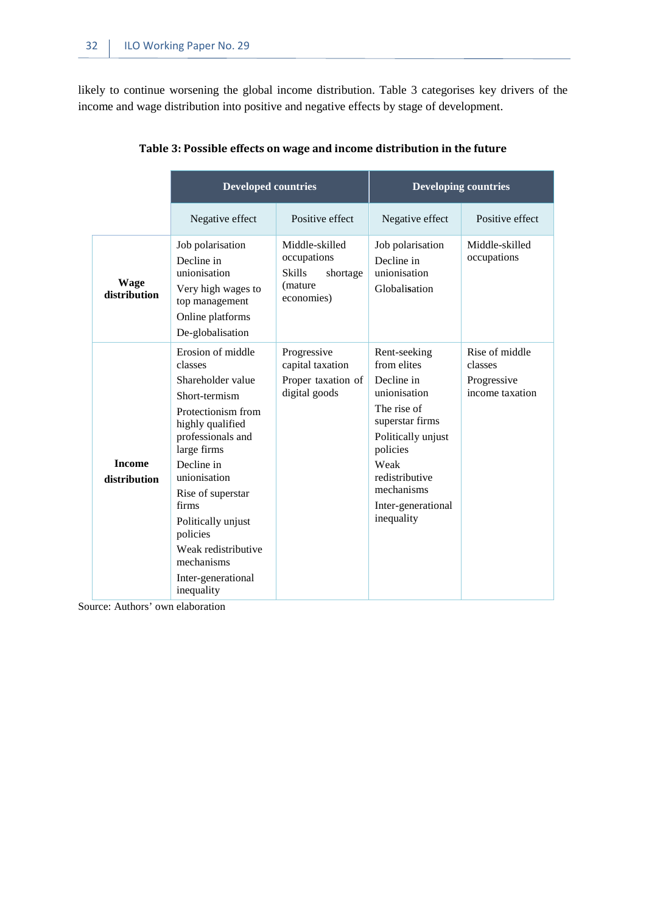likely to continue worsening the global income distribution. Table 3 categorises key drivers of the income and wage distribution into positive and negative effects by stage of development.

<span id="page-39-0"></span>

|                               | <b>Developed countries</b>                                                                                                                                                                                                                                                                                              |                                                                                      | <b>Developing countries</b>                                                                                                                                                                               |                                                             |
|-------------------------------|-------------------------------------------------------------------------------------------------------------------------------------------------------------------------------------------------------------------------------------------------------------------------------------------------------------------------|--------------------------------------------------------------------------------------|-----------------------------------------------------------------------------------------------------------------------------------------------------------------------------------------------------------|-------------------------------------------------------------|
|                               | Negative effect                                                                                                                                                                                                                                                                                                         | Positive effect                                                                      | Negative effect                                                                                                                                                                                           | Positive effect                                             |
| Wage<br>distribution          | Job polarisation<br>Decline in<br>unionisation<br>Very high wages to<br>top management<br>Online platforms<br>De-globalisation                                                                                                                                                                                          | Middle-skilled<br>occupations<br><b>Skills</b><br>shortage<br>(mature)<br>economies) | Job polarisation<br>Decline in<br>unionisation<br>Globalisation                                                                                                                                           | Middle-skilled<br>occupations                               |
| <b>Income</b><br>distribution | Erosion of middle<br>classes<br>Shareholder value<br>Short-termism<br>Protectionism from<br>highly qualified<br>professionals and<br>large firms<br>Decline in<br>unionisation<br>Rise of superstar<br>firms<br>Politically unjust<br>policies<br>Weak redistributive<br>mechanisms<br>Inter-generational<br>inequality | Progressive<br>capital taxation<br>Proper taxation of<br>digital goods               | Rent-seeking<br>from elites<br>Decline in<br>unionisation<br>The rise of<br>superstar firms<br>Politically unjust<br>policies<br>Weak<br>redistributive<br>mechanisms<br>Inter-generational<br>inequality | Rise of middle<br>classes<br>Progressive<br>income taxation |

| Table 3: Possible effects on wage and income distribution in the future |  |  |
|-------------------------------------------------------------------------|--|--|
|                                                                         |  |  |

Source: Authors' own elaboration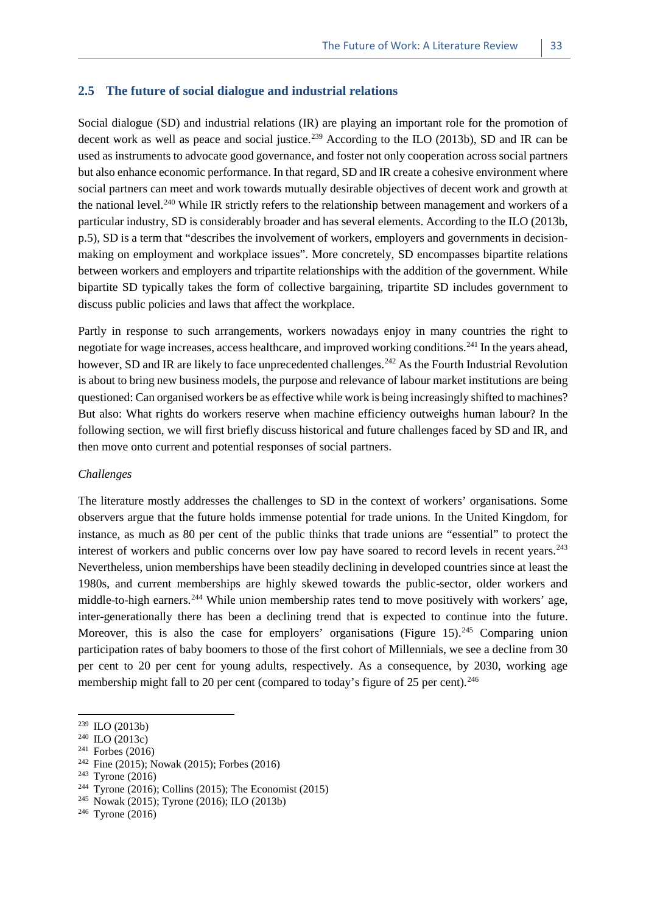#### <span id="page-40-0"></span>**2.5 The future of social dialogue and industrial relations**

Social dialogue (SD) and industrial relations (IR) are playing an important role for the promotion of decent work as well as peace and social justice.<sup>[239](#page-40-1)</sup> According to the ILO (2013b), SD and IR can be used as instruments to advocate good governance, and foster not only cooperation across social partners but also enhance economic performance. In that regard, SD and IR create a cohesive environment where social partners can meet and work towards mutually desirable objectives of decent work and growth at the national level.<sup>[240](#page-40-2)</sup> While IR strictly refers to the relationship between management and workers of a particular industry, SD is considerably broader and has several elements. According to the ILO (2013b, p.5), SD is a term that "describes the involvement of workers, employers and governments in decisionmaking on employment and workplace issues". More concretely, SD encompasses bipartite relations between workers and employers and tripartite relationships with the addition of the government. While bipartite SD typically takes the form of collective bargaining, tripartite SD includes government to discuss public policies and laws that affect the workplace.

Partly in response to such arrangements, workers nowadays enjoy in many countries the right to negotiate for wage increases, access healthcare, and improved working conditions.[241](#page-40-3) In the years ahead, however, SD and IR are likely to face unprecedented challenges.<sup>[242](#page-40-4)</sup> As the Fourth Industrial Revolution is about to bring new business models, the purpose and relevance of labour market institutions are being questioned: Can organised workers be as effective while work is being increasingly shifted to machines? But also: What rights do workers reserve when machine efficiency outweighs human labour? In the following section, we will first briefly discuss historical and future challenges faced by SD and IR, and then move onto current and potential responses of social partners.

#### *Challenges*

The literature mostly addresses the challenges to SD in the context of workers' organisations. Some observers argue that the future holds immense potential for trade unions. In the United Kingdom, for instance, as much as 80 per cent of the public thinks that trade unions are "essential" to protect the interest of workers and public concerns over low pay have soared to record levels in recent years.<sup>[243](#page-40-5)</sup> Nevertheless, union memberships have been steadily declining in developed countries since at least the 1980s, and current memberships are highly skewed towards the public-sector, older workers and middle-to-high earners.<sup>244</sup> While union membership rates tend to move positively with workers' age, inter-generationally there has been a declining trend that is expected to continue into the future. Moreover, this is also the case for employers' organisations (Figure 15).<sup>[245](#page-40-7)</sup> Comparing union participation rates of baby boomers to those of the first cohort of Millennials, we see a decline from 30 per cent to 20 per cent for young adults, respectively. As a consequence, by 2030, working age membership might fall to 20 per cent (compared to today's figure of 25 per cent).<sup>[246](#page-40-8)</sup>

<span id="page-40-1"></span><sup>239</sup> ILO (2013b)

<span id="page-40-2"></span><sup>240</sup> ILO (2013c)

<span id="page-40-3"></span> $241$  Forbes (2016)

<span id="page-40-4"></span><sup>&</sup>lt;sup>242</sup> Fine (2015); Nowak (2015); Forbes (2016)

<span id="page-40-5"></span> $243$  Tyrone (2016)

<span id="page-40-6"></span><sup>&</sup>lt;sup>244</sup> Tyrone (2016); Collins (2015); The Economist (2015)

<span id="page-40-7"></span><sup>245</sup> Nowak (2015); Tyrone (2016); ILO (2013b)

<span id="page-40-8"></span><sup>246</sup> Tyrone (2016)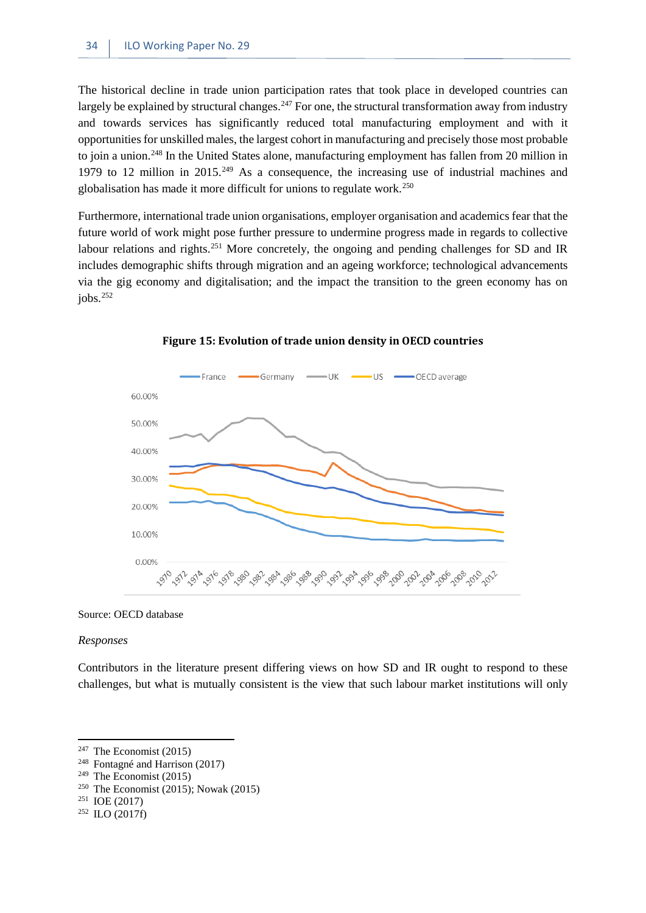The historical decline in trade union participation rates that took place in developed countries can largely be explained by structural changes.<sup>[247](#page-41-1)</sup> For one, the structural transformation away from industry and towards services has significantly reduced total manufacturing employment and with it opportunities for unskilled males, the largest cohort in manufacturing and precisely those most probable to join a union.[248](#page-41-2) In the United States alone, manufacturing employment has fallen from 20 million in 1979 to 12 million in 2015.<sup>[249](#page-41-3)</sup> As a consequence, the increasing use of industrial machines and globalisation has made it more difficult for unions to regulate work.[250](#page-41-4)

Furthermore, international trade union organisations, employer organisation and academics fear that the future world of work might pose further pressure to undermine progress made in regards to collective labour relations and rights.<sup>251</sup> More concretely, the ongoing and pending challenges for SD and IR includes demographic shifts through migration and an ageing workforce; technological advancements via the gig economy and digitalisation; and the impact the transition to the green economy has on  $i$ obs.<sup>[252](#page-41-6)</sup>

<span id="page-41-0"></span>

#### **Figure 15: Evolution of trade union density in OECD countries**

Source: OECD database

#### *Responses*

**.** 

Contributors in the literature present differing views on how SD and IR ought to respond to these challenges, but what is mutually consistent is the view that such labour market institutions will only

<span id="page-41-2"></span><span id="page-41-1"></span> $247$  The Economist (2015)

<span id="page-41-3"></span><sup>248</sup> Fontagné and Harrison (2017)

<span id="page-41-4"></span> $249$  The Economist (2015)

<span id="page-41-5"></span><sup>&</sup>lt;sup>250</sup> The Economist (2015); Nowak (2015)

<span id="page-41-6"></span><sup>251</sup> IOE (2017)

<sup>252</sup> ILO (2017f)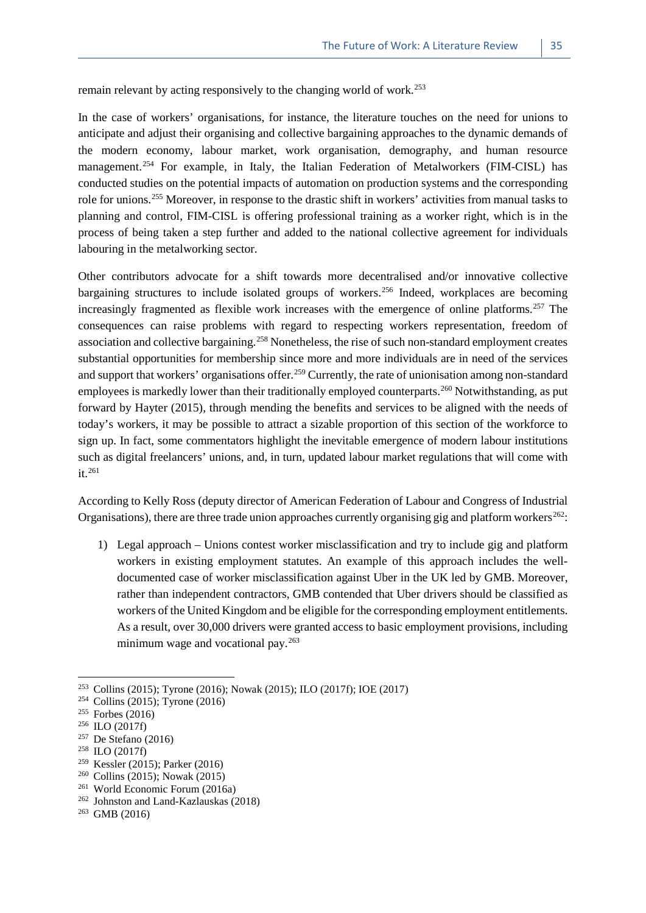remain relevant by acting responsively to the changing world of work.<sup>[253](#page-42-0)</sup>

In the case of workers' organisations, for instance, the literature touches on the need for unions to anticipate and adjust their organising and collective bargaining approaches to the dynamic demands of the modern economy, labour market, work organisation, demography, and human resource management.<sup>[254](#page-42-1)</sup> For example, in Italy, the Italian Federation of Metalworkers (FIM-CISL) has conducted studies on the potential impacts of automation on production systems and the corresponding role for unions.[255](#page-42-2) Moreover, in response to the drastic shift in workers' activities from manual tasks to planning and control, FIM-CISL is offering professional training as a worker right, which is in the process of being taken a step further and added to the national collective agreement for individuals labouring in the metalworking sector.

Other contributors advocate for a shift towards more decentralised and/or innovative collective bargaining structures to include isolated groups of workers.<sup>[256](#page-42-3)</sup> Indeed, workplaces are becoming increasingly fragmented as flexible work increases with the emergence of online platforms.<sup>[257](#page-42-4)</sup> The consequences can raise problems with regard to respecting workers representation, freedom of association and collective bargaining.<sup>[258](#page-42-5)</sup> Nonetheless, the rise of such non-standard employment creates substantial opportunities for membership since more and more individuals are in need of the services and support that workers' organisations offer.<sup>[259](#page-42-6)</sup> Currently, the rate of unionisation among non-standard employees is markedly lower than their traditionally employed counterparts.<sup>[260](#page-42-7)</sup> Notwithstanding, as put forward by Hayter (2015), through mending the benefits and services to be aligned with the needs of today's workers, it may be possible to attract a sizable proportion of this section of the workforce to sign up. In fact, some commentators highlight the inevitable emergence of modern labour institutions such as digital freelancers' unions, and, in turn, updated labour market regulations that will come with  $it$ <sup>261</sup>

According to Kelly Ross (deputy director of American Federation of Labour and Congress of Industrial Organisations), there are three trade union approaches currently organising gig and platform workers<sup>[262](#page-42-9)</sup>:

1) Legal approach – Unions contest worker misclassification and try to include gig and platform workers in existing employment statutes. An example of this approach includes the welldocumented case of worker misclassification against Uber in the UK led by GMB. Moreover, rather than independent contractors, GMB contended that Uber drivers should be classified as workers of the United Kingdom and be eligible for the corresponding employment entitlements. As a result, over 30,000 drivers were granted access to basic employment provisions, including minimum wage and vocational pay.<sup>[263](#page-42-0)</sup>

- <span id="page-42-6"></span><sup>259</sup> Kessler (2015); Parker (2016)
- <span id="page-42-7"></span><sup>260</sup> Collins (2015); Nowak (2015)
- <span id="page-42-8"></span><sup>261</sup> World Economic Forum (2016a)

<sup>&</sup>lt;sup>253</sup> Collins (2015); Tyrone (2016); Nowak (2015); ILO (2017f); IOE (2017)

<span id="page-42-1"></span><sup>254</sup> Collins (2015); Tyrone (2016)

<span id="page-42-2"></span><sup>255</sup> Forbes (2016)

<span id="page-42-3"></span> $256$  ILO (2017f)

<span id="page-42-4"></span><sup>257</sup> De Stefano (2016)

<span id="page-42-5"></span><sup>258</sup> ILO (2017f)

<span id="page-42-9"></span> $262$  Johnston and Land-Kazlauskas (2018)

<span id="page-42-0"></span><sup>263</sup> GMB (2016)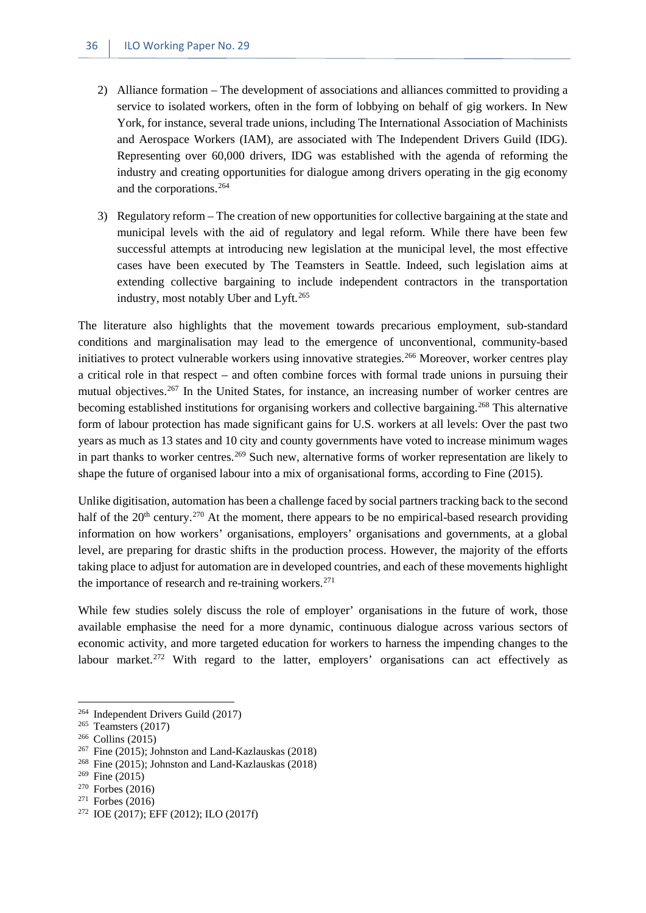- 2) Alliance formation The development of associations and alliances committed to providing a service to isolated workers, often in the form of lobbying on behalf of gig workers. In New York, for instance, several trade unions, including The International Association of Machinists and Aerospace Workers (IAM), are associated with The Independent Drivers Guild (IDG). Representing over 60,000 drivers, IDG was established with the agenda of reforming the industry and creating opportunities for dialogue among drivers operating in the gig economy and the corporations.[264](#page-43-0)
- 3) Regulatory reform The creation of new opportunities for collective bargaining at the state and municipal levels with the aid of regulatory and legal reform. While there have been few successful attempts at introducing new legislation at the municipal level, the most effective cases have been executed by The Teamsters in Seattle. Indeed, such legislation aims at extending collective bargaining to include independent contractors in the transportation industry, most notably Uber and Lyft.[265](#page-43-1)

The literature also highlights that the movement towards precarious employment, sub-standard conditions and marginalisation may lead to the emergence of unconventional, community-based initiatives to protect vulnerable workers using innovative strategies.<sup>[266](#page-43-2)</sup> Moreover, worker centres play a critical role in that respect – and often combine forces with formal trade unions in pursuing their mutual objectives.<sup>[267](#page-43-3)</sup> In the United States, for instance, an increasing number of worker centres are becoming established institutions for organising workers and collective bargaining.[268](#page-43-4) This alternative form of labour protection has made significant gains for U.S. workers at all levels: Over the past two years as much as 13 states and 10 city and county governments have voted to increase minimum wages in part thanks to worker centres.<sup>[269](#page-43-5)</sup> Such new, alternative forms of worker representation are likely to shape the future of organised labour into a mix of organisational forms, according to Fine (2015).

Unlike digitisation, automation has been a challenge faced by social partners tracking back to the second half of the  $20<sup>th</sup>$  century.<sup>[270](#page-43-6)</sup> At the moment, there appears to be no empirical-based research providing information on how workers' organisations, employers' organisations and governments, at a global level, are preparing for drastic shifts in the production process. However, the majority of the efforts taking place to adjust for automation are in developed countries, and each of these movements highlight the importance of research and re-training workers. $271$ 

While few studies solely discuss the role of employer' organisations in the future of work, those available emphasise the need for a more dynamic, continuous dialogue across various sectors of economic activity, and more targeted education for workers to harness the impending changes to the labour market.<sup>[272](#page-43-8)</sup> With regard to the latter, employers' organisations can act effectively as

<span id="page-43-0"></span><sup>264</sup> Independent Drivers Guild (2017)

<span id="page-43-1"></span> $265$  Teamsters (2017)

<span id="page-43-2"></span><sup>266</sup> Collins (2015)

<span id="page-43-3"></span><sup>267</sup> Fine (2015); Johnston and Land-Kazlauskas (2018)

<span id="page-43-4"></span><sup>268</sup> Fine (2015); Johnston and Land-Kazlauskas (2018)

<span id="page-43-5"></span><sup>269</sup> Fine (2015)

<span id="page-43-6"></span><sup>270</sup> Forbes (2016)

<span id="page-43-7"></span> $271$  Forbes (2016)

<span id="page-43-8"></span><sup>272</sup> IOE (2017); EFF (2012); ILO (2017f)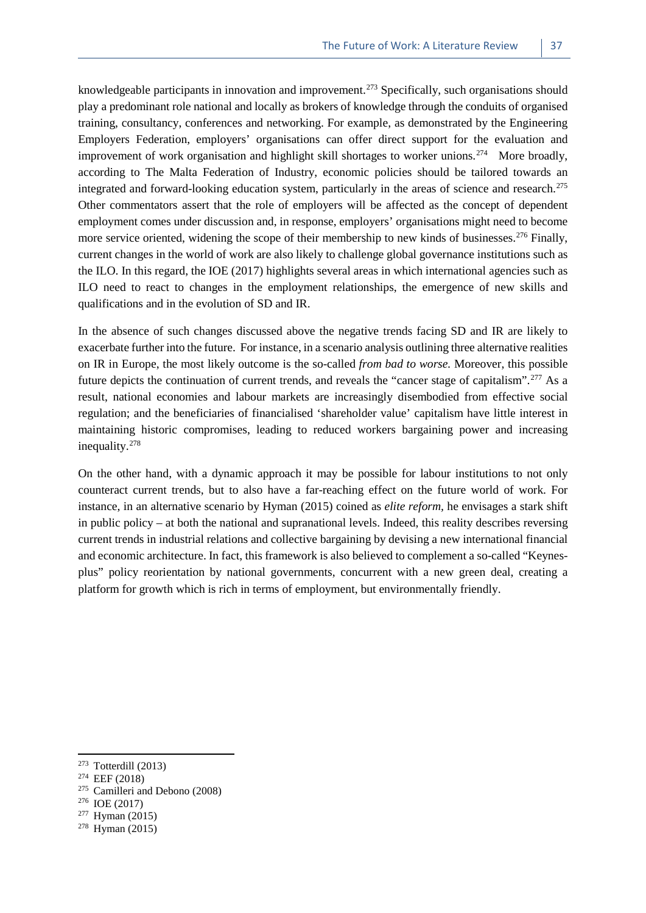knowledgeable participants in innovation and improvement.<sup>[273](#page-44-0)</sup> Specifically, such organisations should play a predominant role national and locally as brokers of knowledge through the conduits of organised training, consultancy, conferences and networking. For example, as demonstrated by the Engineering Employers Federation, employers' organisations can offer direct support for the evaluation and improvement of work organisation and highlight skill shortages to worker unions.<sup>274</sup> More broadly, according to The Malta Federation of Industry, economic policies should be tailored towards an integrated and forward-looking education system, particularly in the areas of science and research.<sup>[275](#page-44-2)</sup> Other commentators assert that the role of employers will be affected as the concept of dependent employment comes under discussion and, in response, employers' organisations might need to become more service oriented, widening the scope of their membership to new kinds of businesses.<sup>[276](#page-44-3)</sup> Finally, current changes in the world of work are also likely to challenge global governance institutions such as the ILO. In this regard, the IOE (2017) highlights several areas in which international agencies such as ILO need to react to changes in the employment relationships, the emergence of new skills and qualifications and in the evolution of SD and IR.

In the absence of such changes discussed above the negative trends facing SD and IR are likely to exacerbate further into the future. For instance, in a scenario analysis outlining three alternative realities on IR in Europe, the most likely outcome is the so-called *from bad to worse.* Moreover, this possible future depicts the continuation of current trends, and reveals the "cancer stage of capitalism".[277](#page-44-4) As a result, national economies and labour markets are increasingly disembodied from effective social regulation; and the beneficiaries of financialised 'shareholder value' capitalism have little interest in maintaining historic compromises, leading to reduced workers bargaining power and increasing inequality.[278](#page-44-5)

On the other hand, with a dynamic approach it may be possible for labour institutions to not only counteract current trends, but to also have a far-reaching effect on the future world of work. For instance, in an alternative scenario by Hyman (2015) coined as *elite reform,* he envisages a stark shift in public policy – at both the national and supranational levels. Indeed, this reality describes reversing current trends in industrial relations and collective bargaining by devising a new international financial and economic architecture. In fact, this framework is also believed to complement a so-called "Keynesplus" policy reorientation by national governments, concurrent with a new green deal, creating a platform for growth which is rich in terms of employment, but environmentally friendly.

<span id="page-44-0"></span> $273$  Totterdill (2013)

<span id="page-44-1"></span><sup>274</sup> EEF (2018)

<span id="page-44-2"></span><sup>275</sup> Camilleri and Debono (2008)

<span id="page-44-3"></span><sup>276</sup> IOE (2017)

<span id="page-44-4"></span> $277$  Hyman (2015)

<span id="page-44-5"></span><sup>278</sup> Hyman (2015)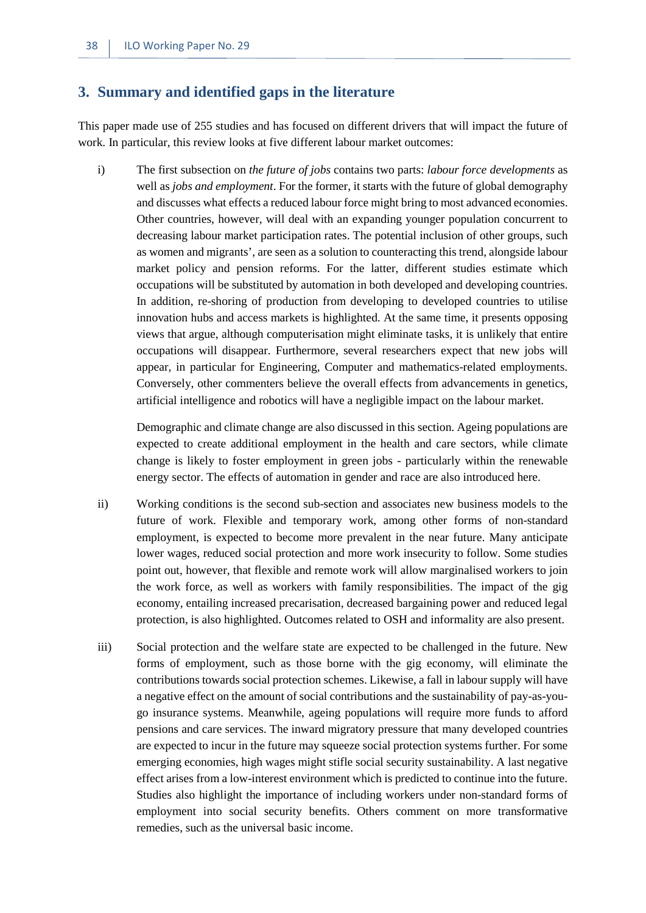#### <span id="page-45-0"></span>**3. Summary and identified gaps in the literature**

This paper made use of 255 studies and has focused on different drivers that will impact the future of work. In particular, this review looks at five different labour market outcomes:

i) The first subsection on *the future of jobs* contains two parts: *labour force developments* as well as *jobs and employment*. For the former, it starts with the future of global demography and discusses what effects a reduced labour force might bring to most advanced economies. Other countries, however, will deal with an expanding younger population concurrent to decreasing labour market participation rates. The potential inclusion of other groups, such as women and migrants', are seen as a solution to counteracting this trend, alongside labour market policy and pension reforms. For the latter, different studies estimate which occupations will be substituted by automation in both developed and developing countries. In addition, re-shoring of production from developing to developed countries to utilise innovation hubs and access markets is highlighted. At the same time, it presents opposing views that argue, although computerisation might eliminate tasks, it is unlikely that entire occupations will disappear. Furthermore, several researchers expect that new jobs will appear, in particular for Engineering, Computer and mathematics-related employments. Conversely, other commenters believe the overall effects from advancements in genetics, artificial intelligence and robotics will have a negligible impact on the labour market.

Demographic and climate change are also discussed in this section. Ageing populations are expected to create additional employment in the health and care sectors, while climate change is likely to foster employment in green jobs - particularly within the renewable energy sector. The effects of automation in gender and race are also introduced here.

- ii) Working conditions is the second sub-section and associates new business models to the future of work. Flexible and temporary work, among other forms of non-standard employment, is expected to become more prevalent in the near future. Many anticipate lower wages, reduced social protection and more work insecurity to follow. Some studies point out, however, that flexible and remote work will allow marginalised workers to join the work force, as well as workers with family responsibilities. The impact of the gig economy, entailing increased precarisation, decreased bargaining power and reduced legal protection, is also highlighted. Outcomes related to OSH and informality are also present.
- iii) Social protection and the welfare state are expected to be challenged in the future. New forms of employment, such as those borne with the gig economy, will eliminate the contributions towards social protection schemes. Likewise, a fall in labour supply will have a negative effect on the amount of social contributions and the sustainability of pay-as-yougo insurance systems. Meanwhile, ageing populations will require more funds to afford pensions and care services. The inward migratory pressure that many developed countries are expected to incur in the future may squeeze social protection systems further. For some emerging economies, high wages might stifle social security sustainability. A last negative effect arises from a low-interest environment which is predicted to continue into the future. Studies also highlight the importance of including workers under non-standard forms of employment into social security benefits. Others comment on more transformative remedies, such as the universal basic income.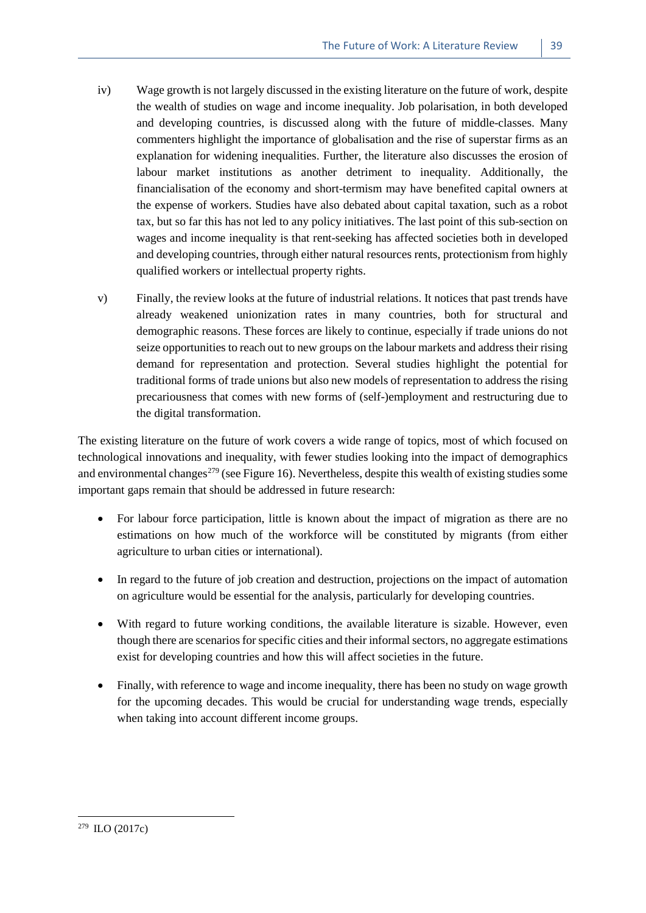- iv) Wage growth is not largely discussed in the existing literature on the future of work, despite the wealth of studies on wage and income inequality. Job polarisation, in both developed and developing countries, is discussed along with the future of middle-classes. Many commenters highlight the importance of globalisation and the rise of superstar firms as an explanation for widening inequalities. Further, the literature also discusses the erosion of labour market institutions as another detriment to inequality. Additionally, the financialisation of the economy and short-termism may have benefited capital owners at the expense of workers. Studies have also debated about capital taxation, such as a robot tax, but so far this has not led to any policy initiatives. The last point of this sub-section on wages and income inequality is that rent-seeking has affected societies both in developed and developing countries, through either natural resources rents, protectionism from highly qualified workers or intellectual property rights.
- v) Finally, the review looks at the future of industrial relations. It notices that past trends have already weakened unionization rates in many countries, both for structural and demographic reasons. These forces are likely to continue, especially if trade unions do not seize opportunities to reach out to new groups on the labour markets and address their rising demand for representation and protection. Several studies highlight the potential for traditional forms of trade unions but also new models of representation to address the rising precariousness that comes with new forms of (self-)employment and restructuring due to the digital transformation.

The existing literature on the future of work covers a wide range of topics, most of which focused on technological innovations and inequality, with fewer studies looking into the impact of demographics and environmental changes<sup> $279$ </sup> (see Figure 16). Nevertheless, despite this wealth of existing studies some important gaps remain that should be addressed in future research:

- For labour force participation, little is known about the impact of migration as there are no estimations on how much of the workforce will be constituted by migrants (from either agriculture to urban cities or international).
- In regard to the future of job creation and destruction, projections on the impact of automation on agriculture would be essential for the analysis, particularly for developing countries.
- With regard to future working conditions, the available literature is sizable. However, even though there are scenarios for specific cities and their informal sectors, no aggregate estimations exist for developing countries and how this will affect societies in the future.
- Finally, with reference to wage and income inequality, there has been no study on wage growth for the upcoming decades. This would be crucial for understanding wage trends, especially when taking into account different income groups.

1

<span id="page-46-0"></span><sup>279</sup> ILO (2017c)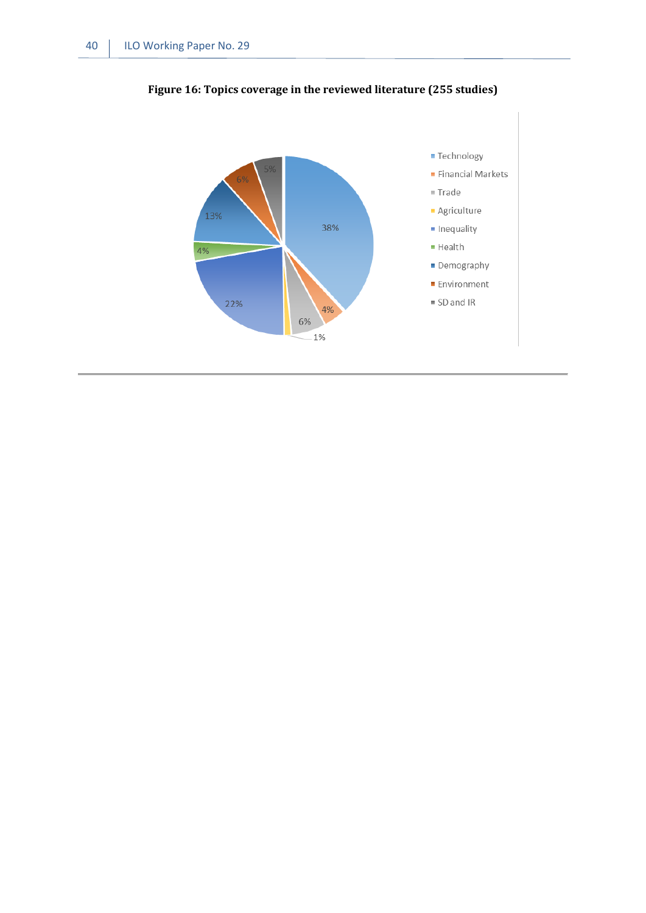

<span id="page-47-0"></span>**Figure 16: Topics coverage in the reviewed literature (255 studies)**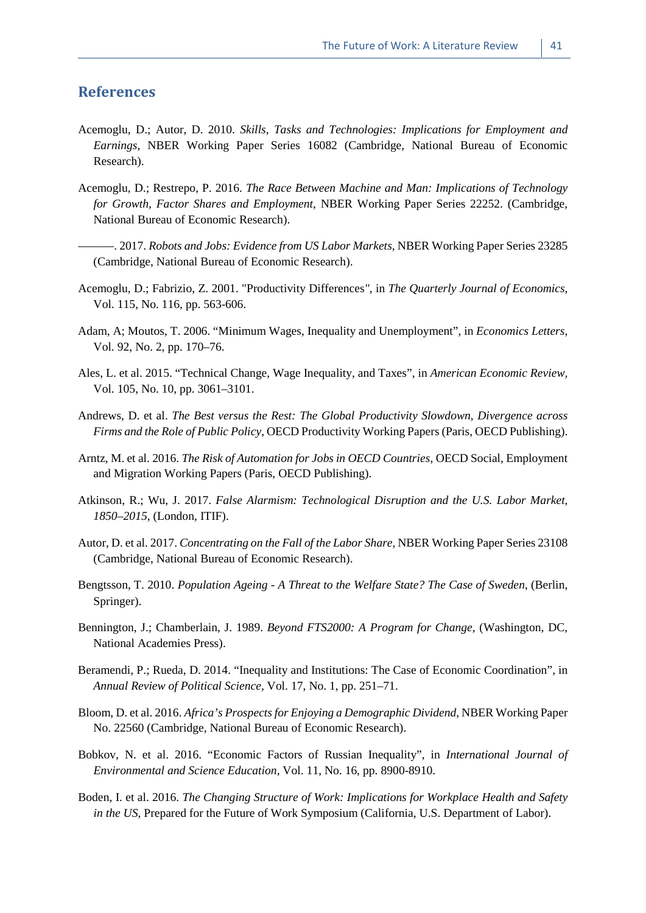#### <span id="page-48-0"></span>**References**

- Acemoglu, D.; Autor, D. 2010. *Skills, Tasks and Technologies: Implications for Employment and Earnings*, NBER Working Paper Series 16082 (Cambridge, National Bureau of Economic Research).
- Acemoglu, D.; Restrepo, P. 2016. *The Race Between Machine and Man: Implications of Technology for Growth, Factor Shares and Employment*, NBER Working Paper Series 22252. (Cambridge, National Bureau of Economic Research).
- ———. 2017. *Robots and Jobs: Evidence from US Labor Markets*, NBER Working Paper Series 23285 (Cambridge, National Bureau of Economic Research).
- Acemoglu, D.; Fabrizio, Z. 2001. "Productivity Differences*"*, in *The Quarterly Journal of Economics,*  Vol. 115, No. 116, pp. 563-606.
- Adam, A; Moutos, T. 2006. "Minimum Wages, Inequality and Unemployment", in *Economics Letters,*  Vol. 92, No. 2, pp. 170–76.
- Ales, L. et al. 2015. "Technical Change, Wage Inequality, and Taxes", in *American Economic Review,*  Vol. 105, No. 10, pp. 3061–3101.
- Andrews, D. et al. *The Best versus the Rest: The Global Productivity Slowdown, Divergence across Firms and the Role of Public Policy*, OECD Productivity Working Papers (Paris, OECD Publishing).
- Arntz, M. et al. 2016. *The Risk of Automation for Jobs in OECD Countries*, OECD Social, Employment and Migration Working Papers (Paris, OECD Publishing).
- Atkinson, R.; Wu, J. 2017. *False Alarmism: Technological Disruption and the U.S. Labor Market, 1850–2015,* (London, ITIF).
- Autor, D. et al. 2017. *Concentrating on the Fall of the Labor Share,* NBER Working Paper Series 23108 (Cambridge, National Bureau of Economic Research).
- Bengtsson, T. 2010. *Population Ageing - A Threat to the Welfare State? The Case of Sweden*, (Berlin, Springer).
- Bennington, J.; Chamberlain, J. 1989. *Beyond FTS2000: A Program for Change*, (Washington, DC, National Academies Press).
- Beramendi, P.; Rueda, D. 2014. "Inequality and Institutions: The Case of Economic Coordination", in *Annual Review of Political Science,* Vol. 17, No. 1, pp. 251–71.
- Bloom, D. et al. 2016. *Africa's Prospects for Enjoying a Demographic Dividend*, NBER Working Paper No. 22560 (Cambridge, National Bureau of Economic Research).
- Bobkov, N. et al. 2016. "Economic Factors of Russian Inequality", in *International Journal of Environmental and Science Education*, Vol. 11, No. 16, pp. 8900-8910.
- Boden, I. et al. 2016. *The Changing Structure of Work: Implications for Workplace Health and Safety in the US*, Prepared for the Future of Work Symposium (California, U.S. Department of Labor).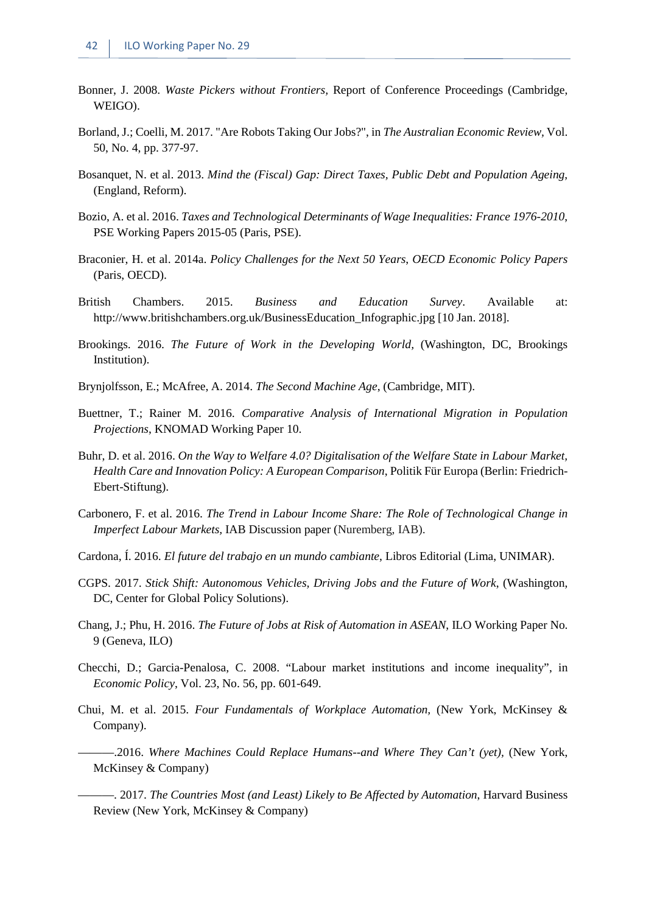- Bonner, J. 2008. *Waste Pickers without Frontiers,* Report of Conference Proceedings (Cambridge, WEIGO).
- Borland, J.; Coelli, M. 2017. "Are Robots Taking Our Jobs?", in *The Australian Economic Review,* Vol. 50, No. 4, pp. 377-97.
- Bosanquet, N. et al. 2013. *Mind the (Fiscal) Gap: Direct Taxes, Public Debt and Population Ageing*, (England, Reform).
- Bozio, A. et al. 2016. *Taxes and Technological Determinants of Wage Inequalities: France 1976-2010*, PSE Working Papers 2015-05 (Paris, PSE).
- Braconier, H. et al. 2014a. *Policy Challenges for the Next 50 Years*, *OECD Economic Policy Papers* (Paris, OECD).
- British Chambers. 2015. *Business and Education Survey*. Available at: http://www.britishchambers.org.uk/BusinessEducation\_Infographic.jpg [10 Jan. 2018].
- Brookings. 2016. *The Future of Work in the Developing World,* (Washington, DC, Brookings Institution).
- Brynjolfsson, E.; McAfree, A. 2014. *The Second Machine Age*, (Cambridge, MIT).
- Buettner, T.; Rainer M. 2016. *Comparative Analysis of International Migration in Population Projections*, KNOMAD Working Paper 10.
- Buhr, D. et al. 2016. *On the Way to Welfare 4.0? Digitalisation of the Welfare State in Labour Market, Health Care and Innovation Policy: A European Comparison*, Politik Für Europa (Berlin: Friedrich-Ebert-Stiftung).
- Carbonero, F. et al. 2016. *The Trend in Labour Income Share: The Role of Technological Change in Imperfect Labour Markets,* IAB Discussion paper (Nuremberg, IAB).
- Cardona, Í. 2016. *El future del trabajo en un mundo cambiante*, Libros Editorial (Lima, UNIMAR).
- CGPS. 2017. *Stick Shift: Autonomous Vehicles, Driving Jobs and the Future of Work*, (Washington, DC, Center for Global Policy Solutions).
- Chang, J.; Phu, H. 2016. *The Future of Jobs at Risk of Automation in ASEAN*, ILO Working Paper No. 9 (Geneva, ILO)
- Checchi, D.; Garcia-Penalosa, C. 2008. "Labour market institutions and income inequality", in *Economic Policy*, Vol. 23, No. 56, pp. 601-649.
- Chui, M. et al. 2015. *Four Fundamentals of Workplace Automation,* (New York, McKinsey & Company).
	- -.2016. *Where Machines Could Replace Humans--and Where They Can't (yet)*, (New York, McKinsey & Company)
	- ———. 2017. *The Countries Most (and Least) Likely to Be Affected by Automation*, Harvard Business Review (New York, McKinsey & Company)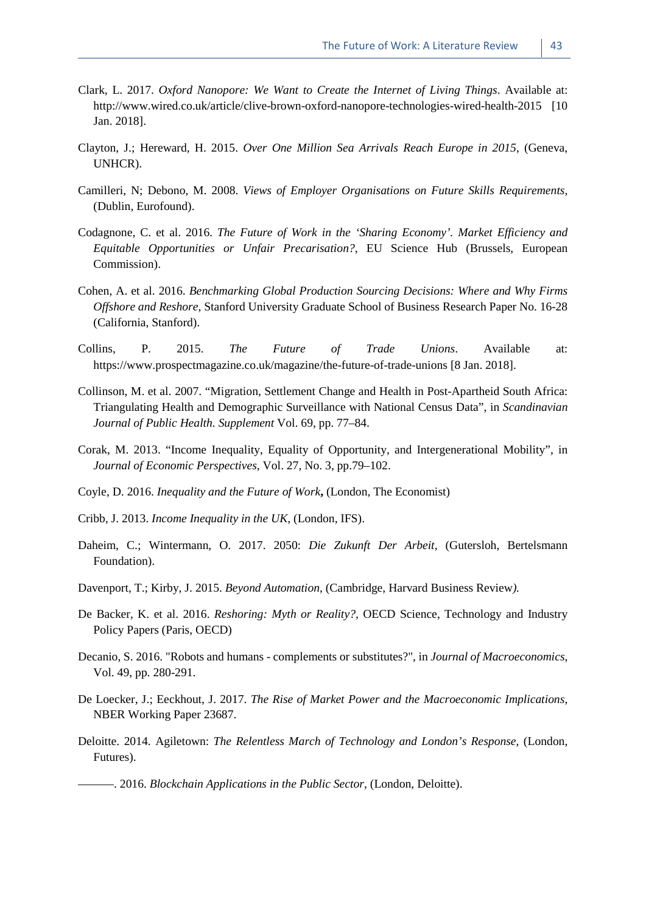- Clark, L. 2017. *Oxford Nanopore: We Want to Create the Internet of Living Things*. Available at: http://www.wired.co.uk/article/clive-brown-oxford-nanopore-technologies-wired-health-2015 [10 Jan. 2018].
- Clayton, J.; Hereward, H. 2015. *Over One Million Sea Arrivals Reach Europe in 2015*, (Geneva, UNHCR).
- Camilleri, N; Debono, M. 2008. *Views of Employer Organisations on Future Skills Requirements,* (Dublin, Eurofound).
- Codagnone, C. et al. 2016. *The Future of Work in the 'Sharing Economy'. Market Efficiency and Equitable Opportunities or Unfair Precarisation?*, EU Science Hub (Brussels, European Commission).
- Cohen, A. et al. 2016. *Benchmarking Global Production Sourcing Decisions: Where and Why Firms Offshore and Reshore*, Stanford University Graduate School of Business Research Paper No. 16-28 (California, Stanford).
- Collins, P. 2015. *The Future of Trade Unions*. Available at: https://www.prospectmagazine.co.uk/magazine/the-future-of-trade-unions [8 Jan. 2018].
- Collinson, M. et al. 2007. "Migration, Settlement Change and Health in Post-Apartheid South Africa: Triangulating Health and Demographic Surveillance with National Census Data", in *Scandinavian Journal of Public Health. Supplement* Vol. 69, pp. 77–84.
- Corak, M. 2013. "Income Inequality, Equality of Opportunity, and Intergenerational Mobility", in *Journal of Economic Perspectives,* Vol. 27, No. 3, pp.79–102.
- Coyle, D. 2016. *Inequality and the Future of Work***,** (London, The Economist)
- Cribb, J. 2013. *Income Inequality in the UK*, (London, IFS).
- Daheim, C.; Wintermann, O. 2017. 2050: *Die Zukunft Der Arbeit*, (Gutersloh, Bertelsmann Foundation).
- Davenport, T.; Kirby, J. 2015. *Beyond Automation*, (Cambridge, Harvard Business Review*).*
- De Backer, K. et al. 2016. *Reshoring: Myth or Reality?*, OECD Science, Technology and Industry Policy Papers (Paris, OECD)
- Decanio, S. 2016. "Robots and humans complements or substitutes?", in *Journal of Macroeconomics*, Vol. 49, pp. 280-291.
- De Loecker, J.; Eeckhout, J. 2017. *The Rise of Market Power and the Macroeconomic Implications*, NBER Working Paper 23687.
- Deloitte. 2014. Agiletown: *The Relentless March of Technology and London's Response,* (London, Futures).

———. 2016. *Blockchain Applications in the Public Sector*, (London, Deloitte).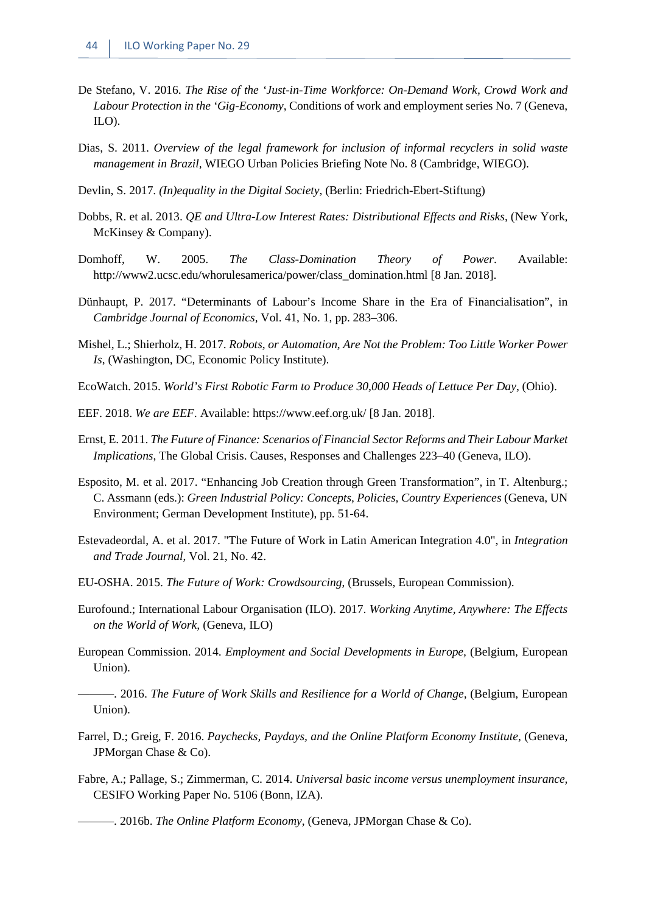- De Stefano, V. 2016. *The Rise of the 'Just-in-Time Workforce: On-Demand Work, Crowd Work and Labour Protection in the 'Gig-Economy*, Conditions of work and employment series No. 7 (Geneva, ILO).
- Dias, S. 2011. *Overview of the legal framework for inclusion of informal recyclers in solid waste management in Brazil,* WIEGO Urban Policies Briefing Note No. 8 (Cambridge, WIEGO).
- Devlin, S. 2017. *(In)equality in the Digital Society*, (Berlin: Friedrich-Ebert-Stiftung)
- Dobbs, R. et al. 2013. *QE and Ultra-Low Interest Rates: Distributional Effects and Risks*, (New York, McKinsey & Company).
- Domhoff, W. 2005. *The Class-Domination Theory of Power*. Available: http://www2.ucsc.edu/whorulesamerica/power/class\_domination.html [8 Jan. 2018].
- Dünhaupt, P. 2017. "Determinants of Labour's Income Share in the Era of Financialisation", in *Cambridge Journal of Economics,* Vol. 41, No. 1, pp. 283–306.
- Mishel, L.; Shierholz, H. 2017. *Robots, or Automation, Are Not the Problem: Too Little Worker Power Is*, (Washington, DC, Economic Policy Institute).
- EcoWatch. 2015. *World's First Robotic Farm to Produce 30,000 Heads of Lettuce Per Day*, (Ohio).
- EEF. 2018. *We are EEF*. Available: https://www.eef.org.uk/ [8 Jan. 2018].
- Ernst, E. 2011. *The Future of Finance: Scenarios of Financial Sector Reforms and Their Labour Market Implications*, The Global Crisis. Causes, Responses and Challenges 223–40 (Geneva, ILO).
- Esposito, M. et al. 2017. "Enhancing Job Creation through Green Transformation", in T. Altenburg.; C. Assmann (eds.): *Green Industrial Policy: Concepts, Policies, Country Experiences* (Geneva, UN Environment; German Development Institute), pp. 51-64.
- Estevadeordal, A. et al. 2017. "The Future of Work in Latin American Integration 4.0", in *Integration and Trade Journal*, Vol. 21, No. 42.
- EU-OSHA. 2015. *The Future of Work: Crowdsourcing*, (Brussels, European Commission).
- Eurofound.; International Labour Organisation (ILO). 2017. *Working Anytime, Anywhere: The Effects on the World of Work,* (Geneva, ILO)
- European Commission. 2014. *Employment and Social Developments in Europe,* (Belgium, European Union).

———. 2016. *The Future of Work Skills and Resilience for a World of Change,* (Belgium, European Union).

- Farrel, D.; Greig, F. 2016. *Paychecks, Paydays, and the Online Platform Economy Institute*, (Geneva, JPMorgan Chase & Co).
- Fabre, A.; Pallage, S.; Zimmerman, C. 2014. *Universal basic income versus unemployment insurance,*  CESIFO Working Paper No. 5106 (Bonn, IZA).

———. 2016b. *The Online Platform Economy*, (Geneva, JPMorgan Chase & Co).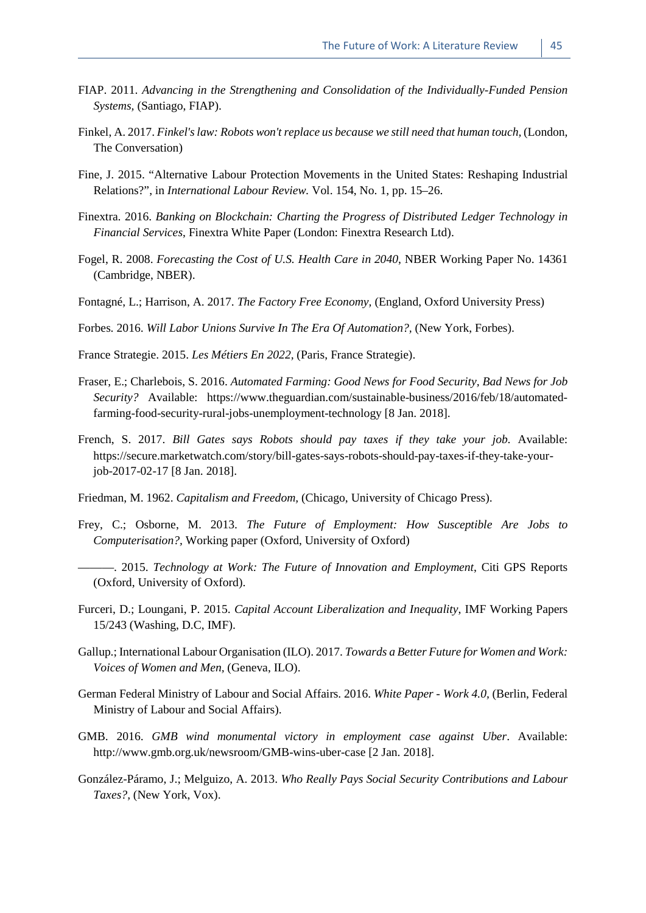- FIAP. 2011. *Advancing in the Strengthening and Consolidation of the Individually-Funded Pension Systems,* (Santiago, FIAP).
- Finkel, A. 2017. *Finkel's law: Robots won't replace us because we still need that human touch,* (London, The Conversation)
- Fine, J. 2015. "Alternative Labour Protection Movements in the United States: Reshaping Industrial Relations?", in *International Labour Review.* Vol. 154, No. 1, pp. 15–26.
- Finextra. 2016. *Banking on Blockchain: Charting the Progress of Distributed Ledger Technology in Financial Services*, Finextra White Paper (London: Finextra Research Ltd).
- Fogel, R. 2008. *Forecasting the Cost of U.S. Health Care in 2040*, NBER Working Paper No. 14361 (Cambridge, NBER).
- Fontagné, L.; Harrison, A. 2017. *The Factory Free Economy,* (England, Oxford University Press)
- Forbes. 2016. *Will Labor Unions Survive In The Era Of Automation?,* (New York, Forbes).
- France Strategie. 2015. *Les Métiers En 2022,* (Paris, France Strategie).
- Fraser, E.; Charlebois, S. 2016. *Automated Farming: Good News for Food Security, Bad News for Job Security?* Available: https://www.theguardian.com/sustainable-business/2016/feb/18/automatedfarming-food-security-rural-jobs-unemployment-technology [8 Jan. 2018].
- French, S. 2017. *Bill Gates says Robots should pay taxes if they take your job.* Available: https://secure.marketwatch.com/story/bill-gates-says-robots-should-pay-taxes-if-they-take-yourjob-2017-02-17 [8 Jan. 2018].
- Friedman, M. 1962. *Capitalism and Freedom,* (Chicago, University of Chicago Press).
- Frey, C.; Osborne, M. 2013. *The Future of Employment: How Susceptible Are Jobs to Computerisation?,* Working paper (Oxford, University of Oxford)
- ———. 2015. *Technology at Work: The Future of Innovation and Employment*, Citi GPS Reports (Oxford, University of Oxford).
- Furceri, D.; Loungani, P. 2015. *Capital Account Liberalization and Inequality*, IMF Working Papers 15/243 (Washing, D.C, IMF).
- Gallup.; International Labour Organisation (ILO). 2017. *Towards a Better Future for Women and Work: Voices of Women and Men,* (Geneva, ILO).
- German Federal Ministry of Labour and Social Affairs. 2016. *White Paper - Work 4.0,* (Berlin, Federal Ministry of Labour and Social Affairs).
- GMB. 2016. *GMB wind monumental victory in employment case against Uber*. Available: http://www.gmb.org.uk/newsroom/GMB-wins-uber-case [2 Jan. 2018].
- González-Páramo, J.; Melguizo, A. 2013. *Who Really Pays Social Security Contributions and Labour Taxes?,* (New York, Vox).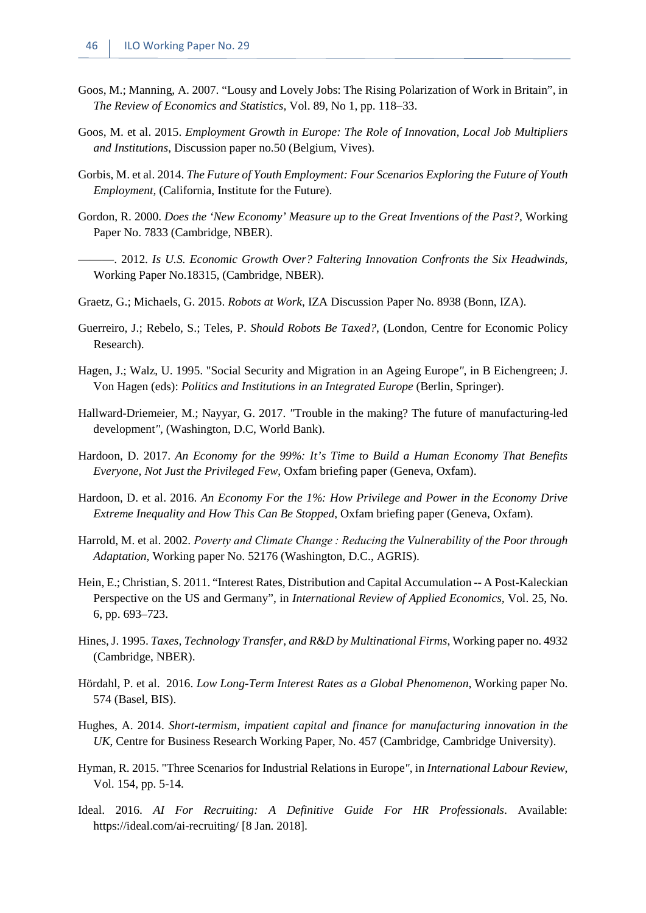- Goos, M.; Manning, A. 2007. "Lousy and Lovely Jobs: The Rising Polarization of Work in Britain", in *The Review of Economics and Statistics,* Vol. 89, No 1, pp. 118–33.
- Goos, M. et al. 2015. *Employment Growth in Europe: The Role of Innovation, Local Job Multipliers and Institutions*, Discussion paper no.50 (Belgium, Vives).
- Gorbis, M. et al. 2014. *The Future of Youth Employment: Four Scenarios Exploring the Future of Youth Employment,* (California, Institute for the Future).
- Gordon, R. 2000. *Does the 'New Economy' Measure up to the Great Inventions of the Past?,* Working Paper No. 7833 (Cambridge, NBER).
- ———. 2012. *Is U.S. Economic Growth Over? Faltering Innovation Confronts the Six Headwinds,* Working Paper No.18315, (Cambridge, NBER).
- Graetz, G.; Michaels, G. 2015. *Robots at Work*, IZA Discussion Paper No. 8938 (Bonn, IZA).
- Guerreiro, J.; Rebelo, S.; Teles, P. *Should Robots Be Taxed?*, (London, Centre for Economic Policy Research).
- Hagen, J.; Walz, U. 1995. "Social Security and Migration in an Ageing Europe*"*, in B Eichengreen; J. Von Hagen (eds): *Politics and Institutions in an Integrated Europe* (Berlin, Springer).
- Hallward-Driemeier, M.; Nayyar, G. 2017. *"*Trouble in the making? The future of manufacturing-led development*",* (Washington, D.C, World Bank).
- Hardoon, D. 2017. *An Economy for the 99%: It's Time to Build a Human Economy That Benefits Everyone, Not Just the Privileged Few*, Oxfam briefing paper (Geneva, Oxfam).
- Hardoon, D. et al. 2016. *An Economy For the 1%: How Privilege and Power in the Economy Drive Extreme Inequality and How This Can Be Stopped*, Oxfam briefing paper (Geneva, Oxfam).
- Harrold, M. et al. 2002. *Poverty and Climate Change : Reducing the Vulnerability of the Poor through Adaptation*, Working paper No. 52176 (Washington, D.C., AGRIS).
- Hein, E.; Christian, S. 2011. "Interest Rates, Distribution and Capital Accumulation -- A Post-Kaleckian Perspective on the US and Germany", in *International Review of Applied Economics,* Vol. 25, No. 6, pp. 693–723.
- Hines, J. 1995. *Taxes, Technology Transfer, and R&D by Multinational Firms*, Working paper no. 4932 (Cambridge, NBER).
- Hördahl, P. et al. 2016. *Low Long-Term Interest Rates as a Global Phenomenon*, Working paper No. 574 (Basel, BIS).
- Hughes, A. 2014. *Short-termism, impatient capital and finance for manufacturing innovation in the UK*, Centre for Business Research Working Paper, No. 457 (Cambridge, Cambridge University).
- Hyman, R. 2015. "Three Scenarios for Industrial Relations in Europe*"*, in *International Labour Review*, Vol. 154, pp. 5-14.
- Ideal. 2016. *AI For Recruiting: A Definitive Guide For HR Professionals*. Available: https://ideal.com/ai-recruiting/ [8 Jan. 2018].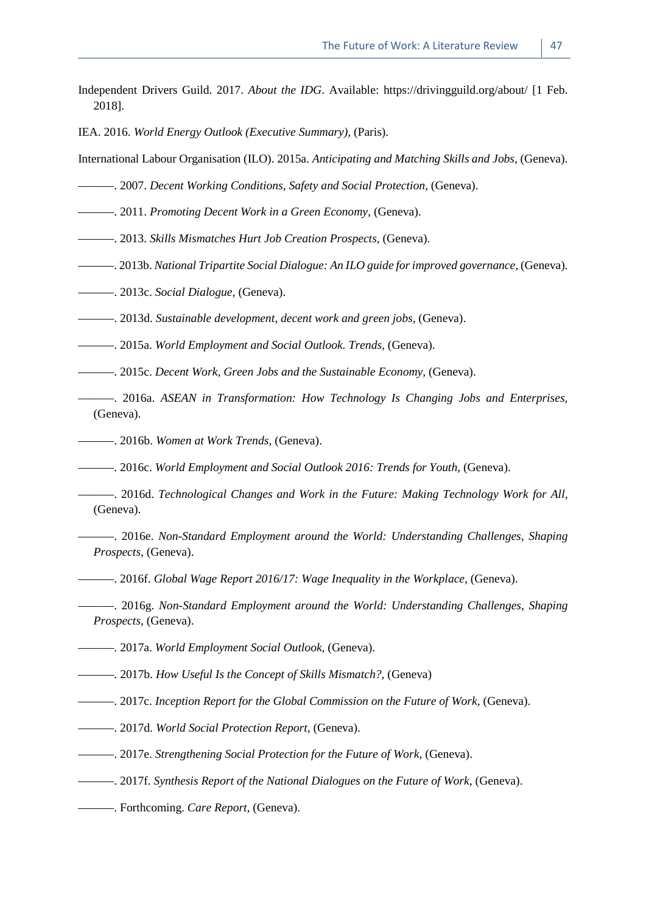- Independent Drivers Guild. 2017. *About the IDG*. Available: https://drivingguild.org/about/ [1 Feb. 2018].
- IEA. 2016. *World Energy Outlook (Executive Summary),* (Paris).
- International Labour Organisation (ILO). 2015a. *Anticipating and Matching Skills and Jobs,* (Geneva).
- ———. 2007. *Decent Working Conditions, Safety and Social Protection,* (Geneva).
- ———. 2011. *Promoting Decent Work in a Green Economy,* (Geneva).
- ———. 2013. *Skills Mismatches Hurt Job Creation Prospects,* (Geneva).
- ———. 2013b. *National Tripartite Social Dialogue: An ILO guide for improved governance,* (Geneva).
- ———. 2013c. *Social Dialogue,* (Geneva).
- ———. 2013d. *Sustainable development, decent work and green jobs,* (Geneva).
- ———. 2015a. *World Employment and Social Outlook. Trends,* (Geneva).
- ———. 2015c. *Decent Work, Green Jobs and the Sustainable Economy,* (Geneva).
- ———. 2016a. *ASEAN in Transformation: How Technology Is Changing Jobs and Enterprises,* (Geneva).
- ———. 2016b. *Women at Work Trends*, (Geneva).
- ———. 2016c. *World Employment and Social Outlook 2016: Trends for Youth,* (Geneva).
- ———. 2016d. *Technological Changes and Work in the Future: Making Technology Work for All,* (Geneva).
- ———. 2016e. *Non-Standard Employment around the World: Understanding Challenges, Shaping Prospects,* (Geneva).
- ———. 2016f. *Global Wage Report 2016/17: Wage Inequality in the Workplace,* (Geneva).
- ———. 2016g. *Non-Standard Employment around the World: Understanding Challenges, Shaping Prospects,* (Geneva).
- ———. 2017a. *World Employment Social Outlook,* (Geneva).
- ———. 2017b. *How Useful Is the Concept of Skills Mismatch?,* (Geneva)
- ———. 2017c. *Inception Report for the Global Commission on the Future of Work,* (Geneva).
- ———. 2017d. *World Social Protection Report,* (Geneva).
- ———. 2017e. *Strengthening Social Protection for the Future of Work,* (Geneva).
- ———. 2017f. *Synthesis Report of the National Dialogues on the Future of Work,* (Geneva).
- ———. Forthcoming. *Care Report,* (Geneva).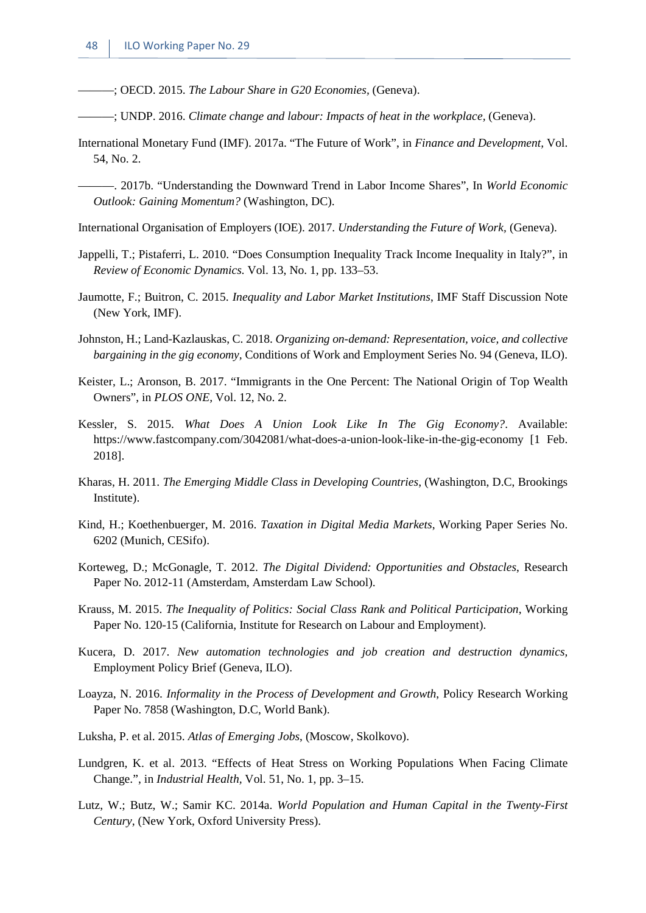———; OECD. 2015. *The Labour Share in G20 Economies,* (Geneva).

- ———; UNDP. 2016. *Climate change and labour: Impacts of heat in the workplace,* (Geneva).
- International Monetary Fund (IMF). 2017a. "The Future of Work", in *Finance and Development,* Vol. 54, No. 2.
	- ———. 2017b. "Understanding the Downward Trend in Labor Income Shares", In *World Economic Outlook: Gaining Momentum?* (Washington, DC).
- International Organisation of Employers (IOE). 2017. *Understanding the Future of Work,* (Geneva).
- Jappelli, T.; Pistaferri, L. 2010. "Does Consumption Inequality Track Income Inequality in Italy?", in *Review of Economic Dynamics.* Vol. 13, No. 1, pp. 133–53.
- Jaumotte, F.; Buitron, C. 2015. *Inequality and Labor Market Institutions*, IMF Staff Discussion Note (New York, IMF).
- Johnston, H.; Land-Kazlauskas, C. 2018. *Organizing on-demand: Representation, voice, and collective bargaining in the gig economy,* Conditions of Work and Employment Series No. 94 (Geneva, ILO).
- Keister, L.; Aronson, B. 2017. "Immigrants in the One Percent: The National Origin of Top Wealth Owners", in *PLOS ONE,* Vol. 12, No. 2.
- Kessler, S. 2015. *What Does A Union Look Like In The Gig Economy?*. Available: https://www.fastcompany.com/3042081/what-does-a-union-look-like-in-the-gig-economy [1 Feb. 2018].
- Kharas, H. 2011. *The Emerging Middle Class in Developing Countries*, (Washington, D.C, Brookings Institute).
- Kind, H.; Koethenbuerger, M. 2016. *Taxation in Digital Media Markets*, Working Paper Series No. 6202 (Munich, CESifo).
- Korteweg, D.; McGonagle, T. 2012. *The Digital Dividend: Opportunities and Obstacles*, Research Paper No. 2012-11 (Amsterdam, Amsterdam Law School).
- Krauss, M. 2015. *The Inequality of Politics: Social Class Rank and Political Participation*, Working Paper No. 120-15 (California, Institute for Research on Labour and Employment).
- Kucera, D. 2017. *New automation technologies and job creation and destruction dynamics,*  Employment Policy Brief (Geneva, ILO).
- Loayza, N. 2016. *Informality in the Process of Development and Growth*, Policy Research Working Paper No. 7858 (Washington, D.C, World Bank).
- Luksha, P. et al. 2015. *Atlas of Emerging Jobs*, (Moscow, Skolkovo).
- Lundgren, K. et al. 2013. "Effects of Heat Stress on Working Populations When Facing Climate Change.", in *Industrial Health,* Vol. 51, No. 1, pp. 3–15.
- Lutz, W.; Butz, W.; Samir KC. 2014a. *World Population and Human Capital in the Twenty-First Century*, (New York, Oxford University Press).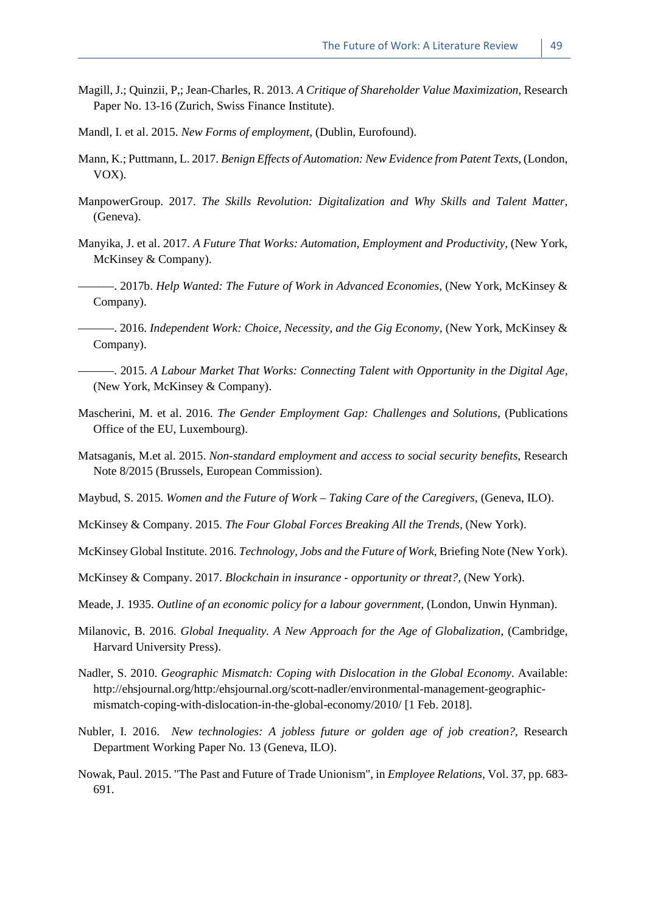- Magill, J.; Quinzii, P,; Jean-Charles, R. 2013. *A Critique of Shareholder Value Maximization*, Research Paper No. 13-16 (Zurich, Swiss Finance Institute).
- Mandl, I. et al. 2015. *New Forms of employment,* (Dublin, Eurofound).
- Mann, K.; Puttmann, L. 2017. *Benign Effects of Automation: New Evidence from Patent Texts,* (London, VOX).
- ManpowerGroup. 2017. *The Skills Revolution: Digitalization and Why Skills and Talent Matter,*  (Geneva).
- Manyika, J. et al. 2017. *A Future That Works: Automation, Employment and Productivity*, (New York, McKinsey & Company).
- ———. 2017b. *Help Wanted: The Future of Work in Advanced Economies*, (New York, McKinsey & Company).
- ———. 2016. *Independent Work: Choice, Necessity, and the Gig Economy,* (New York, McKinsey & Company).
- ———. 2015. *A Labour Market That Works: Connecting Talent with Opportunity in the Digital Age,* (New York, McKinsey & Company).
- Mascherini, M. et al. 2016. *The Gender Employment Gap: Challenges and Solutions,* (Publications Office of the EU, Luxembourg).
- Matsaganis, M.et al. 2015. *Non-standard employment and access to social security benefits*, Research Note 8/2015 (Brussels, European Commission).
- Maybud, S. 2015. *Women and the Future of Work – Taking Care of the Caregivers*, (Geneva, ILO).
- McKinsey & Company. 2015. *The Four Global Forces Breaking All the Trends,* (New York).
- McKinsey Global Institute. 2016. *Technology, Jobs and the Future of Work*, Briefing Note (New York).
- McKinsey & Company. 2017. *Blockchain in insurance - opportunity or threat?,* (New York).
- Meade, J. 1935. *Outline of an economic policy for a labour government,* (London, Unwin Hynman).
- Milanovic, B. 2016. *Global Inequality. A New Approach for the Age of Globalization*, (Cambridge, Harvard University Press).
- Nadler, S. 2010. *Geographic Mismatch: Coping with Dislocation in the Global Economy*. Available: http://ehsjournal.org/http:/ehsjournal.org/scott-nadler/environmental-management-geographicmismatch-coping-with-dislocation-in-the-global-economy/2010/ [1 Feb. 2018].
- Nubler, I. 2016. *New technologies: A jobless future or golden age of job creation?,* Research Department Working Paper No. 13 (Geneva, ILO).
- Nowak, Paul. 2015. "The Past and Future of Trade Unionism", in *Employee Relations,* Vol. 37, pp. 683- 691.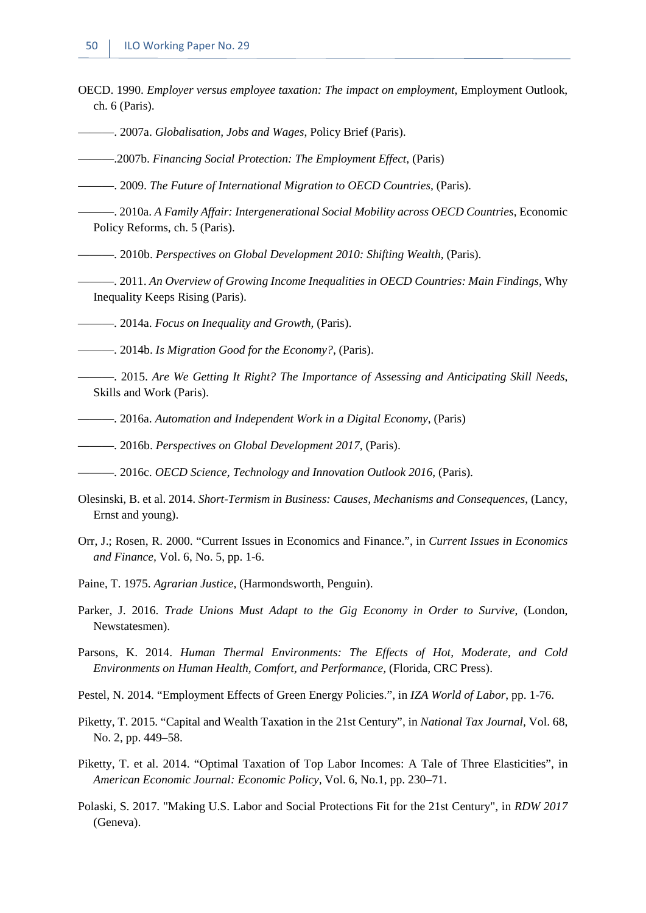- OECD. 1990. *Employer versus employee taxation: The impact on employment*, Employment Outlook, ch. 6 (Paris).
- ———. 2007a. *Globalisation, Jobs and Wages*, Policy Brief (Paris).
- ———.2007b. *Financing Social Protection: The Employment Effect*, (Paris)

———. 2009. *The Future of International Migration to OECD Countries,* (Paris).

- ———. 2010a. *A Family Affair: Intergenerational Social Mobility across OECD Countries*, Economic Policy Reforms, ch. 5 (Paris).
- ———. 2010b. *Perspectives on Global Development 2010: Shifting Wealth,* (Paris).
- ———. 2011. *An Overview of Growing Income Inequalities in OECD Countries: Main Findings*, Why Inequality Keeps Rising (Paris).
- ———. 2014a. *Focus on Inequality and Growth,* (Paris).
- ———. 2014b. *Is Migration Good for the Economy?*, (Paris).
- ———. 2015. *Are We Getting It Right? The Importance of Assessing and Anticipating Skill Needs*, Skills and Work (Paris).
- ———. 2016a. *Automation and Independent Work in a Digital Economy*, (Paris)
- ———. 2016b. *Perspectives on Global Development 2017*, (Paris).
- ———. 2016c. *OECD Science, Technology and Innovation Outlook 2016*, (Paris).
- Olesinski, B. et al. 2014. *Short-Termism in Business: Causes, Mechanisms and Consequences*, (Lancy, Ernst and young).
- Orr, J.; Rosen, R. 2000. "Current Issues in Economics and Finance.", in *Current Issues in Economics and Finance,* Vol. 6, No. 5, pp. 1-6.
- Paine, T. 1975. *Agrarian Justice,* (Harmondsworth, Penguin).
- Parker, J. 2016. *Trade Unions Must Adapt to the Gig Economy in Order to Survive*, (London, Newstatesmen).
- Parsons, K. 2014. *Human Thermal Environments: The Effects of Hot, Moderate, and Cold Environments on Human Health, Comfort, and Performance,* (Florida, CRC Press).
- Pestel, N. 2014. "Employment Effects of Green Energy Policies.", in *IZA World of Labor*, pp. 1-76.
- Piketty, T. 2015. "Capital and Wealth Taxation in the 21st Century", in *National Tax Journal,* Vol. 68, No. 2, pp. 449–58.
- Piketty, T. et al. 2014. "Optimal Taxation of Top Labor Incomes: A Tale of Three Elasticities", in *American Economic Journal: Economic Policy,* Vol. 6, No.1, pp. 230–71.
- Polaski, S. 2017. "Making U.S. Labor and Social Protections Fit for the 21st Century", in *RDW 2017* (Geneva).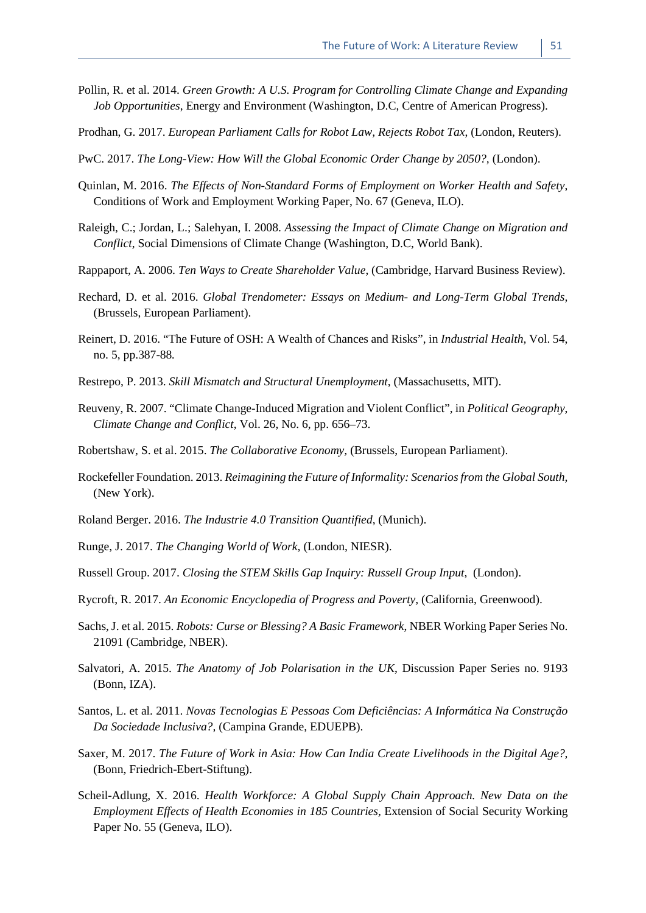- Pollin, R. et al. 2014. *Green Growth: A U.S. Program for Controlling Climate Change and Expanding Job Opportunities*, Energy and Environment (Washington, D.C, Centre of American Progress).
- Prodhan, G. 2017. *European Parliament Calls for Robot Law, Rejects Robot Tax*, (London, Reuters).
- PwC. 2017. *The Long-View: How Will the Global Economic Order Change by 2050?*, (London).
- Quinlan, M. 2016. *The Effects of Non-Standard Forms of Employment on Worker Health and Safety*, Conditions of Work and Employment Working Paper, No. 67 (Geneva, ILO).
- Raleigh, C.; Jordan, L.; Salehyan, I. 2008. *Assessing the Impact of Climate Change on Migration and Conflict*, Social Dimensions of Climate Change (Washington, D.C, World Bank).
- Rappaport, A. 2006. *Ten Ways to Create Shareholder Value*, (Cambridge, Harvard Business Review).
- Rechard, D. et al. 2016. *Global Trendometer: Essays on Medium- and Long-Term Global Trends,* (Brussels, European Parliament).
- Reinert, D. 2016. "The Future of OSH: A Wealth of Chances and Risks", in *Industrial Health,* Vol. 54, no. 5, pp.387-88*.*
- Restrepo, P. 2013. *Skill Mismatch and Structural Unemployment*, (Massachusetts, MIT).
- Reuveny, R. 2007. "Climate Change-Induced Migration and Violent Conflict", in *Political Geography*, *Climate Change and Conflict*, Vol. 26, No. 6, pp. 656–73.
- Robertshaw, S. et al. 2015. *The Collaborative Economy,* (Brussels, European Parliament).
- Rockefeller Foundation. 2013. *Reimagining the Future of Informality: Scenarios from the Global South,*  (New York).
- Roland Berger. 2016. *The Industrie 4.0 Transition Quantified*, (Munich).
- Runge, J. 2017. *The Changing World of Work,* (London, NIESR).
- Russell Group. 2017. *Closing the STEM Skills Gap Inquiry: Russell Group Input*, (London).
- Rycroft, R. 2017. *An Economic Encyclopedia of Progress and Poverty,* (California, Greenwood).
- Sachs, J. et al. 2015. *Robots: Curse or Blessing? A Basic Framework*, NBER Working Paper Series No. 21091 (Cambridge, NBER).
- Salvatori, A. 2015. *The Anatomy of Job Polarisation in the UK*, Discussion Paper Series no. 9193 (Bonn, IZA).
- Santos, L. et al. 2011. *Novas Tecnologias E Pessoas Com Deficiências: A Informática Na Construção Da Sociedade Inclusiva?,* (Campina Grande, EDUEPB).
- Saxer, M. 2017. *The Future of Work in Asia: How Can India Create Livelihoods in the Digital Age?,*  (Bonn, Friedrich-Ebert-Stiftung).
- Scheil-Adlung, X. 2016. *Health Workforce: A Global Supply Chain Approach. New Data on the Employment Effects of Health Economies in 185 Countries,* Extension of Social Security Working Paper No. 55 (Geneva, ILO).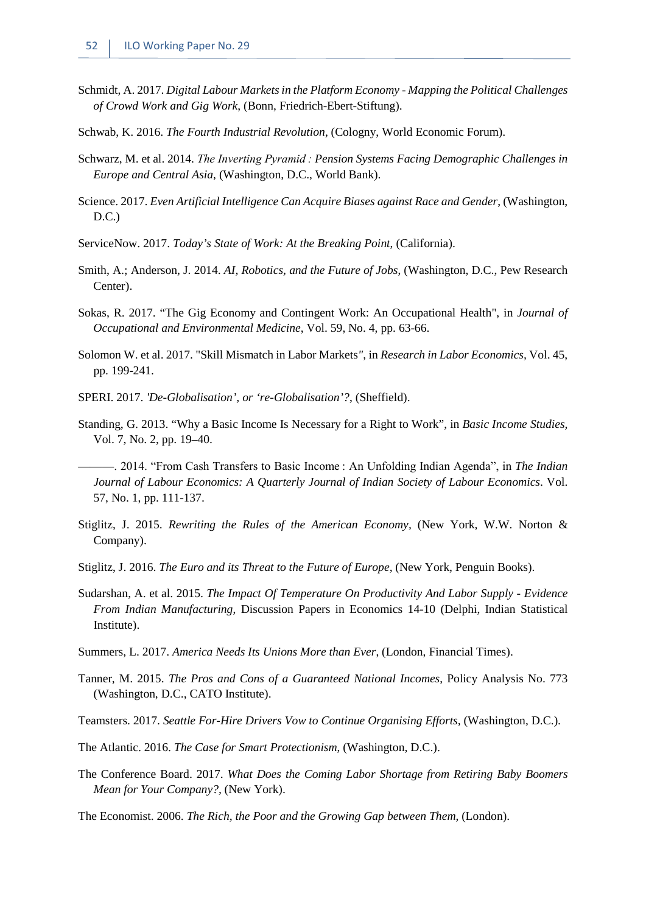- Schmidt, A. 2017. *Digital Labour Marketsin the Platform Economy - Mapping the Political Challenges of Crowd Work and Gig Work*, (Bonn, Friedrich-Ebert-Stiftung).
- Schwab, K. 2016. *The Fourth Industrial Revolution*, (Cologny, World Economic Forum).
- Schwarz, M. et al. 2014. *The Inverting Pyramid : Pension Systems Facing Demographic Challenges in Europe and Central Asia*, (Washington, D.C., World Bank).
- Science. 2017. *Even Artificial Intelligence Can Acquire Biases against Race and Gender*, (Washington, D.C.)
- ServiceNow. 2017. *Today's State of Work: At the Breaking Point*, (California).
- Smith, A.; Anderson, J. 2014. *AI, Robotics, and the Future of Jobs*, (Washington, D.C., Pew Research Center).
- Sokas, R. 2017. "The Gig Economy and Contingent Work: An Occupational Health", in *Journal of Occupational and Environmental Medicine*, Vol. 59, No. 4, pp. 63-66.
- Solomon W. et al. 2017. "Skill Mismatch in Labor Markets*"*, in *Research in Labor Economics,* Vol. 45, pp. 199-241.
- SPERI. 2017. *'De-Globalisation', or 're-Globalisation'?*, (Sheffield).
- Standing, G. 2013. "Why a Basic Income Is Necessary for a Right to Work", in *Basic Income Studies,*  Vol. 7, No. 2, pp. 19–40.
- ———. 2014. "From Cash Transfers to Basic Income : An Unfolding Indian Agenda", in *The Indian Journal of Labour Economics: A Quarterly Journal of Indian Society of Labour Economics*. Vol. 57, No. 1, pp. 111-137.
- Stiglitz, J. 2015. *Rewriting the Rules of the American Economy,* (New York, W.W. Norton & Company).
- Stiglitz, J. 2016. *The Euro and its Threat to the Future of Europe,* (New York, Penguin Books).
- Sudarshan, A. et al. 2015. *The Impact Of Temperature On Productivity And Labor Supply - Evidence From Indian Manufacturing*, Discussion Papers in Economics 14-10 (Delphi, Indian Statistical Institute).
- Summers, L. 2017. *America Needs Its Unions More than Ever*, (London, Financial Times).
- Tanner, M. 2015. *The Pros and Cons of a Guaranteed National Incomes*, Policy Analysis No. 773 (Washington, D.C., CATO Institute).
- Teamsters. 2017. *Seattle For-Hire Drivers Vow to Continue Organising Efforts,* (Washington, D.C.).
- The Atlantic. 2016. *The Case for Smart Protectionism*, (Washington, D.C.).
- The Conference Board. 2017. *What Does the Coming Labor Shortage from Retiring Baby Boomers Mean for Your Company?,* (New York).
- The Economist. 2006. *The Rich, the Poor and the Growing Gap between Them*, (London).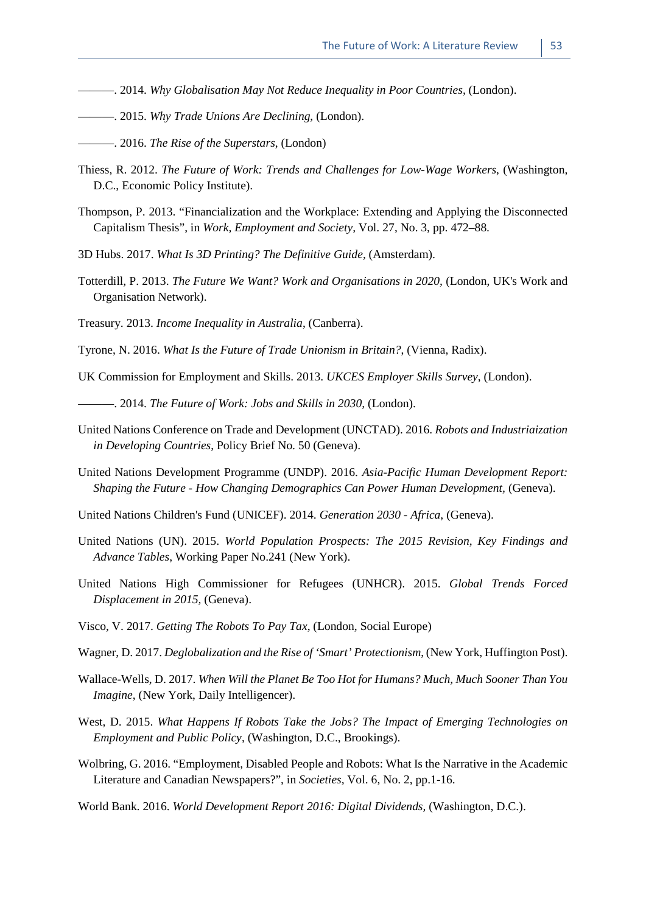- ———. 2014. *Why Globalisation May Not Reduce Inequality in Poor Countries,* (London).
- ———. 2015. *Why Trade Unions Are Declining*, (London).
- ———. 2016. *The Rise of the Superstars*, (London)
- Thiess, R. 2012. *The Future of Work: Trends and Challenges for Low-Wage Workers*, (Washington, D.C., Economic Policy Institute).
- Thompson, P. 2013. "Financialization and the Workplace: Extending and Applying the Disconnected Capitalism Thesis", in *Work, Employment and Society,* Vol. 27, No. 3, pp. 472–88.
- 3D Hubs. 2017. *What Is 3D Printing? The Definitive Guide,* (Amsterdam).
- Totterdill, P. 2013. *The Future We Want? Work and Organisations in 2020,* (London, UK's Work and Organisation Network).
- Treasury. 2013. *Income Inequality in Australia*, (Canberra).
- Tyrone, N. 2016. *What Is the Future of Trade Unionism in Britain?*, (Vienna, Radix).
- UK Commission for Employment and Skills. 2013. *UKCES Employer Skills Survey*, (London).

———. 2014. *The Future of Work: Jobs and Skills in 2030,* (London).

- United Nations Conference on Trade and Development (UNCTAD). 2016. *Robots and Industriaization in Developing Countries*, Policy Brief No. 50 (Geneva).
- United Nations Development Programme (UNDP). 2016. *Asia-Pacific Human Development Report: Shaping the Future - How Changing Demographics Can Power Human Development,* (Geneva).
- United Nations Children's Fund (UNICEF). 2014. *Generation 2030 - Africa*, (Geneva).
- United Nations (UN). 2015. *World Population Prospects: The 2015 Revision, Key Findings and Advance Tables*, Working Paper No.241 (New York).
- United Nations High Commissioner for Refugees (UNHCR). 2015. *Global Trends Forced Displacement in 2015,* (Geneva).
- Visco, V. 2017. *Getting The Robots To Pay Tax*, (London, Social Europe)
- Wagner, D. 2017. *Deglobalization and the Rise of 'Smart' Protectionism*, (New York, Huffington Post).
- Wallace-Wells, D. 2017. *When Will the Planet Be Too Hot for Humans? Much, Much Sooner Than You Imagine*, (New York, Daily Intelligencer).
- West, D. 2015. *What Happens If Robots Take the Jobs? The Impact of Emerging Technologies on Employment and Public Policy*, (Washington, D.C., Brookings).
- Wolbring, G. 2016. "Employment, Disabled People and Robots: What Is the Narrative in the Academic Literature and Canadian Newspapers?", in *Societies,* Vol. 6, No. 2, pp.1-16.
- World Bank. 2016. *World Development Report 2016: Digital Dividends,* (Washington, D.C.).